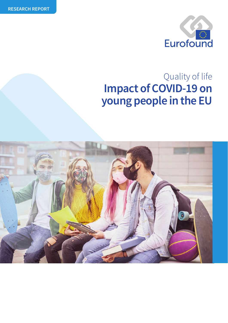

# **Impact of COVID-19 on young people in the EU** Quality of life

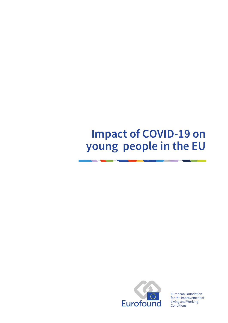# **Impact of COVID-19 on young people in the EU**



European Foundation for the Improvement of Living and Working **Conditions**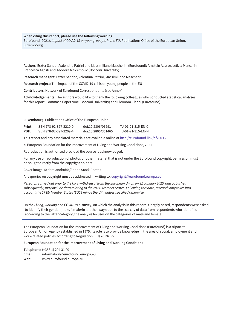#### **When citing this report, please use the following wording:**

Eurofound (2021), *Impact of COVID-19 on young people in the EU*, Publications Office of the European Union, Luxembourg.

**Authors**: Eszter Sándor, Valentina Patrini and Massimiliano Mascherini (Eurofound); Arnstein Aassve, Letizia Mencarini, Francesca Agosti and Teodora Maksimovic (Bocconi University)

**Research managers**: Eszter Sándor, Valentina Patrini, Massimiliano Mascherini

**Research project**: The impact of the COVID-19 crisis on young people in the EU

**Contributors**: Network of Eurofound Correspondents (see Annex)

**Acknowledgements**: The authors would like to thank the following colleagues who conducted statistical analyses for this report: Tommaso Capezzone (Bocconi University) and Eleonora Clerici (Eurofound)

**Luxembourg**: Publications Office of the European Union

| Print: | ISBN 978-92-897-2210-0 | doi:10.2806/06591  | TJ-01-21-315-EN-C |
|--------|------------------------|--------------------|-------------------|
| PDF:   | ISBN 978-92-897-2209-4 | doi:10.2806/361465 | TJ-01-21-315-EN-N |

This report and any associated materials are available online at <http://eurofound.link/ef20036>

© European Foundation for the Improvement of Living and Working Conditions, 2021

Reproduction is authorised provided the source is acknowledged.

For any use or reproduction of photos or other material that is not under the Eurofound copyright, permission must be sought directly from the copyright holders.

Cover image: © damianobuffo/Adobe Stock Photos

Any queries on copyright must be addressed in writing to: [copyright@eurofound.europa.eu](mailto:copyright@eurofound.europa.eu)

*Research carried out prior to the UK's withdrawal from the European Union on 31 January 2020, and published subsequently, may include data relating to the 28 EU Member States. Following this date, research only takes into account the 27 EU Member States (EU28 minus the UK), unless specified otherwise.*

In the *Living, working and COVID-19* e-survey, on which the analysis in this report is largely based, respondents were asked to identify their gender (male/female/in another way); due to the scarcity of data from respondents who identified according to the latter category, the analysis focuses on the categories of male and female.

The European Foundation for the Improvement of Living and Working Conditions (Eurofound) is a tripartite European Union Agency established in 1975. Its role is to provide knowledge in the area of social, employment and work-related policies according to Regulation (EU) 2019/127.

#### **European Foundation for the Improvement of Living and Working Conditions**

**Telephone**: (+353 1) 204 31 00 **Email**: [information@eurofound.europa.eu](mailto:information@eurofound.europa.eu)  **Web**: [www.eurofound.europa.eu](http://www.eurofound.europa.eu)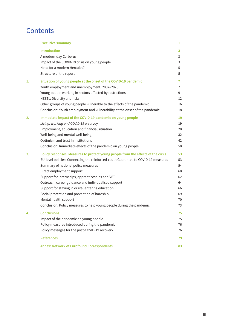# **Contents**

|    | <b>Executive summary</b>                                                                                                                                                                                                                                                                                                                                                                                                                                                                                                                                     | 1                                                        |
|----|--------------------------------------------------------------------------------------------------------------------------------------------------------------------------------------------------------------------------------------------------------------------------------------------------------------------------------------------------------------------------------------------------------------------------------------------------------------------------------------------------------------------------------------------------------------|----------------------------------------------------------|
|    | <b>Introduction</b><br>A modern-day Cerberus<br>Impact of the COVID-19 crisis on young people<br>Need for a modern Hercules?<br>Structure of the report                                                                                                                                                                                                                                                                                                                                                                                                      | 3<br>3<br>3<br>5<br>5                                    |
| 1. | Situation of young people at the onset of the COVID-19 pandemic<br>Youth employment and unemployment, 2007-2020<br>Young people working in sectors affected by restrictions<br>NEETs: Diversity and risks<br>Other groups of young people vulnerable to the effects of the pandemic<br>Conclusion: Youth employment and vulnerability at the onset of the pandemic                                                                                                                                                                                           | $\mathbf{7}$<br>$\overline{1}$<br>9<br>12<br>16<br>18    |
| 2. | Immediate impact of the COVID-19 pandemic on young people<br>Living, working and COVID-19 e-survey<br>Employment, education and financial situation<br>Well-being and mental well-being<br>Optimism and trust in institutions<br>Conclusion: Immediate effects of the pandemic on young people                                                                                                                                                                                                                                                               | 19<br>19<br>20<br>32<br>42<br>50                         |
| 3. | Policy responses: Measures to protect young people from the effects of the crisis<br>EU-level policies: Connecting the reinforced Youth Guarantee to COVID-19 measures<br>Summary of national policy measures<br>Direct employment support<br>Support for internships, apprenticeships and VET<br>Outreach, career guidance and individualised support<br>Support for staying in or (re-)entering education<br>Social protection and prevention of hardship<br>Mental health support<br>Conclusion: Policy measures to help young people during the pandemic | 53<br>53<br>54<br>60<br>62<br>64<br>66<br>69<br>70<br>73 |
|    | <b>Conclusions</b><br>Impact of the pandemic on young people<br>Policy measures introduced during the pandemic<br>Policy messages for the post-COVID-19 recovery                                                                                                                                                                                                                                                                                                                                                                                             | 75<br>75<br>76<br>76                                     |
|    | <b>References</b>                                                                                                                                                                                                                                                                                                                                                                                                                                                                                                                                            | 79                                                       |
|    | <b>Annex: Network of Eurofound Correspondents</b>                                                                                                                                                                                                                                                                                                                                                                                                                                                                                                            | 83                                                       |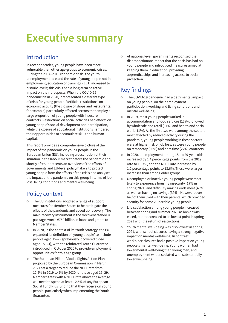# <span id="page-6-0"></span>**Executive summary**

# Introduction

In recent decades, young people have been more vulnerable than other age groups to economic crises. During the 2007–2013 economic crisis, the youth unemployment rate and the rate of young people not in employment, education or training (NEET) increased to historic levels; this crisis had a long-term negative impact on their prospects. When the COVID-19 pandemic hit in 2020, it represented a different type of crisis for young people: 'artificial restrictions' on economic activity (the closure of shops and restaurants, for example) particularly affected sectors that employ a large proportion of young people with insecure contracts. Restrictions on social activities had effects on young people's social development and participation, while the closure of educational institutions hampered their opportunities to accumulate skills and human capital.

This report provides a comprehensive picture of the impact of the pandemic on young people in the European Union (EU), including a description of their situation in the labour market before the pandemic and shortly after. It presents an overview of the efforts of governments and EU-level policymakers to protect young people from the effects of the crisis and analyses the impact of the pandemic on this group in terms of job loss, living conditions and mental well-being.

# Policy context

- The EU institutions adopted a range of support measures for Member States to help mitigate the effects of the pandemic and speed up recovery. The main recovery instrument is the NextGenerationEU package, worth €750 billion in loans and grants to Member States.
- o In 2020, in the context of its Youth Strategy, the EU expanded its definition of 'young people' to include people aged 15–29 (previously it covered those aged 15–24), with the reinforced Youth Guarantee introduced in October 2020 to provide employment opportunities for this age group.
- **•** The European Pillar of Social Rights Action Plan proposed by the European Commission in March 2021 set a target to reduce the NEET rate from 12.6% in 2019 to 9% by 2030 for those aged 15–29. Member States with a NEET rate above the average will need to spend at least 12.5% of any European Social Fund Plus funding that they receive on young people, particularly when implementing the Youth Guarantee.

• At national level, governments recognised the disproportionate impact that the crisis has had on young people and introduced measures aimed at keeping them in education, providing apprenticeships and increasing access to social protection.

# Key findings

- The COVID-19 pandemic had a detrimental impact on young people, on their employment participation, working and living conditions and mental well-being.
- $\circ$  In 2019, most young people worked in accommodation and food services (13%), followed by wholesale and retail (11%) and health and social work (11%). As the first two were among the sectors most affected by reduced activity during the pandemic, young people working in these sectors were at higher risk of job loss, as were young people on temporary (36%) and part-time (22%) contracts.
- o In 2020, unemployment among 15- to 29-year-olds increased by 1.4 percentage points from the 2019 rate to 13.3%, and the NEET rate increased by 1.2 percentage points to 13.6%. These were larger increases than among older groups.
- **•** Unemployed or inactive young people were most likely to experience housing insecurity (17% in spring 2021) and difficulty making ends meet (43%), as well as having no savings (39%). However, over half of them lived with their parents, which provided security for some vulnerable young people.
- **•** Life satisfaction among young people increased between spring and summer 2020 as lockdowns eased, but it decreased to its lowest point in spring 2021 with the return of restrictions.
- Youth mental well-being was also lowest in spring 2021, with school closures having a strong negative impact on mental well-being. In contrast, workplace closures had a positive impact on young people's mental well-being. Young women had lower mental well-being than young men, and unemployment was associated with substantially lower well-being.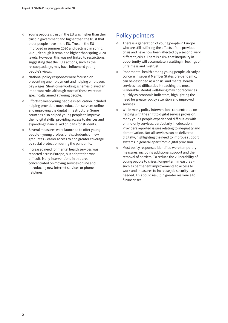- £ Young people's trust in the EU was higher than their trust in government and higher than the trust that older people have in the EU. Trust in the EU improved in summer 2020 and declined in spring 2021, although it remained higher than spring 2020 levels. However, this was not linked to restrictions, suggesting that the EU's actions, such as the rescue package, may have influenced young people's views.
- National policy responses were focused on preventing unemployment and helping employers pay wages. Short-time working schemes played an important role, although most of these were not specifically aimed at young people.
- £ Efforts to keep young people in education included helping providers move education services online and improving the digital infrastructure. Some countries also helped young people to improve their digital skills, providing access to devices and expanding financial aid or loans for students.
- Several measures were launched to offer young people – young professionals, students or new graduates – easier access to and greater coverage by social protection during the pandemic.
- o Increased need for mental health services was reported across Europe, but adaptation was difficult. Many interventions in this area concentrated on moving services online and introducing new internet services or phone helplines.

# Policy pointers

- There is a generation of young people in Europe who are still suffering the effects of the previous crisis and have now been affected by a second, very different, crisis. There is a risk that inequality in opportunity will accumulate, resulting in feelings of unfairness and mistrust.
- Poor mental health among young people, already a concern in several Member States pre-pandemic, can be described as a crisis, and mental health services had difficulties in reaching the most vulnerable. Mental well-being may not recover as quickly as economic indicators, highlighting the need for greater policy attention and improved services.
- While many policy interventions concentrated on helping with the shift to digital service provision, many young people experienced difficulties with online-only services, particularly in education. Providers reported issues relating to inequality and demotivation. Not all services can be delivered digitally, highlighting the need to improve support systems in general apart from digital provision.
- Most policy responses identified were temporary measures, including additional support and the removal of barriers. To reduce the vulnerability of young people to crises, longer-term measures – such as permanent improvements to access to work and measures to increase job security – are needed. This could result in greater resilience to future crises.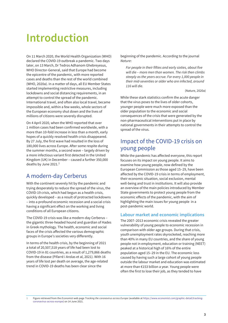# <span id="page-8-0"></span>**Introduction**

On 11 March 2020, the World Health Organization (WHO) declared the COVID-19 outbreak a pandemic. Two days later, on 13 March, Dr Tedros Adhanom Ghebreyesus, WHO Director-General, said that Europe had become the epicentre of the pandemic, with more reported cases and deaths than the rest of the world combined (WHO, 2020a). In a matter of days, all EU Member States started implementing restrictive measures, including lockdowns and social distancing requirements, in an attempt to control the spread of the pandemic. International travel, and often also local travel, became impossible and, within a few weeks, whole sectors of the European economy shut down and the lives of millions of citizens were severely disrupted.

On 4 April 2020, when the WHO reported that over 1 million cases had been confirmed worldwide, with a more than 10-fold increase in less than a month, early hopes of a quickly resolved health crisis disappeared. By 27 July, the first wave had resulted in the loss of 180,000 lives across Europe. After some respite during the summer months, a second wave – largely driven by a more infectious variant first detected in the United Kingdom (UK) in December – caused a further 350,000 deaths by June 2021. $<sup>1</sup>$ </sup>

# A modern-day Cerberus

With the continent severely hit by the pandemic and trying desperately to reduce the spread of the virus, the COVID-19 crisis, which had begun as a health crisis, quickly developed – as a result of protracted lockdowns – into a profound economic recession and a social crisis having a significant effect on the working and living conditions of all European citizens.

The COVID-19 crisis was like a modern-day Cerberus – the gigantic three-headed hound and guardian of Hades in Greek mythology. The health, economic and social faces of the crisis affected the various demographic groups in Europe's societies very differently.

In terms of the health crisis, by the beginning of 2021 a total of 20,507,518 years of life had been lost to COVID-19 in 81 countries, as a result of 1,279,866 deaths from the disease (Pifarré i Arolas et al, 2021). With 16 years of life lost per death on average, the age-related trend in COVID-19 deaths has been clear since the

beginning of the pandemic. According to the journal *Nature*:

*For people in their fifties and early sixties, about five will die – more men than women. The risk then climbs steeply as the years accrue. For every 1,000 people in their mid-seventies or older who are infected, around 116 will die.*

(Nature, 2020a)

While these stark statistics confirm the acute danger that the virus poses to the lives of older cohorts, younger people were much more exposed than the older population to the economic and social consequences of the crisis that were generated by the non-pharmaceutical interventions put in place by national governments in their attempts to control the spread of the virus.

# Impact of the COVID-19 crisis on young people

While the pandemic has affected everyone, this report focuses on its impact on young people. It aims to examine how young people, now defined by the European Commission as those aged 15–29, have been affected by the COVID-19 crisis in terms of employment, their economic situation, social exclusion, mental well-being and trust in institutions. It will also provide an overview of the main policies introduced by Member State governments to protect young people from the economic effects of the pandemic, with the aim of highlighting the main issues for young people in a post-pandemic world.

### **Labour market and economic implications**

The 2007–2013 economic crisis revealed the greater vulnerability of young people to economic recession in comparison with older age groups. During that crisis, youth unemployment rates skyrocketed, reaching more than 40% in many EU countries, and the share of young people not in employment, education or training (NEET) peaked at a historical high of 16% of the entire population aged 15–29 in the EU. The economic loss caused by having such a large cohort of young people outside the labour market and education was estimated at more than €153 billion a year. Young people were often the first to lose their job, as they tended to have

**1** Figure retrieved from the *Economist* web page *Tracking the coronavirus across Europe* (available at [https://www.economist.com/graphic-detail/tracking](https://www.economist.com/graphic-detail/tracking-coronavirus-across-europe)[coronavirus-across-europe\) on](https://www.economist.com/graphic-detail/tracking-coronavirus-across-europe) 14 June 2021.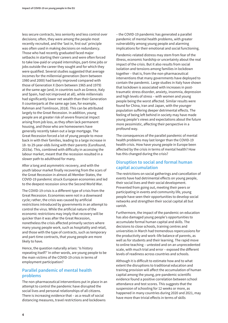less secure contracts, less seniority and less control over decisions; often, they were among the people most recently recruited, and the 'last in, first out' principle was often used in making decisions on redundancy. Those who had recently graduated faced major setbacks in starting their careers and were often forced to take low-paid or unpaid internships, part-time jobs or jobs outside the career they sought and for which they were qualified. Several studies suggested that average incomes for the millennial generation (born between 1980 and 2000) had barely improved compared with those of Generation X (born between 1965 and 1979) at the same age (and, in countries such as Greece, Italy and Spain, had not improved at all), while millennials had significantly lower net wealth than their Generation X counterparts at the same age (see, for example, Rahman and Tomlinson, 2018). This can be attributed largely to the Great Recession. In addition, young people are at greater risk of severe financial impact arising from job loss, as they often lack permanent housing, and those who are homeowners have generally recently taken out a large mortgage. The Great Recession forced a lot of young people to move back in with their families, leading to a large increase in 18- to 29-year-olds living with their parents (Eurofound, 2019a). This, combined with difficulty in accessing the labour market, meant that the recession resulted in a slower path to adulthood for many.

After a long and asymmetric recovery, and with the youth labour market finally recovering from the scars of the Great Recession in almost all Member States, the COVID-19 pandemic struck European economies and led to the deepest recession since the Second World War.

The COVID-19 crisis is a different type of crisis from the Great Recession. Economies were not in a downward cycle; rather, the crisis was caused by artificial restrictions introduced by governments in an attempt to control the virus. While the artificial nature of the economic restrictions may imply that recovery will be quicker than it was after the Great Recession, nonetheless the crisis affected primarily sectors where many young people work, such as hospitality and retail, and those with the type of contracts, such as temporary and part-time contracts, that young people are more likely to have.

Hence, the question naturally arises: 'Is history repeating itself?' In other words, are young people to be the main victims of the COVID-19 crisis in terms of employment participation?

### **Parallel pandemic of mental health problems**

The non-pharmaceutical interventions put in place in an attempt to control the pandemic have disrupted the social lives and personal relationships of all citizens. There is increasing evidence that – as a result of social distancing measures, travel restrictions and lockdowns

– the COVID-19 pandemic has generated a parallel pandemic of mental health problems, with greater vulnerability among young people and alarming implications for their emotional and social functioning.

Pandemic-related distress may stem from fear of the illness, economic hardship or uncertainty about the real impact of the crisis. But it also results from social isolation and tensions among families in lockdown together – that is, from the non-pharmaceutical interventions that many governments have deployed to contain the pandemic. Large studies in Italy have shown that lockdown is associated with increases in posttraumatic stress disorder, anxiety, insomnia, depression and high levels of stress – with women and young people being the worst affected. Similar results were found for China, Iran and Japan, with the younger population suffering deeper detrimental effects. The feeling of being left behind in society may have made young people's views and expectations about the future more pessimistic, affecting their perspective in a profound way.

The consequences of the parallel pandemic of mental health problems may last longer than the COVID-19 health crisis. How have young people in Europe been affected by the crisis in terms of mental health? How has this changed during the crisis?

### **Disruption to social and formal human capital accumulation**

The restrictions on social gatherings and cancellation of events have had detrimental effects on young people, their social lives and their social development. Prevented from going out, meeting their peers or participating in events and community life, young people have seen their opportunities to develop social networks and strengthen their social capital all but vanish.

Furthermore, the impact of the pandemic on education has also damaged young people's opportunities to accumulate formal human capital and skills. The decisions to close schools, training centres and universities in March had tremendous repercussions for the productivity and work–life balance of parents, as well as for students and their learning. The rapid move to online teaching – untested and on an unprecedented scale, with much trial and error – exposed the different levels of readiness across countries and schools.

Although it is difficult to estimate how and to what extent the disruptions to traditional education and training provision will affect the accumulation of human capital among the young, pre-pandemic scientific evidence found a positive correlation between school attendance and test scores. This suggests that the suspension of schooling for 12 weeks or more, as happened in many countries during 2020 and 2021, may have more than trivial effects in terms of skills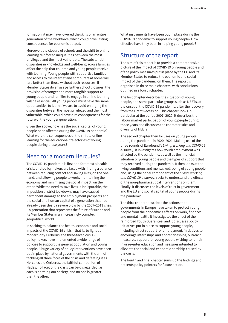<span id="page-10-0"></span>formation; it may have lowered the skills of an entire generation of the workforce, which could have lasting consequences for economic output.

Moreover, the closure of schools and the shift to online learning reinforced inequalities between the most privileged and the most vulnerable. The substantial disparities in knowledge and well-being across families affect the help that children and young people receive with learning. Young people with supportive families and access to the internet and computers at home will fare better than those without such resources. If Member States do envisage further school closures, the provision of stronger and more tangible support to young people and families to engage in online learning will be essential. All young people must have the same opportunities to learn if we are to avoid enlarging the disparities between the most privileged and the most vulnerable, which could have dire consequences for the future of the younger generation.

Given the above, how has the social capital of young people been affected during the COVID-19 pandemic? What were the consequences of the shift to online learning for the educational trajectories of young people during these years?

## Need for a modern Hercules?

The COVID-19 pandemic is first and foremost a health crisis, and policymakers are faced with finding a balance between reducing contact and saving lives, on the one hand, and allowing people to work, maintaining the economy and minimising the social impact, on the other. While the need to save lives is indisputable, the imposition of strict lockdowns may have caused permanent damage to the employment prospects and the social and human capital of a generation that had already been dealt a severe blow by the 2007–2013 crisis – a generation that represents the future of Europe and its Member States in an increasingly complex geopolitical world.

In seeking to balance the health, economic and social impacts of the COVID-19 crisis – that is, to fight our modern-day Cerberus, the three-faced crisis – policymakers have implemented a wide range of policies to support the general population and young people. A huge variety of policy interventions have been put in place by national governments with the aim of tackling all three faces of the crisis and defeating it as Hercules did Cerberus, the faithful companion of Hades; no facet of the crisis can be disregarded, as each is harming our society, and no one is greater than the other.

What instruments have been put in place during the COVID-19 pandemic to support young people? How effective have they been in helping young people?

## Structure of the report

The aim of this report is to provide a comprehensive picture of the impact of COVID-19 on young people and of the policy measures put in place by the EU and its Member States to reduce the economic and social impact of the pandemic on them. The report is organised in three main chapters, with conclusions outlined in a fourth chapter.

The first chapter describes the situation of young people, and some particular groups such as NEETs, at the onset of the COVID-19 pandemic, after the recovery from the Great Recession. This chapter looks in particular at the period 2007–2020. It describes the labour market participation of young people during those years and discusses the characteristics and diversity of NEETs.

The second chapter then focuses on young people during the pandemic in 2020–2021. Making use of the three rounds of Eurofound's *Living, working and COVID-19* e-survey, it investigates how youth employment was affected by the pandemic, as well as the financial situation of young people and the types of support that they received during the pandemic. It then looks at the living conditions and mental well-being of young people and, using the panel component of the *Living, working and COVID-19* e-survey, seeks to understand the effects of the non-pharmaceutical interventions on them. Finally, it discusses the levels of trust in government and the EU and social capital of young people during the pandemic.

The third chapter describes the actions that governments in Europe have taken to protect young people from the pandemic's effects on work, finances and mental health. It investigates the effect of the reinforced Youth Guarantee, and it discusses policy initiatives put in place to support young people, including direct support for employment, initiatives to encourage internships and apprenticeships, outreach measures, support for young people wishing to remain in or re-enter education and measures intended to alleviate the social and economic hardship caused by the crisis.

The fourth and final chapter sums up the findings and presents policy pointers for future action.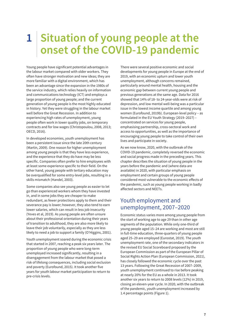# <span id="page-12-0"></span>**1 Situation of young people at the onset of the COVID-19 pandemic**

Young people have significant potential advantages in the labour market compared with older workers. They often have stronger motivation and new ideas; they are more familiar with a digital environment, which has been an advantage since the expansion in the 1980s of the service industry, which relies heavily on information and communications technology (ICT) and employs a large proportion of young people; and the current generation of young people is the most highly educated in history. Yet they were struggling in the labour market well before the Great Recession. In addition to experiencing high rates of unemployment, young people often work in lower quality jobs, on temporary contracts and for low wages (Christopoulou, 2008, 2013; OECD, 2016).

In developed economies, youth unemployment has been a persistent issue since the late 20th century (Martin, 2009). One reason for higher unemployment among young people is that they have less experience, and the experience that they do have may be less specific. Companies often prefer to hire employees with at least some experience specific to their field. On the other hand, young people with tertiary education may be overqualified for some entry-level jobs, resulting in a skills mismatch (Handel, 2003).

Some companies also see young people as easier to let go than experienced workers whom they have invested in, and in some jobs they are cheaper to make redundant, as fewer protections apply to them and their severance pay is lower; however, they also tend to earn lower salaries, which can result in less job insecurity (Yeves et al, 2019). As young people are often unsure about their professional orientation during their years of transition to adulthood, they are also more likely to leave their job voluntarily, especially as they are less likely to need a job to support a family (O'Higgins, 2001).

Youth unemployment soared during the economic crisis that started in 2007, reaching a peak six years later. The proportion of young people who were long-term unemployed increased significantly, resulting in a disengagement from the labour market that posed a risk of lifelong consequences, including social exclusion and poverty (Eurofound, 2015). It took another five years for youth labour market participation to return to pre-crisis levels.

There were several positive economic and social developments for young people in Europe at the end of 2019, with an economic upturn and lower youth unemployment, although concerns remained, particularly around mental health, housing and the economic gap between current young people and previous generations at the same age. Data for 2016 showed that 14% of 18- to 24-year-olds were at risk of depression, and low mental well-being was a particular issue in the lowest income quartile and among young women (Eurofound, 2019b). European-level policy – as formulated in the EU Youth Strategy (2019–2027) – concentrated on services for young people, emphasising partnership, cross-sectoral work and access to opportunities, as well as the importance of encouraging young people to take control of their own lives and participate in society.

As we now know, 2020, with the outbreak of the COVID-19 pandemic, completely reversed the economic and social progress made in the preceding years. This chapter describes the situation of young people in the years before the pandemic and (where data are available) in 2020, with particular emphasis on employment and certain groups of young people considered most vulnerable to the economic effects of the pandemic, such as young people working in badly affected sectors and NEETs.

## Youth employment and unemployment, 2007–2020

Economic status varies more among young people from the start of working age to age 29 than in other age segments of the population. While only one-third of young people aged 15–24 are working and most are still in full-time education, three-quarters of young people aged 25–29 are employed (Eurostat, 2019). The youth unemployment rate, one of the secondary indicators in the revised EU Social Scoreboard proposed by the European Commission as part of the European Pillar of Social Rights Action Plan (European Commission, 2021), has closely followed the economic cycle over the past 13 years. Following the Great Recession of 2007–2009, youth unemployment continued to rise before peaking at nearly 20% for the EU as a whole in 2013. It took another six years to return to 2008 levels (12%) in 2019, closing an eleven-year cycle. In 2020, with the outbreak of the pandemic, youth unemployment increased by 1.4 percentage points (Figure 1).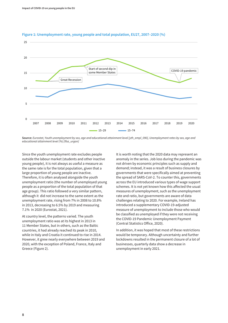

#### **Figure 1: Unemployment rate, young people and total population, EU27, 2007–2020 (%)**

**Source:** *Eurostat, Youth unemployment by sex, age and educational attainment level [yth\_empl\_090], Unemployment rates by sex, age and educational attainment level (%) [lfsa\_urgan]*

Since the youth unemployment rate excludes people outside the labour market (students and other inactive young people), it is not always as useful a measure as the same rate is for the total population, given that a large proportion of young people are inactive. Therefore, it is often analysed alongside the youth unemployment ratio (the number of unemployed young people as a proportion of the total population of that age group). This ratio followed a very similar pattern, although it did not increase to the same extent as the unemployment rate, rising from 7% in 2008 to 10.8% in 2013, decreasing to 6.5% by 2019 and measuring 7.1% in 2020 (Eurostat, 2021).

At country level, the patterns varied. The youth unemployment ratio was at its highest in 2013 in 11 Member States, but in others, such as the Baltic countries, it had already reached its peak in 2010, while in Italy and Croatia it continued to rise in 2014. However, it grew nearly everywhere between 2019 and 2020, with the exception of Poland, France, Italy and Greece (Figure 2).

It is worth noting that the 2020 data may represent an anomaly in the series. Job loss during the pandemic was not driven by economic principles such as supply and demand; instead, it was a result of business closures by governments that were specifically aimed at preventing the spread of SARS-CoV-2. To counter this, governments across the EU introduced various types of wage support schemes. It is not yet known how this affected the usual measures of unemployment, such as the unemployment rate and ratio, but governments are aware of data challenges relating to 2020. For example, Ireland has introduced a supplementary COVID-19-adjusted measure of unemployment to include those who would be classified as unemployed if they were not receiving the COVID-19 Pandemic Unemployment Payment (Central Statistics Office, 2020).

In addition, it was hoped that most of these restrictions would be temporary. Although uncertainty and further lockdowns resulted in the permanent closure of a lot of businesses, quarterly data show a decrease in unemployment in early 2021.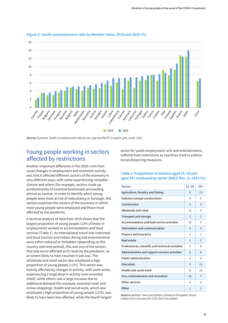

#### <span id="page-14-0"></span>**Figure 2: Youth unemployment ratio by Member State, 2019 and 2020 (%)**

**Source:** *Eurostat, Youth unemployment ratio by sex, age and NUTS 2 regions [yth\_empl\_140]*

## Young people working in sectors affected by restrictions

Another important difference in the 2020 crisis from usual changes in employment and economic activity was that it affected different sectors of the economy in very different ways, with some experiencing complete closure and others (for example, sectors made up predominantly of essential businesses) proceeding almost as normal. In order to identify which young people were most at risk of redundancy or furlough, this section examines the sectors of the economy in which most young people were employed and those most affected by the pandemic.

A sectoral analysis of data from 2019 shows that the largest proportion of young people (13% of those in employment) worked in accommodation and food services (Table 1). As international travel was restricted, and local tourism and indoor dining and entertainment were either reduced or forbidden (depending on the country and time period), this was one of the sectors that was worst affected at EU level by the pandemic, to an extent likely to have resulted in job loss. The wholesale and retail sector also employed a high proportion of young people (11%). This sector was heavily affected by changes in activity, with some areas experiencing a large drop in activity (non-essential retail), while others saw a large increase due to additional demand (for example, essential retail and online shopping). Health and social work, which also employed a high proportion of young people (11%), was likely to have been less affected, while the fourth largest sector for youth employment, arts and entertainment, suffered from restrictions as countries tried to enforce social distancing measures.

### **Table 1: Proportions of workers aged 15–29 and aged 30+ employed by sector (NACE Rev. 2), 2019 (%)**

| <b>Sector</b>                                     | $15 - 29$    | $30+$          |
|---------------------------------------------------|--------------|----------------|
| Agriculture, forestry and fishing                 | 9            | 13             |
| Industry (except construction)                    | 4            | 5              |
| Construction                                      | 3            | 3              |
| Wholesale and retail                              | 11           | 9              |
| <b>Transport and storage</b>                      | 3            | 2              |
| Accommodation and food service activities         | 13           | 5              |
| Information and communication                     | 4            | 3              |
| <b>Finance and insurance</b>                      | 1            | 1              |
| Real estate                                       | $\mathbf{1}$ | 2              |
| Professional, scientific and technical activities | 5            | 8              |
| Administrative and support services activities    | 8            | 8              |
| <b>Public administration</b>                      | 3            | 4              |
| Education                                         | 9            | 11             |
| <b>Health and social work</b>                     | 11           | 12             |
| Arts, entertainment and recreation                | 10           | $\overline{7}$ |
| Other services                                    | 4            | 4              |
| Other                                             | $\mathbf{1}$ | $\overline{2}$ |

**Source:** *Authors' own calculations based on European Union Labour Force Survey (EU-LFS) 2019 microdata*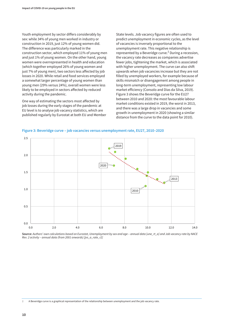Youth employment by sector differs considerably by sex: while 34% of young men worked in industry or construction in 2019, just 12% of young women did. The difference was particularly marked in the construction sector, which employed 11% of young men and just 1% of young women. On the other hand, young women were overrepresented in health and education (which together employed 26% of young women and just 7% of young men), two sectors less affected by job losses in 2020. While retail and food services employed a somewhat larger percentage of young women than young men (29% versus 24%), overall women were less likely to be employed in sectors affected by reduced activity during the pandemic.

One way of estimating the sectors most affected by job losses during the early stages of the pandemic at EU level is to analyse job vacancy statistics, which are published regularly by Eurostat at both EU and Member

State levels. Job vacancy figures are often used to predict unemployment in economic cycles, as the level of vacancies is inversely proportional to the unemployment rate. This negative relationship is represented by a Beveridge curve.<sup>2</sup> During a recession, the vacancy rate decreases as companies advertise fewer jobs, tightening the market, which is associated with higher unemployment. The curve can also shift upwards when job vacancies increase but they are not filled by unemployed workers, for example because of skills mismatch or disengagement among people in long-term unemployment, representing low labour market efficiency (Consolo and Dias da Silva, 2019). Figure 3 shows the Beveridge curve for the EU27 between 2010 and 2020: the most favourable labour market conditions existed in 2019, the worst in 2013, and there was a large drop in vacancies and some growth in unemployment in 2020 (showing a similar distance from the curve to the data point for 2010).



**Figure 3: Beveridge curve – job vacancies versus unemployment rate, EU27, 2010–2020**

**Source:** *Authors' own calculations based on Eurostat, Unemployment by sex and age – annual data [une\_rt\_a] and Job vacancy rate by NACE Rev. 2 activity – annual data (from 2001 onwards) [jvs\_a\_rate\_r2]*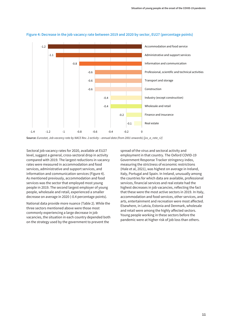

#### **Figure 4: Decrease in the job vacancy rate between 2019 and 2020 by sector, EU27 (percentage points)**

**Source:** *Eurostat, Job vacancy rate by NACE Rev. 2 activity – annual data (from 2001 onwards) [jvs\_a\_rate\_r2]*

Sectoral job vacancy rates for 2020, available at EU27 level, suggest a general, cross-sectoral drop in activity compared with 2019. The largest reductions in vacancy rates were measured in accommodation and food services, administrative and support services, and information and communication services (Figure 4). As mentioned previously, accommodation and food services was the sector that employed most young people in 2019. The second largest employer of young people, wholesale and retail, experienced a smaller decrease on average in 2020 (-0.4 percentage points).

National data provide more nuance (Table 2). While the three sectors mentioned above were those most commonly experiencing a large decrease in job vacancies, the situation in each country depended both on the strategy used by the government to prevent the

spread of the virus and sectoral activity and employment in that country. The Oxford COVID-19 Government Response Tracker stringency index, measuring the strictness of economic restrictions (Hale et al, 2021), was highest on average in Ireland, Italy, Portugal and Spain. In Ireland, unusually among the countries for which data are available, professional services, financial services and real estate had the highest decreases in job vacancies, reflecting the fact that these were the most active sectors in 2019. In Italy, accommodation and food services, other services, and arts, entertainment and recreation were most affected. Elsewhere, in Latvia, Estonia and Denmark, wholesale and retail were among the highly affected sectors. Young people working in these sectors before the pandemic were at higher risk of job loss than others.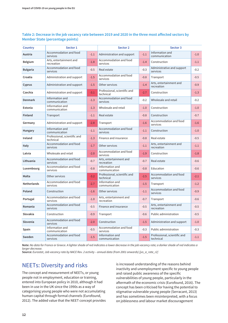### <span id="page-17-0"></span>**Table 2: Decrease in the job vacancy rate between 2019 and 2020 in the three most affected sectors by Member State (percentage points)**

| <b>Country</b>  | Sector 1                                  |        | Sector 2                                  |        | Sector 3                                  |        |
|-----------------|-------------------------------------------|--------|-------------------------------------------|--------|-------------------------------------------|--------|
| Austria         | Accommodation and food<br>services        | $-1.1$ | Administration and support                | $-1.1$ | Information and<br>communication          | $-1.0$ |
| <b>Belgium</b>  | Arts, entertainment and<br>recreation     | $-1.8$ | Accommodation and food<br>services        | $-1.4$ | Construction                              | $-1.1$ |
| <b>Bulgaria</b> | Accommodation and food<br>services        | $-0.5$ | Real estate                               | $-0.3$ | Administrative and support<br>services    | $-0.2$ |
| Croatia         | Administration and support                | $-1.5$ | Accommodation and food<br>services        | $-0.8$ | Transport                                 | $-0.5$ |
| Cyprus          | Administration and support                | $-1.5$ | Other services                            | $-1.4$ | Arts, entertainment and<br>recreation     | $-0.9$ |
| Czechia         | Administration and support                | $-3.1$ | Professional, scientific and<br>technical | $-2.7$ | Construction                              | $-1.3$ |
| <b>Denmark</b>  | Information and<br>communication          | $-1.3$ | Accommodation and food<br>services        | $-0.2$ | Wholesale and retail                      | $-0.2$ |
| Estonia         | Information and<br>communication          | $-1.3$ | Wholesale and retail                      | $-1.0$ | Construction                              | $-1.0$ |
| <b>Finland</b>  | Transport                                 | $-1.1$ | Real estate                               | $-0.8$ | Construction                              | $-0.7$ |
| Germany         | Administration and support                | $-2.8$ | Transport                                 | $-1.6$ | Accommodation and food<br>services        | $-1.6$ |
| Hungary         | Information and<br>communication          | $-1.1$ | Accommodation and food<br>services        | $-1.1$ | Construction                              | $-1.0$ |
| Ireland         | Professional, scientific and<br>technical | $-1.3$ | Finance and insurance                     | $-0.8$ | Real estate                               | $-0.5$ |
| Italy           | Accommodation and food<br>services        | $-1.7$ | Other services                            | $-1.1$ | Arts, entertainment and<br>recreation     | $-1.1$ |
| Latvia          | Wholesale and retail                      | $-2.0$ | Accommodation and food<br>services        | $-1.9$ | Construction                              | $-1.8$ |
| Lithuania       | Accommodation and food<br>services        | $-0.7$ | Arts, entertainment and<br>recreation     | $-0.7$ | Real estate                               | $-0.6$ |
| Luxembourg      | Accommodation and food<br>services        | $-0.8$ | Information and<br>communication          | $-0.8$ | Education                                 | $-0.6$ |
| Malta           | Other services                            | $-3.2$ | Professional, scientific and<br>technical | $-2.5$ | Accommodation and food<br>services        | $-2.1$ |
| Netherlands     | Accommodation and food<br>services        | $-2.7$ | Information and<br>communication          | $-1.5$ | Transport                                 | $-1.2$ |
| Poland          | Construction                              | $-1.6$ | Other services                            | $-1.1$ | Accommodation and food<br>services        | $-0.9$ |
| Portugal        | Accommodation and food<br>services        | $-1.0$ | Arts, entertainment and<br>recreation     | $-0.7$ | Transport                                 | $-0.6$ |
| Romania         | Accommodation and food<br>services        | $-0.5$ | Finance and insurance                     | $-0.5$ | Arts, entertainment and<br>recreation     | $-0.5$ |
| Slovakia        | Construction                              | $-0.9$ | Transport                                 | $-0.6$ | Public administration                     | $-0.5$ |
| Slovenia        | Accommodation and food<br>services        | $-2.0$ | Construction                              | $-1.5$ | Administration and support                | $-1.0$ |
| Spain           | Information and<br>communication          | $-0.5$ | Accommodation and food<br>services        | $-0.3$ | Public administration                     | $-0.3$ |
| Sweden          | Accommodation and food<br>services        | $-1.5$ | Information and<br>communication          | $-1.5$ | Professional, scientific and<br>technical | $-1.1$ |

**Note:** *No data for France or Greece. A lighter shade of red indicates a lower decrease in the job vacancy rate; a darker shade of red indicates a larger decrease.*

**Source:** *Eurostat, Job vacancy rate by NACE Rev. 2 activity – annual data (from 2001 onwards) [jvs\_a\_rate\_r2]*

# NEETs: Diversity and risks

The concept and measurement of NEETs, or young people not in employment, education or training, entered into European policy in 2010, although it had been in use in the UK since the 1990s as a way of categorising young people who were not accumulating human capital through formal channels (Eurofound, 2012). The added value that the NEET concept provides

is increased understanding of the reasons behind inactivity and unemployment specific to young people and raised public awareness of the specific vulnerabilities of young people, particularly in the aftermath of the economic crisis (Eurofound, 2016). The concept has been criticised for having the potential to stigmatise vulnerable young people (Serracant, 2013) and has sometimes been misinterpreted, with a focus on joblessness and labour market discouragement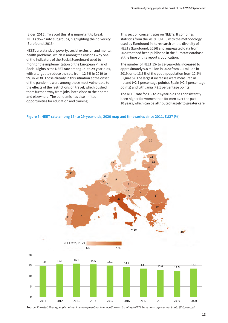(Elder, 2015). To avoid this, it is important to break NEETs down into subgroups, highlighting their diversity (Eurofound, 2016).

NEETs are at risk of poverty, social exclusion and mental health problems, which is among the reasons why one of the indicators of the Social Scoreboard used to monitor the implementation of the European Pillar of Social Rights is the NEET rate among 15- to 29-year-olds, with a target to reduce the rate from 12.6% in 2019 to 9% in 2030. Those already in this situation at the onset of the pandemic were among those most vulnerable to the effects of the restrictions on travel, which pushed them further away from jobs, both close to their home and elsewhere. The pandemic has also limited opportunities for education and training.

This section concentrates on NEETs. It combines statistics from the 2019 EU-LFS with the methodology used by Eurofound in its research on the diversity of NEETs (Eurofound, 2016) and aggregated data from 2020 that had been published in the Eurostat database at the time of this report's publication.

The number of NEET 15- to 29-year-olds increased to approximately 9.8 million in 2020 from 9.1 million in 2019, or to 13.6% of the youth population from 12.5% (Figure 5). The largest increases were measured in Ireland (+2.7 percentage points), Spain (+2.4 percentage points) and Lithuania (+2.1 percentage points).

The NEET rate for 15- to 29-year-olds has consistently been higher for women than for men over the past 10 years, which can be attributed largely to greater care





**Source:** *Eurostat, Young people neither in employment nor in education and training (NEET), by sex and age – annual data [lfsi\_neet\_a]*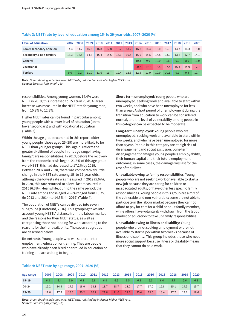| Level of education       | 2007 | 2008 | 2009 | 2010 | 2011 | 2012 | 2013 | 2014 | 2015 | 2016              | 2017 | 2018 | 2019 | 2020 |
|--------------------------|------|------|------|------|------|------|------|------|------|-------------------|------|------|------|------|
| Lower secondary or below | 14.4 | 14.7 | 16.3 | 16.8 | 17.8 | 18.2 | 18.2 | 16.8 | 16.4 | 16.0              | 15.3 | 14.7 | 14.3 | 15.0 |
| Secondary & non-tertiary | 13.3 | 12.8 | 14.8 | 15.4 | 15.5 | 16.1 | 16.5 | 16.0 | 15.5 | 14.8              | 13.9 | 13.2 | 12.7 | 14.1 |
| General                  |      |      |      |      |      |      |      | 10.3 | 9.9  | 10.0 <sub>1</sub> | 9.6  | 9.2  | 8.9  | 10.0 |
| Vocational               |      |      |      |      |      |      |      | 20.2 | 19.7 | 18.5              | 17.4 | 16.4 | 15.9 | 17.7 |
| Tertiary                 | 9.6  | 9.2  | 11.0 | 11.6 | 11.7 | 12.4 | 12.6 | 12.5 | 11.9 | 10.9              | 10.1 | 9.7  | 9.4  | 10.7 |

#### **Table 3: NEET rate by level of education among 15- to 29-year-olds, 2007–2020 (%)**

**Note:** *Green shading indicates lower NEET rate, red shading indicates higher NEET rate.* **Source:** *Eurostat [yth\_empl\_160]*

responsibilities. Among young women, 14.4% were NEET in 2019; this increased to 15.1% in 2020. A larger increase was measured in the NEET rate for young men, from 10.8% to 12.2%.

Higher NEET rates can be found in particular among young people with a lower level of education (up to lower secondary) and with vocational education (Table 3).

Within the age group examined in this report, older young people (those aged 25–29) are more likely to be NEET than younger groups. This, again, reflects the greater likelihood of people in this age range having family/care responsibilities. In 2013, before the recovery from the economic crisis began, 21.6% of this age group were NEET; this had decreased to 17.2% by 2019. Between 2007 and 2020, there was comparatively little change in the NEET rate among 15- to 19-year-olds, although the lowest rate was measured in 2019 (5.6%); in 2020, this rate returned to a level last measured in 2015 (6.3%). Meanwhile, during the same period, the NEET rate among those aged 20–24 ranged from 18.7% (in 2013 and 2014) to 14.5% (in 2019) (Table 4).

The population of NEETs can be divided into seven subgroups (Eurofound, 2016). This grouping takes into account young NEETs' distance from the labour market and the reasons for their NEET status, as well as categorising those not looking for work according to the reasons for their unavailability. The seven subgroups are described below.

**Re-entrants**: Young people who will soon re-enter employment, education or training. They are people who have already been hired or enrolled in education or training and are waiting to begin.

**Short-term unemployed**: Young people who are unemployed, seeking work and available to start within two weeks, and who have been unemployed for less than a year. A short period of unemployment during the transition from education to work can be considered normal, and the level of vulnerability among people in this category can be expected to be moderate.

**Long-term unemployed**: Young people who are unemployed, seeking work and available to start within two weeks, and who have been unemployed for more than a year. People in this category are at high risk of disengagement and social exclusion. Long-term disengagement damages young people's employability, their human capital and their future employment outcomes; in some cases, the damage will last for the rest of their lives.

**Unavailable owing to family responsibilities**: Young people who are not seeking work or available to start a new job because they are caring for children or incapacitated adults, or have other less specific family responsibilities. Young people in this group are a mix of the vulnerable and non-vulnerable; some are not able to participate in the labour market because they cannot afford to pay for care for a child or adult family member, while others have voluntarily withdrawn from the labour market or education to take up family responsibilities.

**Unavailable owing to illness or disability**: Young people who are not seeking employment or are not available to start a job within two weeks because of illness or disability. This group includes those who need more social support because illness or disability means that they cannot do paid work.

| Age range | 2007 | 2008 | 2009 | 2010 | 2011 | 2012 | 2013 | 2014 | 2015 | 2016 | 2017 | 2018 | 2019 | 2020 |
|-----------|------|------|------|------|------|------|------|------|------|------|------|------|------|------|
| $15 - 19$ | 6.3  | 6.4  | 6.9  | 6.8  | 6.8  | 6.8  | 6.6  | 6.5  | 6.3  | 6.1  | 6.0  | 5.7  | 5.6  | 6.3  |
| $20 - 24$ | 15.2 | 14.9 | 17.5 | 18.0 | 18.1 | 18.7 | 18.7 | 18.2 | 17.7 | 17.0 | 15.8 | 15.1 | 14.5 | 15.7 |
| $25 - 29$ | 17.6 | 17.2 | 19.3 | 20.2 | 20.2 | 21.6 | 21.6 | 21.1 | 20.4 | 19.5 | 18.4 | 17.7 | 17.2 | 18.6 |

#### **Table 4: NEET rate by age range, 2007–2020 (%)**

**Note:** *Green shading indicates lower NEET rate, red shading indicates higher NEET rate.* **Source:** *Eurostat [yth\_empl\_160]*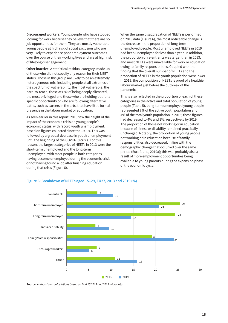**Discouraged workers**: Young people who have stopped looking for work because they believe that there are no job opportunities for them. They are mostly vulnerable young people at high risk of social exclusion who are very likely to experience poor employment outcomes over the course of their working lives and are at high risk of lifelong disengagement.

**Other inactive**: A statistical residual category, made up of those who did not specify any reason for their NEET status. Those in this group are likely to be an extremely heterogeneous mix, including people at all extremes of the spectrum of vulnerability: the most vulnerable, the hard-to-reach, those at risk of being deeply alienated, the most privileged and those who are holding out for a specific opportunity or who are following alternative paths, such as careers in the arts, that have little formal presence in the labour market or education.

As seen earlier in this report, 2013 saw the height of the impact of the economic crisis on young people's economic status, with record youth unemployment, based on figures collected since the 1990s. This was followed by a gradual decrease in youth unemployment until the beginning of the COVID-19 crisis. For this reason, the largest categories of NEETs in 2013 were the short-term unemployed and the long-term unemployed, with most people in both categories having become unemployed during the economic crisis or not having found a job after finishing education during that crisis (Figure 6).

When the same disaggregation of NEETs is performed on 2019 data (Figure 6), the most noticeable change is the decrease in the proportion of long-term unemployed people. Most unemployed NEETs in 2019 had been unemployed for less than a year. In addition, the proportion of re-entrants was larger than in 2013, and most NEETs were unavailable for work or education owing to family responsibilities. Coupled with the finding that the overall number of NEETs and the proportion of NEETs in the youth population were lower in 2019, the composition of NEETs is proof of a healthier labour market just before the outbreak of the pandemic.

This is also reflected in the proportion of each of these categories in the active and total population of young people (Table 5). Long-term unemployed young people represented 7% of the active youth population and 4% of the total youth population in 2013; these figures had decreased to 4% and 2%, respectively by 2019. The proportion of those not working or in education because of illness or disability remained practically unchanged. Notably, the proportion of young people not working or in education because of family responsibilities also decreased, in line with the demographic change that occurred over the same period (Eurofound, 2019a); this was probably also a result of more employment opportunities being available to young parents during the expansion phase of the economic cycle.



### **Figure 6: Breakdown of NEETs aged 15–29, EU27, 2013 and 2019 (%)**

**Source:** *Authors' own calculations based on EU-LFS 2013 and 2019 microdata*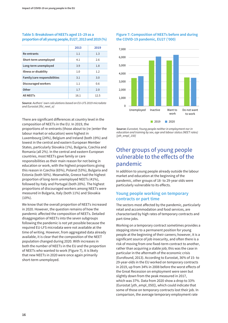#### <span id="page-21-0"></span>**Table 5: Breakdown of NEETs aged 15–29 as a proportion of all young people, EU27, 2013 and 2019 (%)**

|                              | 2013 | 2019 |
|------------------------------|------|------|
| Re-entrants                  | 1.1  | 1.3  |
| Short-term unemployed        | 4.1  | 2.6  |
| Long-term unemployed         | 3.9  | 1.8  |
| Illness or disability        | 1.0  | 1.2  |
| Family/care responsibilities | 3.1  | 3.0  |
| Discouraged workers          | 1.1  | 0.6  |
| Other                        | 1.7  | 2.0  |
| <b>All NEETs</b>             | 16.1 | 12.5 |

**Source:** *Authors' own calculations based on EU-LFS 2019 microdata and Eurostat [lfsi\_neet\_a]*

There are significant differences at country level in the composition of NEETs in the EU. In 2019, the proportions of re-entrants (those about to (re-)enter the labour market or education) were highest in Luxembourg (24%), Belgium and Ireland (both 19%) and lowest in the central and eastern European Member States, particularly Slovakia (1%), Bulgaria, Czechia and Romania (all 2%). In the central and eastern European countries, most NEETs gave family or care responsibilities as their main reason for not being in education or work, with the highest proportions giving this reason in Czechia (65%), Poland (53%), Bulgaria and Estonia (both 50%). Meanwhile, Greece had the highest proportion of long-term unemployed NEETs (41%), followed by Italy and Portugal (both 20%). The highest proportions of discouraged workers among NEETs were measured in Bulgaria, Italy (both 11%) and Slovakia (10%).

We know that the overall proportion of NEETs increased in 2020. However, the question remains of how the pandemic affected the composition of NEETs. Detailed disaggregation of NEETs into the seven subgroups following the pandemic is not yet possible because the required EU-LFS microdata were not available at the time of writing. However, from aggregated data already available, it is clear that the composition of the NEET population changed during 2020. With increases in both the number of NEETs in the EU and the proportion of NEETs who wanted to work (Figure 7), it is likely that new NEETs in 2020 were once again primarily short-term unemployed.

#### **Figure 7: Composition of NEETs before and during the COVID-19 pandemic, EU27 ('000)**



**Source:** *Eurostat, Young people neither in employment nor in education and training by sex, age and labour status (NEET rates) [yth\_empl\_150]*

# Other groups of young people vulnerable to the effects of the pandemic

In addition to young people already outside the labour market and education at the beginning of the pandemic, other groups of 18- to 29-year olds were particularly vulnerable to its effects.

### **Young people working on temporary contracts or part time**

The sectors most affected by the pandemic, particularly retail and accommodation and food services, are characterised by high rates of temporary contracts and part-time jobs.

Working on a temporary contract sometimes provides a stepping stone to a permanent position for young people at the beginning of their careers; however, it is a significant source of job insecurity, and often there is a risk of moving from one fixed-term contract to another, rather than acquiring a stable job; this was the case in particular in the aftermath of the economic crisis (Eurofound, 2013). According to Eurostat, 36% of 15- to 29-year-olds in the EU worked on temporary contracts in 2019, up from 34% in 2008 before the worst effects of the Great Recession on employment were seen but slightly down from the peak measured in 2017, which was 37%. Data from 2020 show a drop to 33% (Eurostat [yth\_empl\_050]), which could indicate that some of those on temporary contracts lost their job. In comparison, the average temporary employment rate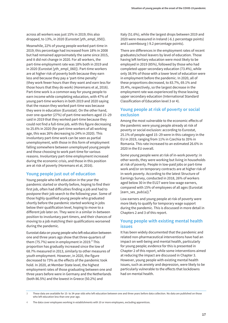across all workers was just 15% in 2019; this also dropped, to 13%, in 2020 (Eurostat [yth\_empl\_050]).

Meanwhile, 22% of young people worked part-time in 2019; this percentage had increased from 18% in 2008 but had remained approximately the same since 2015, and it did not change in 2020. For all workers, the part-time employment rate was 18% both in 2019 and in 2020 (Eurostat [yth\_empl\_060]). Part-time workers are at higher risk of poverty both because they earn less and because they pay a 'part-time penalty' (they work fewer hours than they want and earn less for those hours that they do work) (Horemans et al, 2016). Part-time work is a common way for young people to earn income while completing education, with 47% of young part-time workers in both 2019 and 2020 saying that the reason they worked part-time was because they were in education (Eurostat). On the other hand, over one-quarter (27%) of part-time workers aged 15–29 said in 2019 that they worked part-time because they could not find a full-time job, with this figure decreasing to 25.6% in 2020 (for part-time workers of all working age, this was 26% decreasing to 24% in 2020). This involuntary part-time work can be seen as partial unemployment, with those in this form of employment falling somewhere between unemployed young people and those choosing to work part-time for various reasons. Involuntary part-time employment increased during the economic crisis, and those in this position are at risk of poverty (Horemans et al, 2016).

### **Young people just out of education**

Young people who left education in the year the pandemic started or shortly before, hoping to find their first job, often had difficulties finding a job and had to postpone their job search to the following year. Some of those highly qualified young people who graduated shortly before the pandemic started working in jobs below their qualification level, hoping to move to a different job later on. They were in a similar in-between position to involuntary part-timers, and their chances of moving to a job matching their qualifications worsened during the pandemic.

Eurostat data on young people who left education between one and three years ago show that three-quarters of them (75.7%) were in employment in 2019. $^3$  This proportion has gradually increased since the low of 68.7% measured in 2013, similarly to other measures of youth employment. However, in 2020, the figure decreased to 73% as the effects of the pandemic took hold. In 2020, at Member State level, the highest employment rates of those graduating between one and three years before were in Germany and the Netherlands (both 86.5%) and the lowest in Greece (50.2%) and

Italy (51.6%), while the largest drops between 2019 and 2020 were measured in Ireland (-6.1 percentage points) and Luxembourg (-9.2 percentage points).

There are differences in the employment rates of recent graduates/school leavers by level of education. Those having left tertiary education were most likely to be employed in 2019 (85%), followed by those who had completed upper secondary education (73.4%), while only 38.9% of those with a lower level of education were in employment before the pandemic. In 2020, all of these proportions decreased, to 83.7%, 69.1% and 35.4%, respectively, so the largest decrease in the employment rate was experienced by those leaving upper secondary education (International Standard Classification of Education level 3 or 4).

### **Young people at risk of poverty or social exclusion**

Among the most vulnerable to the economic effects of the pandemic were young people already at risk of poverty or social exclusion: according to Eurostat, 25.1% of people aged 15–29 were in this category in the EU in 2019, ranging from 11% in Czechia to 35% in Romania. This rate increased to an estimated 26.6% in 2020 in the EU overall.

Some young people were at risk of in-work poverty: in other words, they were working but living in households at risk of poverty. People in low-paid jobs or part-time work and/or on temporary contracts are at higher risk of in-work poverty. According to the latest Structure of Earnings Survey, conducted in 2018, 26% of workers aged below 30 in the EU27 were low-wage earners, compared with 15% of employees of all ages (Eurostat [earn\_ses\_pub1a]).<sup>4</sup>

Low earners and young people at risk of poverty were more likely to qualify for temporary wage support during the pandemic. This is discussed in more detail in Chapters 2 and 3 of this report.

### **Young people with existing mental health issues**

It has been widely documented that the pandemic and related non-pharmaceutical interventions have had an impact on well-being and mental health, particularly for young people; evidence for this is presented in Chapter 2 of this report, while some interventions aimed at reducing the impact are discussed in Chapter 3. However, young people with existing mental health issues, such as anxiety and depression, were likely to be particularly vulnerable to the effects that lockdowns had on mental health.

**<sup>3</sup>** These data are available for 15- to 34-year olds who left education between one and three years before data collection. No data are published on those who left education less than one year ago.

**<sup>4</sup>** The data cover employees working in establishments with 10 or more employees, excluding apprentices.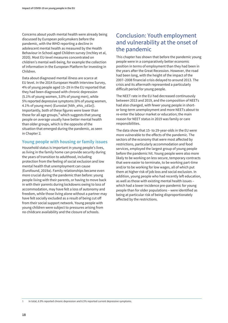<span id="page-23-0"></span>Concerns about youth mental health were already being discussed by European policymakers before the pandemic, with the WHO reporting a decline in adolescent mental health as measured by the Health Behaviour in School-aged Children survey (Inchley et al, 2020). Most EU-level measures concentrated on children's mental well-being, for example the collection of information in the European Platform for Investing in Children.

Data about diagnosed mental illness are scarce at EU level. In the 2014 European Health Interview Survey, 4% of young people aged 15–29 in the EU reported that they had been diagnosed with chronic depression (5.1% of young women, 3.0% of young men), while 5% reported depressive symptoms (6% of young women, 4.1% of young men) (Eurostat [hlth\_ehis\_cd1e]). Importantly, both of these figures were lower than those for all age groups,<sup>5</sup> which suggests that young people on average usually have better mental health than older groups, which is the opposite of the situation that emerged during the pandemic, as seen in Chapter 2.

### **Young people with housing or family issues**

Household status is important in young people's lives, as living in the family home can provide security during the years of transition to adulthood, including protection from the feeling of social exclusion and low mental health that unemployment can cause (Eurofound, 2019a). Family relationships became even more crucial during the pandemic than before: young people living with their parents, or having to move back in with their parents during lockdowns owing to loss of accommodation, may have felt a loss of autonomy and freedom, while those living alone without a partner may have felt socially excluded as a result of being cut off from their social support network. Young people with young children were subject to pressures arising from no childcare availability and the closure of schools.

# Conclusion: Youth employment and vulnerability at the onset of the pandemic

This chapter has shown that before the pandemic young people were in a comparatively better economic position in terms of employment than they had been in the years after the Great Recession. However, the road had been long, with the height of the impact of the 2007–2008 financial crisis delayed to around 2013. The crisis and its aftermath represented a particularly difficult period for young people.

The NEET rate in the EU had decreased continuously between 2013 and 2019, and the composition of NEETs had also changed, with fewer young people in shortor long-term unemployment and more NEETs about to re-enter the labour market or education; the main reason for NEET status in 2019 was family or care responsibilities.

The data show that 15- to 29-year-olds in the EU were more vulnerable to the effects of the pandemic. The sectors of the economy that were most affected by restrictions, particularly accommodation and food services, employed the largest group of young people before the pandemic hit. Young people were also more likely to be working on less secure, temporary contracts that were easier to terminate, to be working part-time and/or to be working for low wages, all of which put them at higher risk of job loss and social exclusion. In addition, young people who had recently left education, as well as those with existing mental health issues – which had a lower incidence pre-pandemic for young people than for older populations – were identified as being at particular risk of being disproportionately affected by the restrictions.

- 
- **5** In total, 6.9% reported chronic depression and 6.5% reported current depressive symptoms.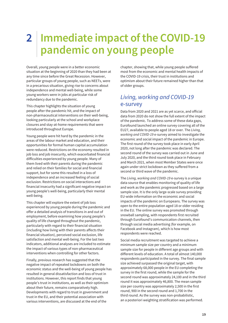# <span id="page-24-0"></span>**2 Immediate impact of the COVID-19 pandemic on young people**

Overall, young people were in a better economic situation at the beginning of 2020 than they had been at any time since before the Great Recession. However, particular groups of young people, such as NEETs, were in a precarious situation, giving rise to concerns about independence and mental well-being, while some young workers were in jobs at particular risk of redundancy due to the pandemic.

This chapter highlights the situation of young people after the pandemic hit, and the impact of non-pharmaceutical interventions on their well-being, looking particularly at the school and workplace closures and stay-at-home requirements that were introduced throughout Europe.

Young people were hit hard by the pandemic in the areas of the labour market and education, and their opportunities for formal human capital accumulation were reduced. Restrictions on the economy resulted in job loss and job insecurity, which exacerbated financial difficulties experienced by young people. Many of them lived with their parents during the pandemic and relied on their families for social and financial support, but for some this resulted in a loss of independence and an increased feeling of social exclusion. Restrictions on social interactions and financial insecurity had a significant negative impact on young people's well-being, particularly their mental well-being.

This chapter will explore the extent of job loss experienced by young people during the pandemic and offer a detailed analysis of transitions in and out of employment, before examining how young people's quality of life changed throughout the pandemic, particularly with regard to their financial situation (including how living with their parents affects their financial situation), perceived social exclusion, life satisfaction and mental well-being. For the last two indicators, additional analyses are included to estimate the impact of various types of non-pharmaceutical interventions when controlling for other factors.

Finally, previous research has suggested that the negative impact of repeated lockdowns on both the economic status and the well-being of young people has resulted in general dissatisfaction and loss of trust in institutions. However, this report finds that young people's trust in institutions, as well as their optimism about their future, remains comparatively high. Developments with regard to trust in government and trust in the EU, and their potential association with various interventions, are discussed at the end of the

chapter, showing that, while young people suffered most from the economic and mental health impacts of the COVID-19 crisis, their trust in institutions and optimism about their future remained higher than that of older groups.

# *Living, working and COVID-19* e-survey

Data from 2020 and 2021 are as yet scarce, and official data from 2020 do not show the full extent of the impact of the pandemic. To address some of these data gaps, Eurofound launched an online survey covering all of the EU27, available to people aged 18 or over. The *Living, working and COVID-19* e-survey aimed to investigate the economic and social impact of the pandemic in Europe. The first round of the survey took place in early April 2020, not long after the pandemic was declared. The second round of the survey was carried out in June and July 2020, and the third round took place in February and March 2021, when most Member States were once again under strict lockdown as they suffered from a second or third wave of the pandemic.

The *Living, working and COVID-19* e-survey is a unique data source that enables monitoring of quality of life and work as the pandemic progressed based on a large sample size. It is the only large-scale survey providing EU-wide information on the economic and social impacts of the pandemic on Europeans. The survey was open to the entire population aged 18 or older residing in the EU. The online survey was promoted through snowball sampling, with respondents first recruited through Eurofound's communication channels, then through social media advertising (for example, on Facebook and Instagram), which is how most respondents were reached.

Social media recruitment was targeted to achieve a minimum sample size per country and a minimum sample size for people in different age groups and with different levels of education. A total of almost 140,000 respondents participated in the survey. The final sample size achieved surpassed the original target, with approximately 68,000 people in the EU completing the survey in the first round, while the sample for the second round was approximately 24,100 and in the third round it was approximately 46,800. The mean sample size per country was approximately 2,500 in the first round, 900 in the second round and 1,700 in the third round. As the survey was non-probabilistic, an a posteriori weighting stratification was performed.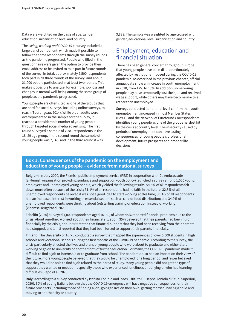<span id="page-25-0"></span>Data were weighted on the basis of age, gender, education, urbanisation level and country.

The *Living, working and COVID-19* e-survey included a large panel component, which made it possible to follow the same respondents through the survey rounds as the pandemic progressed. People who filled in the questionnaire were given the option to provide their email address to be invited to take part in future rounds of the survey. In total, approximately 9,500 respondents took part in all three rounds of the survey, and about 21,000 people participated in at least two rounds. This makes it possible to analyse, for example, job loss and changes in mental well-being among the same group of people as the pandemic progressed.

Young people are often cited as one of the groups that are hard for social surveys, including online surveys, to reach (Tourangeau, 2014). While older adults were overrepresented in the sample for the survey, it reached a considerable number of young people through targeted social media advertising. The first round surveyed a sample of 7,381 respondents in the 18–29 age group, in the second round the sample of young people was 2,143, and in the third round it was

3,828. The sample was weighted by age crossed with gender, educational level, urbanisation and country.

## Employment, education and financial situation

There has been general concern throughout Europe that young people have been disproportionately affected by restrictions imposed during the COVID-19 pandemic. As described in the previous chapter, official annual data show an increase in youth unemployment in 2020, from 12% to 13%. In addition, some young people may have temporarily lost their job and received wage support, while others may have become inactive rather than unemployed.

Surveys conducted at national level confirm that youth unemployment increased in most Member States (Box 1), and the Network of Eurofound Correspondents identifies young people as one of the groups hardest hit by the crisis at country level. The insecurity caused by periods of unemployment can have lasting consequences for young people's professional development, future prospects and broader life decisions.

### **Box 1: Consequences of the pandemic on the employment and education of young people – evidence from national surveys**

**Belgium**: In July 2020, the Flemish public employment service (PES) in cooperation with De Ambrassade (a Flemish organisation providing guidance and support on youth policy) launched a survey among 1,000 young employees and unemployed young people, which yielded the following results: 54.5% of all respondents felt down more often because of the crisis; 31.1% of all respondents had no faith in the future; 32.8% of all unemployed respondents believed it was not a good idea to start working at this time; 30.3% of all respondents had an increased interest in working in essential sectors such as care or food distribution; and 34.9% of unemployed respondents were thinking about (re)starting training or education instead of working (Vlaamse Jeugdraad, 2020).

Febelfin (2020) surveyed 1,000 respondents aged 16–30, of whom 45% reported financial problems due to the crisis. About one-third worried about their financial situation, 35% believed that their parents had been hurt financially by the crisis, about 35% stated that financial support that they had been receiving from their parents had stopped, and 1 in 8 reported that they had been forced to support their parents financially.

**Finland**: The University of Turku conducted a survey that mapped the experiences of over 5,000 students in high schools and vocational schools during the first months of the COVID-19 pandemic. According to the survey, the crisis particularly affected the lives and plans of young people who were about to graduate and either start working or go on to university or another form of further education. For many, the COVID-19 pandemic made it difficult to find a job or internship or to graduate from school. The pandemic also had an impact on their view of the future: more young people believed that they would be unemployed for a long period, and fewer believed that they would be able to find a job related to their area of study. Many young people did not get the type of support they wanted or needed – especially those who experienced loneliness or bullying or who had learning difficulties (Repo et al, 2020).

**Italy**: According to a survey conducted by Istituto Toniolo and Ipsos (Istituto Giuseppe Toniolo di Studi Superiori, 2020), 60% of young Italians believe that the COVID-19 emergency will have negative consequences for their future prospects (including those of finding a job, going to live on their own, getting married, having a child and moving to another city or country).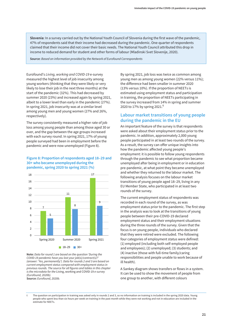**Slovenia**: In a survey carried out by the National Youth Council of Slovenia during the first wave of the pandemic, 47% of respondents said that their income had decreased during the pandemic. One-quarter of respondents claimed that their income did not cover their basic needs. The National Youth Council attributed this drop in income to reduced demand for student and other forms of labour (Mladinski Svet Slovenije, 2020).

**Source**: *Based on information provided by the Network of Eurofound Correspondents*

Eurofound's *Living, working and COVID-19* e-survey measured the highest level of job insecurity among young workers (thinking that they were likely or very likely to lose their job in the next three months) at the start of the pandemic (32%). This had decreased by summer 2020 (23%) and increased again by spring 2021, albeit to a lower level than early in the pandemic (27%). In spring 2021, job insecurity was at a similar level among young men and young women (27% and 26%, respectively).

The survey consistently measured a higher rate of job loss among young people than among those aged 30 or over, and the gap between the age groups increased with each survey round. In spring 2021, 17% of young people surveyed had been in employment before the pandemic and were now unemployed (Figure 8).

#### **Figure 8: Proportion of respondents aged 18–29 and 30+ who became unemployed during the pandemic, spring 2020 to spring 2021 (%)**



**Note:** *Data for round 1 are based on the question 'During the COVID-19 pandemic have you lost your job(s)/contract(s)?' (answer: 'Yes, permanently'). Data for rounds 2 and 3 are based on current employment status compared with employment status in previous rounds. The source for all figures and tables in this chapter is the microdata for the* Living, working and COVID-19 *e-survey (Eurofound, 2020b).* **Source:** *Eurofound, 2020b.*

By spring 2021, job loss was twice as common among young men as among young women (22% versus 11%); the difference had been smaller in summer 2020 (13% versus 10%). If the proportion of NEETs is estimated using employment status and participation in training, the proportion of NEETs participating in the survey increased from 14% in spring and summer 2020 to 17% by spring 2021.<sup>6</sup>

### **Labour market transitions of young people during the pandemic in the EU**

An important feature of the survey is that respondents were asked about their employment status prior to the pandemic. In addition, approximately 2,000 young people participated in at least two rounds of the survey. As a result, the survey can offer unique insights into how the pandemic affected young people's employment: it is possible to follow young respondents through the pandemic to see what proportion became unemployed after being in employment or in education pre-pandemic, at what point they became unemployed and whether they returned to the labour market. The following analysis focuses on the labour market transitions of young people aged 18–29, living in any EU Member State, who participated in at least two rounds of the survey.

The current employment status of respondents was recorded in each round of the survey, as was employment status prior to the pandemic. The first step in the analysis was to look at the transitions of young people between their pre-COVID-19 declared employment status and their employment situations during the three rounds of the survey. Given that the focus is on young people, individuals who declared that they were retired were excluded. The following four categories of employment status were defined: (1) employed (including both self-employed people and employees); (2) unemployed; (3) students; and (4) inactive (those with full-time family/caring responsibilities and people unable to work because of ill health).

A Sankey diagram shows transfers or flows in a system. It can be used to show the movement of people from one group to another, with different colours

**<sup>6</sup>** The question on participation in training was asked only in rounds 2 and 3, so no information on training is included in the spring 2020 data. Young people who spent less than six hours per week on training in the past month while they were not working and not in education are included in the estimate for NEETs.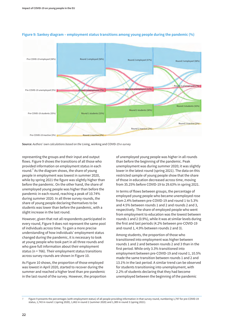

#### **Figure 9: Sankey diagram – employment status transitions among young people during the pandemic (%)**

**Source:** *Authors' own calculations based on the* Living, working and COVID-19 *e-survey* 

representing the groups and their input and output flows. Figure 9 shows the transitions of all those who provided information on employment status in each round.<sup>7</sup> As the diagram shows, the share of young people in employment was lowest in summer 2020, while by spring 2021 the figure was slightly higher than before the pandemic. On the other hand, the share of unemployed young people was higher than before the pandemic in each round, reaching a peak of 10.74% during summer 2020. In all three survey rounds, the share of young people declaring themselves to be students was lower than before the pandemic, with a slight increase in the last round.

However, given that not all respondents participated in every round, Figure 9 does not represent the same pool of individuals across time. To gain a more precise understanding of how individuals' employment status changed during the pandemic, it is necessary to look at young people who took part in all three rounds and who gave full information about their employment status (n = 766). Their employment status transitions across survey rounds are shown in Figure 10.

As Figure 10 shows, the proportion of those employed was lowest in April 2020, started to recover during the summer and reached a higher level than pre-pandemic in the last round of the survey. However, the proportion

of unemployed young people was higher in all rounds than before the beginning of the pandemic. Peak unemployment was during summer 2020; it was slightly lower in the latest round (spring 2021). The data on this restricted sample of young people show that the share of those in education decreased across time, moving from 35.25% before COVID-19 to 29.63% in spring 2021.

In terms of flows between groups, the percentage of employed young people who became unemployed rose from 2.4% between pre-COVID-19 and round 1 to 5.3% and 4.5% between rounds 1 and 2 and rounds 2 and 3, respectively. The share of employed people who went from employment to education was the lowest between rounds 1 and 2 (0.9%), while it was at similar levels during the first and last periods (4.2% between pre-COVID-19 and round 1, 4.9% between rounds 2 and 3).

Among students, the proportion of those who transitioned into employment was higher between rounds 1 and 2 and between rounds 2 and 3 than in the first period. While only 3.3% transitioned into employment between pre-COVID-19 and round 1, 10.5% made the same transition between rounds 1 and 2 and 13.1% in the last period. A similar trend can be observed for students transitioning into unemployment, with 2.2% of students declaring that they had become unemployed between the beginning of the pandemic

**<sup>7</sup>** Figure 9 presents the percentages (with employment status) of all people providing information in that survey round, numbering 1,797 for pre-COVID-19 status, 1,743 in round 1 (spring 2020), 1,462 in round 2 (summer 2020) and 1,389 in round 3 (spring 2021).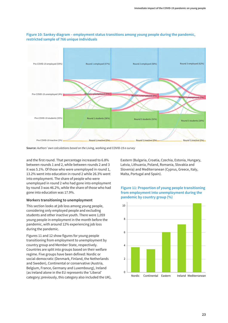

#### **Figure 10: Sankey diagram – employment status transitions among young people during the pandemic, restricted sample of 766 unique individuals**

**Source:** *Authors' own calculations based on the* Living, working and COVID-19 *e-survey*

and the first round. That percentage increased to 6.8% between rounds 1 and 2, while between rounds 2 and 3 it was 5.1%. Of those who were unemployed in round 1, 13.2% went into education in round 2 while 26.3% went into employment. The share of people who were unemployed in round 2 who had gone into employment by round 3 was 46.2%, while the share of those who had gone into education was 17.9%.

#### **Workers transitioning to unemployment**

This section looks at job loss among young people, considering only employed people and excluding students and other inactive youth. There were 1,059 young people in employment in the month before the pandemic, with around 12% experiencing job loss during the pandemic.

Figures 11 and 12 show figures for young people transitioning from employment to unemployment by country group and Member State, respectively. Countries are split into groups based on their welfare regime. Five groups have been defined: Nordic or social-democratic (Denmark, Finland, the Netherlands and Sweden), Continental or conservative (Austria, Belgium, France, Germany and Luxembourg), Ireland (as Ireland alone in the EU represents the 'Liberal' category; previously, this category also included the UK), Eastern (Bulgaria, Croatia, Czechia, Estonia, Hungary, Latvia, Lithuania, Poland, Romania, Slovakia and Slovenia) and Mediterranean (Cyprus, Greece, Italy, Malta, Portugal and Spain).

### **Figure 11: Proportion of young people transitioning from employment into unemployment during the pandemic by country group (%)**

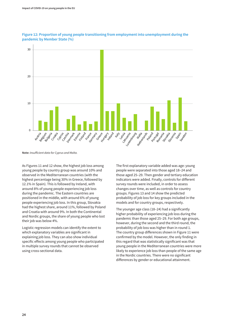

**Figure 12: Proportion of young people transitioning from employment into unemployment during the pandemic by Member State (%)**

**Note:** *Insufficient data for Cyprus and Malta.*

As Figures 11 and 12 show, the highest job loss among young people by country group was around 10% and observed in the Mediterranean countries (with the highest percentage being 30% in Greece, followed by 12.1% in Spain). This is followed by Ireland, with around 8% of young people experiencing job loss during the pandemic. The Eastern countries are positioned in the middle, with around 6% of young people experiencing job loss. In this group, Slovakia had the highest share, around 11%, followed by Poland and Croatia with around 9%. In both the Continental and Nordic groups, the share of young people who lost their job was below 4%.

Logistic regression models can identify the extent to which explanatory variables are significant in explaining job loss. They can also show individual specific effects among young people who participated in multiple survey rounds that cannot be observed using cross-sectional data.

The first explanatory variable added was age: young people were separated into those aged 18–24 and those aged 25–29. Then gender and tertiary education indicators were added. Finally, controls for different survey rounds were included, in order to assess changes over time, as well as controls for country groups. Figures 13 and 14 show the predicted probability of job loss for key groups included in the models and for country groups, respectively.

The younger age class (18–24) had a significantly higher probability of experiencing job loss during the pandemic than those aged 25–29. For both age groups, however, during the second and the third round, the probability of job loss was higher than in round 1. The country group differences shown in Figure 11 were confirmed by the model. However, the only finding in this regard that was statistically significant was that young people in the Mediterranean countries were more likely to experience job loss than people of the same age in the Nordic countries. There were no significant differences by gender or educational attainment.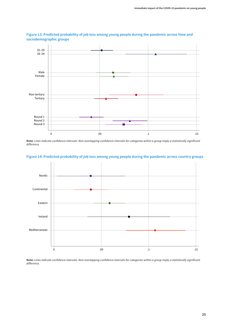

### **Figure 13: Predicted probability of job loss among young people during the pandemic across time and sociodemographic groups**

**Note:** *Lines indicate confidence intervals. Non-overlapping confidence intervals for categories within a group imply a statistically significant difference.*

### **Figure 14: Predicted probability of job loss among young people during the pandemic across country groups**



**Note:** *Lines indicate confidence intervals. Non-overlapping confidence intervals for categories within a group imply a statistically significant difference.*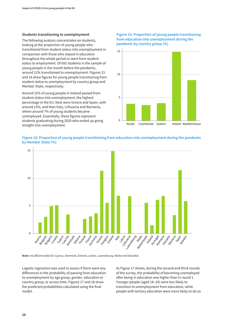#### **Students transitioning to unemployment**

The following analysis concentrates on students, looking at the proportion of young people who transitioned from student status into unemployment in comparison with those who stayed in education throughout the whole period or went from student status to employment. Of 692 students in the sample of young people in the month before the pandemic, around 12% transitioned to unemployment. Figures 15 and 16 show figures for young people transitioning from student status to unemployment by country group and Member State, respectively.

Around 15% of young people in Ireland passed from student status into unemployment, the highest percentage in the EU. Next were Greece and Spain, with around 13%, and then Italy, Lithuania and Romania, where around 7% of young students became unemployed. Essentially, these figures represent students graduating during 2020 who ended up going straight into unemployment.

### **Figure 15: Proportion of young people transitioning from education into unemployment during the pandemic by country group (%)**



### **Figure 16: Proportion of young people transitioning from education into unemployment during the pandemic by Member State (%)**



**Note:** *Insufficient data for Cyprus, Denmark, Estonia, Latvia, Luxembourg, Malta and Slovakia.*

Logistic regression was used to assess if there were any differences in the probability of passing from education to unemployment by age group, gender, education or country group, or across time. Figures 17 and 18 show the predicted probabilities calculated using the final model.

As Figure 17 shows, during the second and third rounds of the survey, the probability of becoming unemployed after being in education was higher than in round 1. Younger people (aged 18–24) were less likely to transition to unemployment from education, while people with tertiary education were more likely to do so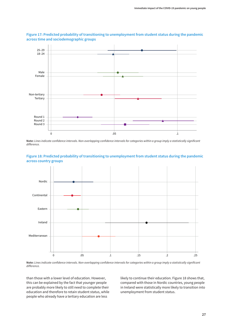

**Figure 17: Predicted probability of transitioning to unemployment from student status during the pandemic across time and sociodemographic groups**

**Note:** *Lines indicate confidence intervals. Non-overlapping confidence intervals for categories within a group imply a statistically significant difference.*





**Note:** *Lines indicate confidence intervals. Non-overlapping confidence intervals for categories within a group imply a statistically significant difference.*

than those with a lower level of education. However, this can be explained by the fact that younger people are probably more likely to still need to complete their education and therefore to retain student status, while people who already have a tertiary education are less

likely to continue their education. Figure 18 shows that, compared with those in Nordic countries, young people in Ireland were statistically more likely to transition into unemployment from student status.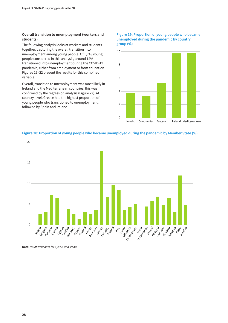### **Overall transition to unemployment (workers and students)**

The following analysis looks at workers and students together, capturing the overall transition into unemployment among young people. Of 1,748 young people considered in this analysis, around 12% transitioned into unemployment during the COVID-19 pandemic, either from employment or from education. Figures 19–22 present the results for this combined variable.

Overall, transition to unemployment was most likely in Ireland and the Mediterranean countries; this was confirmed by the regression analysis (Figure 22). At country level, Greece had the highest proportion of young people who transitioned to unemployment, followed by Spain and Ireland.

### **Figure 19: Proportion of young people who became unemployed during the pandemic by country group (%)**



### **Figure 20: Proportion of young people who became unemployed during the pandemic by Member State (%)**



**Note:** *Insufficient data for Cyprus and Malta.*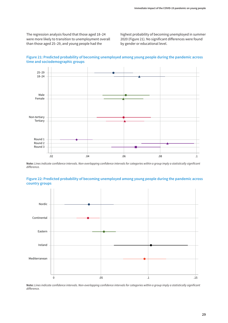The regression analysis found that those aged 18–24 were more likely to transition to unemployment overall than those aged 25–29, and young people had the

highest probability of becoming unemployed in summer 2020 (Figure 21). No significant differences were found by gender or educational level.



**Figure 21: Predicted probability of becoming unemployed among young people during the pandemic across time and sociodemographic groups**

**Note:** *Lines indicate confidence intervals. Non-overlapping confidence intervals for categories within a group imply a statistically significant difference.*



**Figure 22: Predicted probability of becoming unemployed among young people during the pandemic across country groups**

**Note:** *Lines indicate confidence intervals. Non-overlapping confidence intervals for categories within a group imply a statistically significant difference.*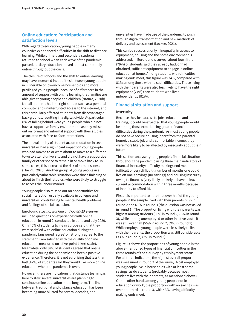### **Online education: Participation and satisfaction levels**

With regard to education, young people in many countries experienced difficulties in the shift to distance learning. While primary and secondary students returned to school when each wave of the pandemic passed, tertiary education moved almost completely online throughout the crisis.

The closure of schools and the shift to online learning may have increased inequalities between young people in vulnerable or low-income households and more privileged young people, because of differences in the amount of support with online learning that families are able give to young people and children (Nature, 2020b). Not all students had the right set-up, such as a personal computer and uninterrupted access to the internet, and this particularly affected students from disadvantaged backgrounds, resulting in a digital divide. At particular risk of falling behind were young people who did not have a supportive family environment, as they missed out on formal and informal support with their studies associated with face-to-face interactions.

The unavailability of student accommodation in several universities had a significant impact on young people who had moved to or were about to move to a different town to attend university and did not have a supportive family or other space to remain in or move back to. In some cases, this increased the risk of homelessness (The PIE, 2020). Another group of young people in a particularly vulnerable situation were those finishing or about to finish their studies, who were likely to struggle to access the labour market.

Young people also missed out on opportunities for social interaction usually available in colleges and universities, contributing to mental health problems and feelings of social exclusion.

Eurofound's *Living, working and COVID-19* e-survey included questions on experiences with online education in round 2, conducted in June and July 2020. Only 40% of students living in Europe said that they were satisfied with online education during the pandemic (answered 'agree' or 'strongly agree' to the statement 'I am satisfied with the quality of online education' measured on a five-point Likert scale). Meanwhile, only 38% of students agreed that online education during the pandemic had been a positive experience. Therefore, it is not surprising that less than half (42%) of students said they would like more online education when the pandemic is over.

However, there are indications that distance learning is here to stay: several universities are planning to continue online education in the long term. The line between traditional and distance education has been becoming more blurred for several decades, and

universities have made use of the pandemic to push through digital transformation and new methods of delivery and assessment (Lockee, 2021).

This can be successful only if inequality in access to equipment, housing and the home environment is addressed. In Eurofound's survey, about four-fifths (79%) of students said they already had, or had obtained, sufficient equipment to engage in online education at home. Among students with difficulties making ends meet, this figure was 74%, compared with 81% among those with no such difficulties. Those living with their parents were also less likely to have the right equipment (77%) than students who lived independently (82%).

### **Financial situation and support**

#### **Insecurity**

Because they lost access to jobs, education and training, it could be expected that young people would be among those experiencing greater financial difficulties during the pandemic. As most young people do not have secure housing (apart from the parental home), a stable job and a comfortable income, they were more likely to be affected by insecurity about their future.

This section analyses young people's financial situation throughout the pandemic using three main indicators of financial insecurity: difficulty makings end meet (difficult or very difficult), number of months one could live off one's savings (no savings) and housing insecurity owing to finances (very likely or likely to have to leave current accommodation within three months because of inability to afford it).

First, it is important to note that over half of the young people in the sample lived with their parents: 51% in round 2 and 61% in round 3 (the question was not asked in round 1). The proportion living with their parents was highest among students (66% in round 2, 75% in round 3), while among unemployed or other inactive youth it was still over half (55% in round 2, 59% in round 3). While employed young people were less likely to live with their parents, the proportion was still considerable (33% in round 2, 42% in round 3).

Figure 23 shows the proportions of young people in the above-mentioned types of financial difficulties in the three rounds of the e-survey by employment status. For all three indicators, the highest overall proportion was measured in round 2 of the survey. Most employed young people live in households with at least some savings, as do students (probably because most students live with their parents, as mentioned above). On the other hand, among young people not in education or work, the proportion with no savings was over one-third in round 3, with 43% having difficulty making ends meet.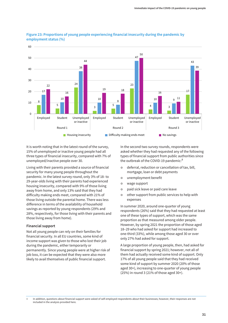

### **Figure 23: Proportions of young people experiencing financial insecurity during the pandemic by employment status (%)**

It is worth noting that in the latest round of the survey, 15% of unemployed or inactive young people had all three types of financial insecurity, compared with 7% of unemployed/inactive people over 30.

Living with their parents provided a source of financial security for many young people throughout the pandemic. In the latest survey round, only 3% of 18- to 29-year-olds living with their parents had experienced housing insecurity, compared with 9% of those living away from home, and only 13% said that they had difficulty making ends meet, compared with 21% of those living outside the parental home. There was less difference in terms of the availability of household savings as reported by young respondents (29% and 28%, respectively, for those living with their parents and those living away from home).

#### **Financial support**

Not all young people can rely on their families for financial security. In all EU countries, some kind of income support was given to those who lost their job during the pandemic, either temporarily or permanently. Since young people were at higher risk of job loss, it can be expected that they were also more likely to avail themselves of public financial support.

In the second two survey rounds, respondents were asked whether they had requested any of the following types of financial support from public authorities since the outbreak of the COVID-19 pandemic:<sup>8</sup>

- **•** deferral, reduction or cancellation of tax, bill, mortgage, loan or debt payments
- $\circ$  unemployment benefit
- o wage support
- $\bullet$  paid sick leave or paid care leave
- o other support from public services to help with expenses

In summer 2020, around one-quarter of young respondents (26%) said that they had requested at least one of these types of support, which was the same proportion as that measured among older people. However, by spring 2021 the proportion of those aged 18–29 who had asked for support had increased to one-third (33%), while among those aged 30 or over only 27% had asked for support.

A large proportion of young people, then, had asked for financial support by spring 2021; however, not all of them had actually received some kind of support. Only 17% of all young people said that they had received some kind of support by summer 2020 (20% of those aged 30+), increasing to one-quarter of young people (25%) in round 3 (21% of those aged 30+).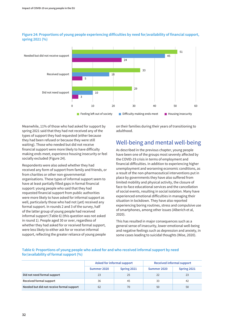

### **Figure 24: Proportions of young people experiencing difficulties by need for/availability of financial support, spring 2021 (%)**

Meanwhile, 11% of those who had asked for support by spring 2021 said that they had not received any of the types of support they had requested (either because they had been refused or because they were still waiting). Those who needed but did not receive financial support were more likely to have difficulty making ends meet, experience housing insecurity or feel socially excluded (Figure 24).

Respondents were also asked whether they had received any form of support from family and friends, or from charities or other non-governmental organisations. These types of informal support seem to have at least partially filled gaps in formal financial support: young people who said that they had requested financial support from public authorities were more likely to have asked for informal support as well, particularly those who had not (yet) received any formal support. In rounds 2 and 3 of the survey, half of the latter group of young people had received informal support (Table 6) (this question was not asked in round 1). People aged 30 or over, regardless of whether they had asked for or received formal support, were less likely to either ask for or receive informal support, reflecting the greater reliance of young people

on their families during their years of transitioning to adulthood.

# Well-being and mental well-being

As described in the previous chapter, young people have been one of the groups most severely affected by the COVID-19 crisis in terms of employment and financial difficulties. In addition to experiencing higher unemployment and worsening economic conditions, as a result of the non-pharmaceutical interventions put in place by governments they have also suffered from limited mobility and physical activity, the closure of face-to-face educational services and the cancellation of social events, resulting in social isolation. Many have experienced emotional difficulties in managing their situation in lockdown. They have also reported experiencing boring routines, stress and compulsive use of smartphones, among other issues (Alberich et al, 2020).

This has resulted in major consequences such as a general sense of insecurity, lower emotional well-being and negative feelings such as depression and anxiety, in some cases leading to suicidal thoughts (Wise, 2020).

### **Table 6: Proportions of young people who asked for and who received informal support by need for/availability of formal support (%)**

|                                           | Asked for informal support |             | <b>Received informal support</b> |             |
|-------------------------------------------|----------------------------|-------------|----------------------------------|-------------|
|                                           | Summer 2020                | Spring 2021 | Summer 2020                      | Spring 2021 |
| Did not need formal support               | 23                         | 25          | 22                               | 23          |
| Received formal support                   | 36                         | 45          | 33                               | 42          |
| Needed but did not receive formal support | 62                         | 70          | 50                               | 50          |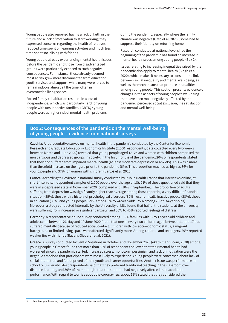Young people also reported having a lack of faith in the future and a lack of motivation to start working; they expressed concerns regarding the health of relatives, reduced time spent on learning activities and much less time spent socialising with friends.

Young people already experiencing mental health issues before the pandemic and those from disadvantaged groups were particularly exposed to such negative consequences. For instance, those already deemed most at risk grew more disconnected from education, youth services and support, while many were forced to remain indoors almost all the time, often in overcrowded living spaces.

Forced family cohabitation resulted in a loss of independence, which was particularly hard for young people with unsupportive families. LGBTIQ<sup>9</sup> young people were at higher risk of mental health problems

during the pandemic, especially where the family climate was negative (Gato et al, 2020); some had to suppress their identity on returning home.

Research conducted at national level since the beginning of the pandemic has found an increase in mental health issues among young people (Box 2).

Issues relating to increasing inequalities raised by the pandemic also apply to mental health (Singh et al, 2020), which makes it necessary to consider the link between social inequality and mental well-being, as well as the mechanisms that produce inequalities among young people. This section presents evidence of changes in the aspects of young people's well-being that have been most negatively affected by the pandemic: perceived social exclusion, life satisfaction and mental well-being.

# **Box 2: Consequences of the pandemic on the mental well-being of young people – evidence from national surveys**

**Czechia**: A representative survey on mental health in the pandemic conducted by the Center for Economic Research and Graduate Education – Economics Institute (2,500 respondents, data collected every two weeks between March and June 2020) revealed that young people aged 18–24 and women with children comprised the most anxious and depressed groups in society. In the first months of the pandemic, 20% of respondents stated that they had suffered from impaired mental health (at least moderate depression or anxiety). This was a more than threefold increase on the figure prior to the pandemic (6%). This proportion reached as high as 36% for young people and 37% for women with children (Bartoš et al, 2020).

**France**: According to CoviPrev (a national survey conducted by Public Health France that interviews online, at short intervals, independent samples of 2,000 people over the age of 18), 21% of those questioned said that they were in a depressed state in November 2020 (compared with 10% in September). The proportion of adults suffering from depression was significantly higher than average among those reporting a very difficult financial situation (35%), those with a history of psychological disorders (30%), economically inactive people (28%), those in education (30%) and young people (29% among 18- to 24-year-olds, 25% among 25- to 34-year-olds). Moreover, a study conducted internally by the University of Lille found that half of the students at the university were suffering from increased or significant anxiety, and 30% to 40% reported feelings of distress.

**Germany**: A representative online survey conducted among 1,586 families with 7- to 17-year-old children and adolescents between 26 May and 10 June 2020 found that one in every two children aged between 11 and 17 had suffered mentally because of reduced social contact. Children with low socioeconomic status, a migrant background or limited living space were affected significantly more. Among children and teenagers, 29% reported weaker ties with friends (Ravens-Sieberer et al, 2021).

**Greece**: A survey conducted by Sentio Solutions in October and November 2020 (ekathimerini.com, 2020) among young people in Greece found that more than 60% of respondents believed that their mental health had worsened since the pandemic started. Increased stress, monotony, pessimism and lack of motivation were the negative emotions that participants were most likely to experience. Young people were concerned about lack of social interaction and felt deprived of their youth and career opportunities. Another issue was performance at school or university. Most respondents said that they preferred traditional teaching in the classroom over distance learning, and 59% of them thought that the situation had negatively affected their academic performance. With regard to worries about the coronavirus, about 19% stated that they considered the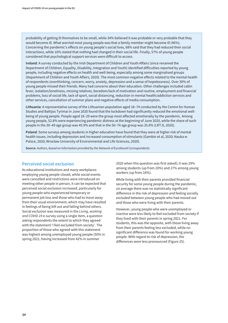probability of getting ill themselves to be small, while 34% believed it was probable or very probable that they would become ill. What worried most young people was that a family member might become ill (46%). Concerning the pandemic's effects on young people's social lives, 68% said that they had reduced their social interactions, while 10% stated that nothing had changed in their social life. Finally, 57% of young people considered that psychological support services were difficult to access.

**Ireland**: A survey conducted by the Irish Department of Children and Youth Affairs (since renamed the Department of Children, Equality, Disability, Integration and Youth) identified difficulties reported by young people, including negative effects on health and well-being, especially among some marginalised groups (Department of Children and Youth Affairs, 2020). The most common negative effects related to the mental health of respondents (overthinking, concern, worry, anxiety, depression and a sense of hopelessness). Over 30% of young people missed their friends. Many had concerns about their education. Other challenges included cabin fever, isolation/loneliness, missing relatives, boredom/lack of motivation and routine, employment and financial problems, loss of social life, lack of sport, social distancing, reduction in mental health/addiction services and other services, cancellation of summer plans and negative effects of media consumption.

**Lithuania**: A representative survey of the Lithuanian population aged 18–74 conducted by the Centre for Human Studies and Baltijos Tyrimai in June 2020 found that the lockdown had significantly reduced the emotional wellbeing of young people. People aged 18–29 were the group most affected emotionally by the pandemic. Among young people, 52.8% were experiencing pandemic distress at the beginning of June 2020, while the share of such people in the 30–49 age group was 45.9% and that in the 50–74 age group was 25.8% (LRT.lt, 2020).

**Poland**: Some surveys among students in higher education have found that they were at higher risk of mental health issues, including depression and increased consumption of stimulants (Gambin et al, 2020; Nauka w Polsce, 2020; Wrocław University of Environmental and Life Sciences, 2020).

**Source**: *Authors, based on information provided by the Network of Eurofound Correspondents*

### **Perceived social exclusion**

As educational institutions and many workplaces employing young people closed, while social events were cancelled and restrictions were introduced on meeting other people in person, it can be expected that perceived social exclusion increased, particularly for young people who experienced temporary or permanent job loss and those who had to move away from their usual environment, which may have resulted in feelings of being left out and falling behind others. Social exclusion was measured in the *Living, working and COVID-19* e-survey using a single item, a question asking respondents the extent to which they agreed with the statement 'I feel excluded from society'. The proportion of those who agreed with this statement was highest among unemployed young people (50% in spring 2021, having increased from 42% in summer

2020 when this question was first asked); it was 29% among students (up from 20%) and 27% among young workers (up from 16%).

While living with their parents provided financial security for some young people during the pandemic, on average there was no statistically significant difference in the risk of depression and feeling socially excluded between young people who had moved out and those who were living with their parents.

However, young people who were unemployed or inactive were less likely to feel excluded from society if they lived with their parents in spring 2021. For students, this was the opposite, with those living away from their parents feeling less excluded, while no significant difference was found for working young people. With regard to risk of depression, the differences were less pronounced (Figure 25).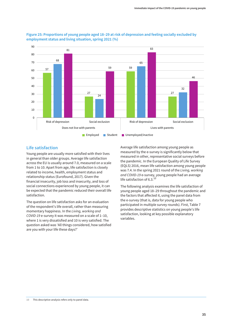

### **Figure 25: Proportions of young people aged 18–29 at risk of depression and feeling socially excluded by employment status and living situation, spring 2021 (%)**

# **Life satisfaction**

Young people are usually more satisfied with their lives in general than older groups. Average life satisfaction across the EU is usually around 7.0, measured on a scale from 1 to 10. Apart from age, life satisfaction is closely related to income, health, employment status and relationship status (Eurofound, 2017). Given the financial insecurity, job loss and insecurity, and loss of social connections experienced by young people, it can be expected that the pandemic reduced their overall life satisfaction.

The question on life satisfaction asks for an evaluation of the respondent's life overall, rather than measuring momentary happiness. In the *Living, working and COVID-19* e-survey it was measured on a scale of 1–10, where 1 is very dissatisfied and 10 is very satisfied. The question asked was 'All things considered, how satisfied are you with your life these days?'

Average life satisfaction among young people as measured by the e-survey is significantly below that measured in other, representative social surveys before the pandemic. In the European Quality of Life Survey (EQLS) 2016, mean life satisfaction among young people was 7.4. In the spring 2021 round of the *Living, working and COVID-19* e-survey, young people had an average life satisfaction of 6.3.10

The following analysis examines the life satisfaction of young people aged 18–29 throughout the pandemic and the factors that affected it, using the panel data from the e-survey (that is, data for young people who participated in multiple survey rounds). First, Table 7 provides descriptive statistics on young people's life satisfaction, looking at key possible explanatory variables.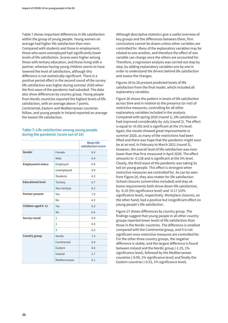Table 7 shows important differences in life satisfaction within the group of young people. Young women on average had higher life satisfaction than men. Compared with students and those in employment, those who were unemployed had significantly lower levels of life satisfaction. Scores were higher among those with tertiary education, and those living with a partner, whereas having young children seems to have lowered the level of satisfaction, although this difference is not statistically significant. There is a positive period effect in the second round of the survey: life satisfaction was higher during summer 2020 when the first wave of the pandemic had subsided. The data also show differences by country group. Young people from Nordic countries reported the highest levels of life satisfaction, with an average above 7 points. Continental, Eastern and Mediterranean countries follow, and young people in Ireland reported on average the lowest life satisfaction.

#### **Table 7: Life satisfaction among young people during the pandemic (score out of 10)**

|                          |                 | <b>Mean life</b><br>satisfaction score |
|--------------------------|-----------------|----------------------------------------|
| Gender                   | Female          | 6.6                                    |
|                          | Male            | 6.4                                    |
| <b>Employment status</b> | Employed        | 6.8                                    |
|                          | Unemployed      | 4.9                                    |
|                          | <b>Students</b> | 6.5                                    |
| <b>Educational level</b> | Tertiary        | 6.7                                    |
|                          | Non-tertiary    | 6.2                                    |
| Partner present          | Yes             | 7.0                                    |
|                          | <b>No</b>       | 6.3                                    |
| Children aged 0-11       | Yes             | 6.3                                    |
|                          | <b>No</b>       | 6.6                                    |
| Survey round             | $\mathbf{1}$    | 6.4                                    |
|                          | $\overline{2}$  | 6.9                                    |
|                          | 3               | 6.3                                    |
| Country group            | <b>Nordic</b>   | 7.3                                    |
|                          | Continental     | 6.9                                    |
|                          | Eastern         | 6.6                                    |
|                          | Ireland         | 5.7                                    |
|                          | Mediterranean   | 6.1                                    |

Although descriptive statistics give a useful overview of key groups and the differences between them, firm conclusions cannot be drawn unless other variables are controlled for. Many of the explanatory variables may be related to one another, and therefore the effect of one variable can change once the others are accounted for. Therefore, a regression analysis was carried out step by step, by adding explanatory variables one by one in order to understand the drivers behind life satisfaction and assess the changes.

Figures 26 to 28 present predicted levels of life satisfaction from the final model, which included all explanatory variables.

Figure 26 shows the pattern in levels of life satisfaction across time and in relation to the presence (or not) of restrictive measures, controlling for all other explanatory variables included in the analysis. Compared with spring 2020 (round 1), life satisfaction had improved considerably by July (round 2). The effect is equal to +0.392 and is significant at the 1% level. Again, the results showed great improvements in summer 2020, as many of the restrictions had been lifted and there was hope that the pandemic might soon be at an end. In February to March 2021 (round 3), however, the overall level of life satisfaction was even lower than that first measured in April 2020. The effect amounts to -0.138 and is significant at the 5% level. Clearly, the third wave of the pandemic was taking its toll on young people. This effect is strongest when restrictive measures are controlled for. As can be seen from Figure 26, they also matter for life satisfaction. School closures (universities included) and stay-athome requirements both drove down life satisfaction, by -0.19 (5% significance level) and -0.17 (10% significance level), respectively. Workplace closures, on the other hand, had a positive but insignificant effect on young people's life satisfaction.

Figure 27 shows differences by country group. The findings suggest that young people in all other country groups reported lower levels of life satisfaction than those in the Nordic countries. The difference is smallest compared with the Continental group, and it is not significant once restrictive measures are controlled for. For the other three country groups, the negative difference is stable, and the largest difference is found between Ireland and the Nordic group (-1.25, 1% significance level), followed by the Mediterranean countries (-0.99, 1% significance level) and finally the Eastern countries (-0.53, 1% significance level).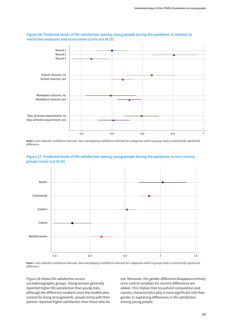

### **Figure 26: Predicted levels of life satisfaction among young people during the pandemic in relation to restrictive measures and across time (score out of 10)**

**Note:** *Lines indicate confidence intervals. Non-overlapping confidence intervals for categories within a group imply a statistically significant difference.*



#### **Figure 27: Predicted levels of life satisfaction among young people during the pandemic across country groups (score out of 10)**

**Note:** *Lines indicate confidence intervals. Non-overlapping confidence intervals for categories within a group imply a statistically significant difference.*

Figure 28 shows life satisfaction across sociodemographic groups. Young women generally reported higher life satisfaction than young men, although the difference weakens once the models also control for living arrangements: people living with their partner reported higher satisfaction than those who do not. Moreover, the gender difference disappears entirely once control variables for country differences are added. This implies that household composition and country characteristics play a more significant role than gender in explaining differences in life satisfaction among young people.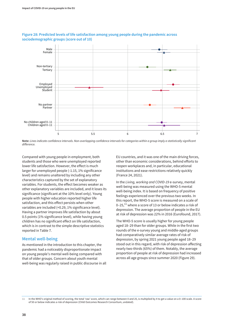

### **Figure 28: Predicted levels of life satisfaction among young people during the pandemic across sociodemographic groups (score out of 10)**

**Note:** *Lines indicate confidence intervals. Non-overlapping confidence intervals for categories within a group imply a statistically significant difference.*

Compared with young people in employment, both students and those who were unemployed reported lower life satisfaction. However, the effect is much larger for unemployed people (-1.15, 1% significance level) and remains unaltered by including any other characteristics captured by the set of explanatory variables. For students, the effect becomes weaker as other explanatory variables are included, and it loses its significance (significant at the 10% level only). Young people with higher education reported higher life satisfaction, and this effect persists when other variables are included (+0.29, 1% significance level). Having a partner improves life satisfaction by about 0.5 points (1% significance level), while having young children has no significant effect on life satisfaction, which is in contrast to the simple descriptive statistics reported in Table 7.

### **Mental well-being**

As mentioned in the introduction to this chapter, the pandemic had a noticeably disproportionate impact on young people's mental well-being compared with that of older groups. Concern about youth mental well-being was regularly raised in public discourse in all

EU countries, and it was one of the main driving forces, other than economic considerations, behind efforts to reopen workplaces and, in particular, educational institutions and ease restrictions relatively quickly (France 24, 2021).

In the *Living, working and COVID-19* e-survey, mental well-being was measured using the WHO-5 mental well-being index. It is based on frequency of positive feelings experienced over the previous two weeks. In this report, the WHO-5 score is measured on a scale of 0–25, $^{11}$  where a score of 13 or below indicates a risk of depression. The average proportion of people in the EU at risk of depression was 22% in 2016 (Eurofound, 2017).

The WHO-5 score is usually higher for young people aged 18–29 than for older groups. While in the first two rounds of the e-survey young and middle-aged groups had comparatively similar average rates of risk of depression, by spring 2021 young people aged 18–29 stood out in this regard, with risk of depression affecting nearly two-thirds (65%) of them. Notably, the average proportion of people at risk of depression had increased across all age groups since summer 2020 (Figure 29).

**<sup>11</sup>** In the WHO's original method of scoring, the total 'raw' score, which can range between 0 and 25, is multiplied by 4 to get a value on a 0–100 scale. A score of 50 or below indicates a risk of depression (Child Outcomes Research Consortium, undated).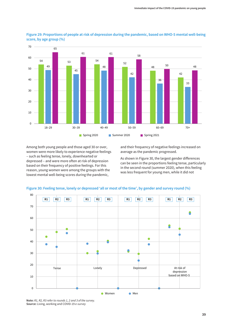

**Figure 29: Proportions of people at risk of depression during the pandemic, based on WHO-5 mental well-being score, by age group (%)**

Among both young people and those aged 30 or over, women were more likely to experience negative feelings – such as feeling tense, lonely, downhearted or depressed – and were more often at risk of depression based on their frequency of positive feelings. For this reason, young women were among the groups with the lowest mental well-being scores during the pandemic,

and their frequency of negative feelings increased on average as the pandemic progressed.

As shown in Figure 30, the largest gender differences can be seen in the proportions feeling tense, particularly in the second round (summer 2020), when this feeling was less frequent for young men, while it did not



#### **Figure 30: Feeling tense, lonely or depressed 'all or most of the time', by gender and survey round (%)**

**Note:** *R1, R2, R3 refer to rounds 1, 2 and 3 of the survey.* **Source:** Living, working and COVID-19 *e-survey*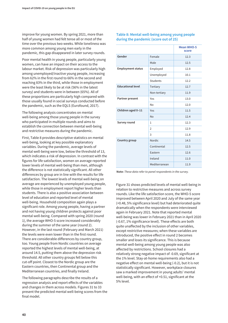improve for young women. By spring 2021, more than half of young women had felt tense all or most of the time over the previous two weeks. While loneliness was more common among young men early in the pandemic, this gap disappeared in later survey rounds.

Poor mental health in young people, particularly young women, can have an impact on their access to the labour market. Risk of depression was particularly high among unemployed/inactive young people, increasing from 62% in the first round to 66% in the second and reaching 83% in the third, while those in employment were the least likely to be at risk (56% in the latest survey) and students were in between (65%). All of these proportions are particularly high compared with those usually found in social surveys conducted before the pandemic, such as the EQLS (Eurofound, 2017).

The following analysis concentrates on mental well-being among those young people in the survey who participated in multiple rounds and aims to establish the connection between mental well-being and restrictive measures during the pandemic.

First, Table 8 provides descriptive statistics on mental well-being, looking at key possible explanatory variables. During the pandemic, average levels of mental well-being were low, below the threshold of 13, which indicates a risk of depression. In contrast with the figures for life satisfaction, women on average reported lower levels of mental well-being than men, although the difference is not statistically significant. All other differences by group are in line with the results for life satisfaction. The lowest levels of mental well-being on average are experienced by unemployed young people, while those in employment report higher levels than students. There is also a positive association between level of education and reported level of mental well-being. Household composition again plays a significant role. Among young people, having a partner and not having young children protects against poor mental well-being. Compared with spring 2020 (round 1), the average WHO-5 score increased considerably during the summer of the same year (round 2). However, in the last round (February and March 2021) the levels were even lower than in the first round. There are considerable differences by country group, too. Young people from Nordic countries on average reported the highest levels of mental well-being, at around 14.5, putting them above the depression risk threshold. All other country groups fell below this cut-off point. Closest to the Nordic group are the Eastern countries, then Continental group and the Mediterranean countries, and finally Ireland.

The following paragraphs describe the results of a regression analysis and report effects of the variables and changes in them across models. Figures 31 to 33 present the predicted mental well-being scores from the final model.

### **Table 8: Mental well-being among young people during the pandemic (score out of 25)**

|                          |                 | <b>Mean WHO-5</b><br>score |
|--------------------------|-----------------|----------------------------|
| Gender                   | Female          | 12.3                       |
|                          | Male            | 12.5                       |
| <b>Employment status</b> | Employed        | 12.8                       |
|                          | Unemployed      | 10.1                       |
|                          | <b>Students</b> | 12.2                       |
| <b>Educational level</b> | Tertiary        | 12.7                       |
|                          | Non-tertiary    | 11.9                       |
| Partner present          | Yes             | 13.0                       |
|                          | Nο              | 12.0                       |
| Children aged 0-11       | Yes             | 11.5                       |
|                          | <b>No</b>       | 12.4                       |
| Survey round             | $\mathbf{1}$    | 12.3                       |
|                          | $\overline{2}$  | 12.9                       |
|                          | 3               | 11.8                       |
| Country group            | <b>Nordic</b>   | 14.5                       |
|                          | Continental     | 12.5                       |
|                          | Eastern         | 12.6                       |
|                          | Ireland         | 11.0                       |
|                          | Mediterranean   | 11.9                       |

**Note:** *These data refer to panel respondents in the survey.*

Figure 31 shows predicted levels of mental well-being in relation to restrictive measures and across survey rounds. Like the life satisfaction score, the WHO-5 score improved between April 2020 and July of the same year (+0.48, 5% significance level) but had deteriorated quite dramatically when the respondents were interviewed again in February 2021. Note that reported mental well-being was lower in February 2021 than in April 2020 (-0.67, 1% significance level). These effects are both quite unaffected by the inclusion of other variables, except restrictive measures; when these variables are introduced, the positive effect in round 2 becomes smaller and loses its significance. This is because mental well-being among young people was also affected by restrictions. School closures had a relatively strong negative impact of -0.69, significant at the 1% level. Stay-at-home requirements also had a negative effect on mental well-being (-0.2), but it is not statistically significant. However, workplace closures saw a marked improvement in young adults' mental well-being, with an effect of +0.51, significant at the 5% level.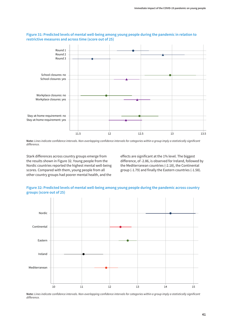

### **Figure 31: Predicted levels of mental well-being among young people during the pandemic in relation to restrictive measures and across time (score out of 25)**

**Note:** *Lines indicate confidence intervals. Non-overlapping confidence intervals for categories within a group imply a statistically significant difference.*

Stark differences across country groups emerge from the results shown in Figure 32. Young people from the Nordic countries reported the highest mental well-being scores. Compared with them, young people from all other country groups had poorer mental health, and the

effects are significant at the 1% level. The biggest difference, of -2.86, is observed for Ireland, followed by the Mediterranean countries (-2.18), the Continental group (-1.79) and finally the Eastern countries (-1.58).





**Note:** *Lines indicate confidence intervals. Non-overlapping confidence intervals for categories within a group imply a statistically significant difference.*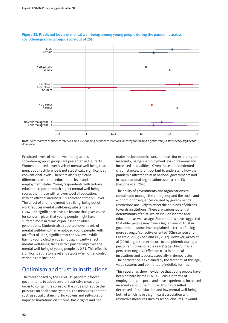

### **Figure 33: Predicted levels of mental well-being among young people during the pandemic across sociodemographic groups (score out of 25)**

**Note:** *Lines indicate confidence intervals. Non-overlapping confidence intervals for categories within a group imply a statistically significant difference.*

Predicted levels of mental well-being across sociodemographic groups are presented in Figure 33. Women reported lower levels of mental well-being than men, but this difference is not statistically significant at conventional levels. There are also significant differences related to educational level and employment status. Young respondents with tertiary education reported much higher mental well-being scores than those with a lower level of education, with an effect of around 0.5, significant at the 5% level. The effect of unemployment is striking: being out of work reduces mental well-being substantially (-1.62, 1% significance level), a feature that gives cause for concern, given that young people might have suffered more in terms of job loss than older generations. Students also reported lower levels of mental well-being than employed young people, with an effect of -0.47, significant at the 5% level. While having young children does not significantly affect mental well-being, living with a partner improves the mental well-being of young people by 0.51. This effect is significant at the 1% level and stable when other control variables are included.

# Optimism and trust in institutions

The threat posed by the COVID-19 pandemic forced governments to adopt several restrictive measures in order to contain the spread of the virus and reduce the pressure on healthcare systems. The measures adopted, such as social distancing, lockdowns and self-isolation, imposed limitations on citizens' basic rights and had

major socioeconomic consequences (for example, job insecurity, rising unemployment, loss of revenue and increased inequalities). Given these unprecedented circumstances, it is important to understand how the pandemic affected trust in national governments and in supranational organisations such as the EU (Falcone et al, 2020).

The ability of governments and organisations to contain and manage the emergency and the social and economic consequences caused by government's restrictions are likely to affect the opinions of citizens towards institutions. There are various potential determinants of trust, which include income and education, as well as age. Some studies have suggested that older people may have a higher level of trust in government, sometimes explained in terms of being more strongly 'collective oriented' (Christensen and Laegreid, 2005; Zhao and Hu, 2017). However, Aksoy et al (2020) argue that exposure to an epidemic during a person's 'impressionable years' (ages 18–25) has a persistent negative effect on trust in political institutions and leaders, especially in democracies. The persistence is explained by the fact that, at this age, value systems and opinions are indelibly formed.

This report has shown evidence that young people have been hit hard by the COVID-19 crisis in terms of employment prospects and have experienced increased insecurity about their future. This has resulted in decreased life satisfaction and low mental well-being, both of which have a significant association with restrictive measures such as school closures. It would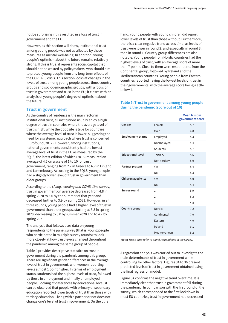not be surprising if this resulted in a loss of trust in government and the EU.

However, as this section will show, institutional trust among young people was not as affected by these measures as mental well-being. In addition, young people's optimism about the future remains relatively strong. If this is true, it represents social capital that should not be wasted by policymakers, who should aim to protect young people from any long-term effects of the COVID-19 crisis. This section looks at changes in the levels of trust among young people across time, country groups and sociodemographic groups, with a focus on trust in government and trust in the EU; it closes with an analysis of young people's degree of optimism about the future.

### **Trust in government**

As the country of residence is the main factor in institutional trust, all institutions usually enjoy a high degree of trust in countries where the average level of trust is high, while the opposite is true for countries where the average level of trust is lower, suggesting the need for a systemic approach where trust is concerned (Eurofound, 2017). However, among institutions, national governments consistently had the lowest average level of trust in the EU as measured by the EQLS, the latest edition of which (2016) measured an average of 4.5 on a scale of 1 to 10 for trust in government, ranging from 2.7 in Greece to 6.2 in Finland and Luxembourg. According to the EQLS, young people had a slightly lower level of trust in government than older groups.

According to the *Living, working and COVID-19* e-survey, trust in government on average decreased from 4.8 in spring 2020 to 4.6 by the summer of that year and decreased further to 3.9 by spring 2021. However, in all three rounds, young people had a higher level of trust in government than older groups, starting at 5.3 in spring 2020, decreasing to 5.0 by summer 2020 and to 4.2 by spring 2021.

The analysis that follows uses data on young respondents to the panel survey (that is, young people who participated in multiple survey rounds) to look more closely at how trust levels changed throughout the pandemic among the same group of people.

Table 9 provides descriptive statistics on trust in government during the pandemic among this group. There are significant gender differences in the average level of trust in government, with women reporting levels almost 1 point higher. In terms of employment status, students had the highest levels of trust, followed by those in employment and finally unemployed people. Looking at differences by educational level, it can be observed that people with primary or secondary education reported lower levels of trust than those with tertiary education. Living with a partner or not does not change one's level of trust in government. On the other

hand, young people with young children did report lower levels of trust than those without. Furthermore, there is a clear negative trend across time, as levels of trust were lower in round 2, and especially in round 3, than in round 1. Country group differences are also notable. Young people from Nordic countries had the highest levels of trust, with an average score of more than 7 points. Close to them were respondents from the Continental group, followed by Ireland and the Mediterranean countries. Young people from Eastern countries reported having the lowest levels of trust in their governments, with the average score being a little below 4.

### **Table 9: Trust in government among young people during the pandemic (score out of 10)**

|                          |                 | <b>Mean trust in</b><br>government score |
|--------------------------|-----------------|------------------------------------------|
| Gender                   | Female          | 5.7                                      |
|                          | Male            | 4.8                                      |
| <b>Employment status</b> | Employed        | 5.3                                      |
|                          | Unemployed      | 4.4                                      |
|                          | <b>Students</b> | 5.7                                      |
| <b>Educational level</b> | Tertiary        | 5.6                                      |
|                          | Non-tertiary    | 5.0                                      |
| Partner present          | Yes             | 5.4                                      |
|                          | N <sub>o</sub>  | 5.3                                      |
| Children aged 0-11       | Yes             | 5.0                                      |
|                          | No              | 5.4                                      |
| Survey round             | $\mathbf{1}$    | 5.9                                      |
|                          | $\mathfrak{D}$  | 5.2                                      |
|                          | 3               | 4.8                                      |
| Country group            | <b>Nordic</b>   | 7.2                                      |
|                          | Continental     | 7.0                                      |
|                          | Eastern         | 4.0                                      |
|                          | Ireland         | 6.1                                      |
|                          | Mediterranean   | 5.2                                      |

**Note:** *These data refer to panel respondents in the survey.*

A regression analysis was carried out to investigate the main determinants of trust in government while controlling for other factors. Figures 34 to 36 present predicted levels of trust in government obtained using the final regression model.

Figure 34 confirms the negative trend over time. It is immediately clear that trust in government fell during the pandemic. In comparison with the first round of the survey, which corresponded to the first lockdown in most EU countries, trust in government had decreased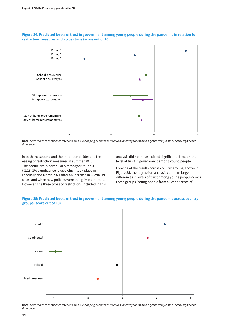

### **Figure 34: Predicted levels of trust in government among young people during the pandemic in relation to restrictive measures and across time (score out of 10)**

**Note:** *Lines indicate confidence intervals. Non-overlapping confidence intervals for categories within a group imply a statistically significant difference.*

in both the second and the third rounds (despite the easing of restriction measures in summer 2020). The coefficient is particularly strong for round 3 (-1.18, 1% significance level), which took place in February and March 2021 after an increase in COVID-19 cases and when new policies were being implemented. However, the three types of restrictions included in this analysis did not have a direct significant effect on the level of trust in government among young people.

Looking at the results across country groups, shown in Figure 35, the regression analysis confirms large differences in levels of trust among young people across these groups. Young people from all other areas of





**Note:** *Lines indicate confidence intervals. Non-overlapping confidence intervals for categories within a group imply a statistically significant difference.*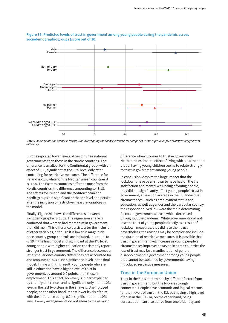

### **Figure 36: Predicted levels of trust in government among young people during the pandemic across sociodemographic groups (score out of 10)**

Europe reported lower levels of trust in their national governments than those in the Nordic countries. The difference is smallest for the Continental group, with an effect of -0.5, significant at the 10% level only after controlling for restrictive measures. The difference for Ireland is -1.4, while for the Mediterranean countries it is -1.95. The Eastern countries differ the most from the Nordic countries, the difference amounting to -3.18. The effects for Ireland and the Mediterranean and Nordic groups are significant at the 1% level and persist after the inclusion of restrictive measure variables in the model.

Finally, Figure 36 shows the differences between sociodemographic groups. The regression analysis confirmed that women had more trust in government than did men. This difference persists after the inclusion of other variables, although it is lower in magnitude once country group controls are included. It is equal to -0.59 in the final model and significant at the 1% level. Young people with higher education consistently report stronger trust in government. The difference becomes a little smaller once country differences are accounted for and amounts to -0.39 (1% significance level) in the final model. In line with this result, young people who are still in education have a higher level of trust in government, by around 0.2 points, than those in employment. This effect, however, is in part explained by country differences and is significant only at the 10% level in the last two steps in the analysis. Unemployed people, on the other hand, report lower levels of trust, with the difference being -0.24, significant at the 10% level. Family arrangements do not seem to make much

difference when it comes to trust in government. Neither the estimated effect of living with a partner nor that of having young children seems to relate strongly to trust in government among young people.

In conclusion, despite the large impact that the lockdowns have been shown to have had on the life satisfaction and mental well-being of young people, they did not significantly affect young people's trust in government, at least on average in the EU. Individual circumstances – such as employment status and education, as well as gender and the particular country the respondent lived in – were the main determining factors in governmental trust, which decreased throughout the pandemic. While governments did not lose the trust of young people directly as a result of lockdown measures, they did lose their trust nevertheless; the reasons may be complex and include the duration of restrictive measures. It is possible that trust in government will increase as young people's circumstances improve; however, in some countries the loss of trust may be a manifestation of general disappointment in government among young people that cannot be explained by governments having introduced restrictive measures.

### **Trust in the European Union**

Trust in the EU is determined by different factors from trust in government, but the two are strongly connected. People have economic and logical reasons for their levels of trust in the EU, but having a high level of trust in the EU – or, on the other hand, being eurosceptic – can also derive from one's identity and

**Note:** *Lines indicate confidence intervals. Non-overlapping confidence intervals for categories within a group imply a statistically significant difference.*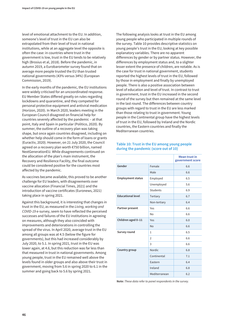level of emotional attachment to the EU. In addition, someone's level of trust in the EU can also be extrapolated from their level of trust in national institutions, while at an aggregate level the opposite is often the case: in countries where trust in the government is low, trust in the EU tends to be relatively high (Brosius et al, 2018). Before the pandemic, in autumn 2019, a Eurobarometer survey found that on average more people trusted the EU than trusted national governments (43% versus 34%) (European Commission, 2019).

In the early months of the pandemic, the EU institutions were widely criticised for an uncoordinated response. EU Member States differed greatly on rules regarding lockdowns and quarantine, and they competed for personal protective equipment and antiviral medication (Horizon, 2020). In March 2020, leaders meeting in the European Council disagreed on financial help for countries severely affected by the pandemic – at that point, Italy and Spain in particular (Politico, 2020). By summer, the outline of a recovery plan was taking shape, but once again countries disagreed, including on whether help should come in the form of loans or grants (Euractiv, 2020). However, on 21 July 2020, the Council agreed on a recovery plan worth €750 billion, named NextGenerationEU. While disagreements continued on the allocation of the plan's main instrument, the Recovery and Resilience Facility, the final outcome could be considered positive for the countries most affected by the pandemic.

As vaccines became available, this proved to be another challenge for EU leaders, with disagreements over vaccine allocation (Financial Times, 2021) and the introduction of vaccine certificates (Euronews, 2021) taking place in spring 2021.

Against this background, it is interesting that changes in trust in the EU, as measured in the *Living, working and COVID-19* e-survey, seem to have reflected the perceived successes and failures of the EU institutions in agreeing on measures, although they also coincided with improvements and deteriorations in controlling the spread of the virus. In April 2020, average trust in the EU among all groups was at 4.5 (below the figure for governments), but this had increased considerably by July 2020, to 5.1. In spring 2021, trust in the EU was lower again, at 4.6, but this reduction was far less than that measured in trust in national governments. Among young people, trust in the EU remained well above the levels found in older groups and also above their trust in government, moving from 5.6 in spring 2020 to 6.1 in the summer and going back to 5.6 by spring 2021.

The following analysis looks at trust in the EU among young people who participated in multiple rounds of the survey. Table 10 provides descriptive statistics on young people's trust in the EU, looking at key possible explanatory variables. There are no apparent differences by gender or by partner status. However, the differences by employment status and, to a slighter lesser extent the presence of children, are notable. As is the case for trust in national government, students reported the highest levels of trust in the EU, followed by those in employment and finally by unemployed people. There is also a positive association between level of education and level of trust. In contrast to trust in government, trust in the EU increased in the second round of the survey but then remained at the same level in the last round. The differences between country groups with regard to trust in the EU are less marked than those relating to trust in government. Young people in the Continental group have the highest levels of trust in the EU, followed by Ireland and the Nordic countries, the Eastern countries and finally the Mediterranean countries.

### **Table 10: Trust in the EU among young people during the pandemic (score out of 10)**

|                          |                 | <b>Mean trust in</b><br>government score |
|--------------------------|-----------------|------------------------------------------|
| Gender                   | Female          | 6.6                                      |
|                          | Male            | 6.6                                      |
| <b>Employment status</b> | Employed        | 6.5                                      |
|                          | Unemployed      | 5.6                                      |
|                          | <b>Students</b> | 6.9                                      |
| <b>Educational level</b> | Tertiary        | 6.7                                      |
|                          | Non-tertiary    | 6.4                                      |
| Partner present          | Yes             | 6.6                                      |
|                          | No              | 6.6                                      |
| Children aged 0-11       | Yes             | 6.0                                      |
|                          | <b>No</b>       | 6.6                                      |
| Survey round             | $\mathbf{1}$    | 6.5                                      |
|                          | $\overline{2}$  | 6.6                                      |
|                          | 3               | 6.6                                      |
| Country group            | <b>Nordic</b>   | 6.8                                      |
|                          | Continental     | 7.1                                      |
|                          | Eastern         | 6.4                                      |
|                          | Ireland         | 6.8                                      |
|                          | Mediterranean   | 6.2                                      |

**Note:** *These data refer to panel respondents in the survey.*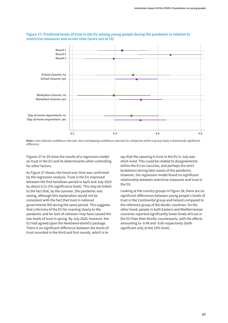

#### **Figure 37: Predicted levels of trust in the EU among young people during the pandemic in relation to restrictive measures and across time (score out of 10)**

**Note:** *Lines indicate confidence intervals. Non-overlapping confidence intervals for categories within a group imply a statistically significant difference.*

Figures 37 to 39 show the results of a regression model on trust in the EU and its determinants when controlling for other factors.

As Figure 37 shows, the trend over time was confirmed by the regression analysis. Trust in the EU improved between the first lockdown period in April and July 2020 by about 0.21 (5% significance level). This may be linked to the fact that, by the summer, the pandemic was easing, although this explanation would not be consistent with the fact that trust in national governments fell during the same period. This suggests that criticisms of the EU for reacting slowly to the pandemic and for lack of cohesion may have caused the low levels of trust in spring. By July 2020, however, the EU had agreed upon the NewGenerationEU package. There is no significant difference between the levels of trust recorded in the third and first rounds, which is to

say that the upswing in trust in the EU in July was short-lived. This could be related to disagreements within the EU on vaccines, and perhaps the strict lockdowns during later waves of the pandemic. However, the regression model found no significant relationship between restrictive measures and trust in the EU.

Looking at the country groups in Figure 38, there are no significant differences between young people's levels of trust in the Continental group and Ireland compared to the reference group of the Nordic countries. On the other hand, people in both Eastern and Mediterranean countries reported significantly lower levels of trust in the EU than their Nordic counterparts, with the effects amounting to -0.48 and -0.66 respectively (both significant only at the 10% level).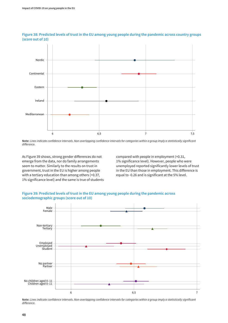

### **Figure 38: Predicted levels of trust in the EU among young people during the pandemic across country groups (score out of 10)**

**Note:** *Lines indicate confidence intervals. Non-overlapping confidence intervals for categories within a group imply a statistically significant difference.*

As Figure 39 shows, strong gender differences do not emerge from the data, nor do family arrangements seem to matter. Similarly to the results on trust in government, trust in the EU is higher among people with a tertiary education than among others (+0.37, 1% significance level) and the same is true of students

compared with people in employment (+0.31, 1% significance level). However, people who were unemployed reported significantly lower levels of trust in the EU than those in employment. This difference is equal to -0.26 and is significant at the 5% level.





**Note:** *Lines indicate confidence intervals. Non-overlapping confidence intervals for categories within a group imply a statistically significant difference.*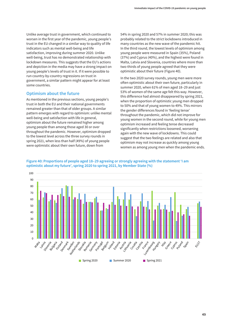Unlike average trust in government, which continued to worsen in the first year of the pandemic, young people's trust in the EU changed in a similar way to quality of life indicators such as mental well-being and life satisfaction, improving during summer 2020. Unlike well-being, trust has no demonstrated relationship with lockdown measures. This suggests that the EU's actions and depiction in the media may have a strong impact on young people's levels of trust in it. If it were possible to run country-by-country regressions on trust in government, a similar pattern might appear for at least some countries.

### **Optimism about the future**

As mentioned in the previous sections, young people's trust in both the EU and their national governments remained greater than that of older groups. A similar pattern emerges with regard to optimism: unlike mental well-being and satisfaction with life in general, optimism about the future remained higher among young people than among those aged 30 or over throughout the pandemic. However, optimism dropped to the lowest level across the three survey rounds in spring 2021, when less than half (49%) of young people were optimistic about their own future, down from

54% in spring 2020 and 57% in summer 2020; this was probably related to the strict lockdowns introduced in many countries as the new wave of the pandemic hit. In the third round, the lowest levels of optimism among young people were measured in Spain (35%), Poland (37%) and Cyprus (40%), and the highest were found in Malta, Latvia and Slovenia, countries where more than two-thirds of young people agreed that they were optimistic about their future (Figure 40).

In the two 2020 survey rounds, young men were more often optimistic about their own future, particularly in summer 2020, when 61% of men aged 18–29 and just 53% of women of the same age felt this way. However, this difference had almost disappeared by spring 2021, when the proportion of optimistic young men dropped to 50% and that of young women to 49%. This mirrors the gender differences found in 'feeling tense' throughout the pandemic, which did not improve for young women in the second round, while for young men optimism increased and feeling tense decreased significantly when restrictions loosened, worsening again with the new wave of lockdowns. This could suggest that the two feelings are related and also that optimism may not increase as quickly among young women as among young men when the pandemic ends.



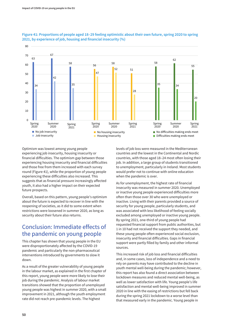

### **Figure 41: Proportions of people aged 18–29 feeling optimistic about their own future, spring 2020 to spring 2021, by experience of job, housing and financial insecurity (%)**

Optimism was lowest among young people experiencing job insecurity, housing insecurity or financial difficulties. The optimism gap between those experiencing housing insecurity and financial difficulties and those free from them increased with each survey round (Figure 41), while the proportion of young people experiencing these difficulties also increased. This suggests that as financial pressure increasingly affected youth, it also had a higher impact on their expected future prospects.

Overall, based on this pattern, young people's optimism about the future is expected to recover in line with the reopening of societies, as it did to some extent when restrictions were loosened in summer 2020, as long as security about their future also returns.

# Conclusion: Immediate effects of the pandemic on young people

This chapter has shown that young people in the EU were disproportionately affected by the COVID-19 pandemic and particularly the non-pharmaceutical interventions introduced by governments to slow it down.

As a result of the greater vulnerability of young people in the labour market, as explained in the first chapter of this report, young people were more likely to lose their job during the pandemic. Analysis of labour market transitions showed that the proportion of unemployed young people was highest in summer 2020, with a small improvement in 2021, although the youth employment rate did not reach pre-pandemic levels. The highest

levels of job loss were measured in the Mediterranean countries and the lowest in the Continental and Nordic countries, with those aged 18–24 most often losing their job. In addition, a large group of students transitioned to unemployment, particularly in Ireland. Most students would prefer not to continue with online education when the pandemic is over.

As for unemployment, the highest rate of financial insecurity was measured in summer 2020. Unemployed or inactive young people experienced difficulties more often than those over 30 who were unemployed or inactive. Living with their parents provided a source of security for young people, particularly students, and was associated with less likelihood of feeling socially excluded among unemployed or inactive young people. By spring 2021, one-third of young people had requested financial support from public authorities, but 1 in 10 had not received the support they needed, and these young people often experienced social exclusion, insecurity and financial difficulties. Gaps in financial support were partly filled by family and other informal sources.

This increased risk of job loss and financial difficulties and, in some cases, loss of independence and a need to rely on parents may have contributed to the decline in youth mental well-being during the pandemic; however, this report has also found a direct association between lockdown measures and reduced mental well-being, as well as lower satisfaction with life. Young people's life satisfaction and mental well-being improved in summer 2020 in line with the easing of restrictions but fell back during the spring 2021 lockdown to a worse level than that measured early in the pandemic. Young people in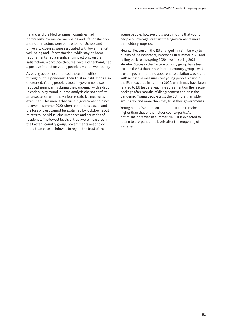Ireland and the Mediterranean countries had particularly low mental well-being and life satisfaction after other factors were controlled for. School and university closures were associated with lower mental well-being and life satisfaction, while stay-at-home requirements had a significant impact only on life satisfaction. Workplace closures, on the other hand, had a positive impact on young people's mental well-being.

As young people experienced these difficulties throughout the pandemic, their trust in institutions also decreased. Young people's trust in government was reduced significantly during the pandemic, with a drop in each survey round, but the analysis did not confirm an association with the various restrictive measures examined. This meant that trust in government did not recover in summer 2020 when restrictions eased, and the loss of trust cannot be explained by lockdowns but relates to individual circumstances and countries of residence. The lowest levels of trust were measured in the Eastern country group. Governments need to do more than ease lockdowns to regain the trust of their

young people; however, it is worth noting that young people on average still trust their governments more than older groups do.

Meanwhile, trust in the EU changed in a similar way to quality of life indicators, improving in summer 2020 and falling back to the spring 2020 level in spring 2021. Member States in the Eastern country group have less trust in the EU than those in other country groups. As for trust in government, no apparent association was found with restrictive measures, yet young people's trust in the EU recovered in summer 2020, which may have been related to EU leaders reaching agreement on the rescue package after months of disagreement earlier in the pandemic. Young people trust the EU more than older groups do, and more than they trust their governments.

Young people's optimism about the future remains higher than that of their older counterparts. As optimism increased in summer 2020, it is expected to return to pre-pandemic levels after the reopening of societies.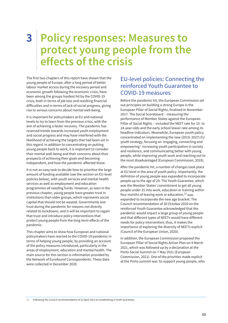# **3 Policy responses: Measures to protect young people from the effects of the crisis**

The first two chapters of this report have shown that the young people of Europe, after a long period of better labour market access during the recovery period and economic growth following the economic crisis, have been among the groups hardest hit by the COVID-19 crisis, both in terms of job loss and resulting financial difficulties and in terms of lack of social progress, giving rise to serious concerns about mental well-being.

It is important for policymakers at EU and national levels to try to learn from the previous crisis, with the aim of achieving a faster recovery. The pandemic has reversed trends towards increased youth employment and social progress and may have interfered with the likelihood of achieving the targets that had been set in this regard. In addition to concentrating on putting young people back to work, it is important to consider their mental well-being and their concerns about their prospects of achieving their goals and becoming independent, and how the pandemic affected these.

It is not an easy task to decide how to prioritise the large amount of funding available (see the section on EU-level policies below), with youth services and mental health services as well as employment and education programmes all needing funds. However, as seen in the previous chapter, young people have greater trust in institutions than older groups, which represents social capital that should not be wasted. Governments lost trust during the pandemic for reasons not directly related to lockdowns, and it will be important to regain that trust and introduce policy interventions that protect young people from the long-term effects of the pandemic.

This chapter aims to show how European and national policymakers have reacted to the COVID-19 pandemic in terms of helping young people, by providing an account of the policy measures introduced, particularly in the areas of employment, education and mental health. The main source for this section is information provided by the Network of Eurofound Correspondents. These data were collected in December 2020.

# EU-level policies: Connecting the reinforced Youth Guarantee to COVID-19 measures

Before the pandemic hit, the European Commission set out principles on building a strong Europe in the European Pillar of Social Rights, finalised in November 2017. The Social Scoreboard – measuring the performance of Member States against the European Pillar of Social Rights – included the NEET rate for 15- to 24-year-olds and the early school leaver rate among its headline indicators. Meanwhile, European youth policy concentrated on implementing the new (2019–2027) EU youth strategy, focusing on 'engaging, connecting and empowering': increasing youth participation in society and resilience, and communicating better with young people, while improving youth work and reaching out to the most disadvantaged (European Commission, 2018).

After the pandemic hit, a number of changes took place at EU level in the area of youth policy. Importantly, the definition of young people was expanded to incorporate people up to the age of 29. The Youth Guarantee, which was the Member States' commitment to get all young people under 25 into work, education or training within four months of leaving work or education, $12$  was expanded to incorporate the new age bracket. The Council recommendation of 30 October 2020 on the reinforced Youth Guarantee acknowledged that the pandemic would impact a large group of young people and that different types of NEETs would have different needs for policy intervention; thus, it makes the importance of exploring the diversity of NEETs explicit (Council of the European Union, 2020).

In addition, the European Commission proposed the European Pillar of Social Rights Action Plan on 4 March 2021, which was followed up by a declaration at the Porto Social Summit on 7 May 2021 (European Commission, 2021). One of the priorities made explicit at the Porto summit was 'to support young people, who

**12** Following the Council recommendation of 22 April 2013 on establishing a Youth Guarantee.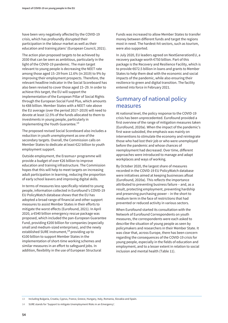have been very negatively affected by the COVID-19 crisis, which has profoundly disrupted their participation in the labour market as well as their education and training plans' (European Council, 2021).

The action plan proposed targets to be achieved by 2030 that can be seen as ambitious, particularly in the light of the COVID-19 pandemic. The main target relevant to young people is decreasing the NEET rate among those aged 15–29 from 12.6% (in 2019) to 9% by improving their employment prospects. Therefore, the relevant headline indicator in the Social Scoreboard has also been revised to cover those aged 15–29. In order to achieve this target, the EU will support the implementation of the European Pillar of Social Rights through the European Social Fund Plus, which amounts to €88 billion. Member States with a NEET rate above the EU average (over the period 2017–2019) will need to devote at least 12.5% of the funds allocated to them to investments in young people, particularly in implementing the Youth Guarantee. $^{13}$ 

The proposed revised Social Scoreboard also includes a reduction in youth unemployment as one of the secondary targets. Overall, the Commission calls on Member States to dedicate at least €22 billion to youth employment support.

Outside employment, the Erasmus+ programme will provide a budget of over €26 billion to improve education and training infrastructure. The Commission hopes that this will help to meet targets on increasing adult participation in learning, reducing the proportion of early school leavers and improving digital skills.

In terms of measures less specifically related to young people, information collected in Eurofound's COVID-19 EU PolicyWatch database shows that the EU has adopted a broad range of financial and other support measures to assist Member States in their efforts to mitigate the worst effects (Eurofound, 2021). In April 2020, a €540 billion emergency rescue package was proposed, which included the pan-European Guarantee Fund, providing €200 billion for companies (especially small and medium-sized enterprises), and the newly established SURE instrument,<sup>14</sup> providing up to €100 billion to support Member States in the implementation of short-time working schemes and similar measures in an effort to safeguard jobs. In addition, flexibility in the use of European Structural

Funds was increased to allow Member States to transfer money between different funds and target the regions most in need. The hardest-hit sectors, such as tourism, were also supported.

In July 2020, EU leaders agreed on NextGenerationEU, a recovery package worth €750 billion. Part of this package is the Recovery and Resilience Facility, which is to provide €672.5 billion in loans and grants to Member States to help them deal with the economic and social impacts of the pandemic, while also ensuring their resilience to green and digital transition. The facility entered into force in February 2021.

# Summary of national policy measures

At national level, the policy response to the COVID-19 crisis has been unprecedented. Eurofound provided a first overview of the range of mitigation measures taken (Eurofound, 2020a). When the impact of the pandemic's first wave subsided, the emphasis was mainly on interventions to stimulate the economy and reintegrate those who had lost their job or who were unemployed before the pandemic and whose chances of reemployment had decreased. Over time, different approaches were introduced to manage and adapt workplaces and ways of working.

By October 2020, the largest share of measures recorded in the COVID-19 EU PolicyWatch database were initiatives aimed at keeping businesses afloat (Eurofound, 2020a). This reflects the importance attributed to preventing business failure – and, as a result, protecting employment, preventing hardship and preserving purchasing power – in the short to medium term in the face of restrictions that had prevented or reduced activity in various sectors.

When Eurofound started its consultation with the Network of Eurofound Correspondents on youth measures, the correspondents were each asked to describe the situation of young people as seen by policymakers and researchers in their Member State. It was clear that, across Europe, there has been concern regarding the consequences of the COVID-19 crisis for young people, especially in the fields of education and employment, and to a lesser extent in relation to social inclusion and mental health (Table 11).

**14** SURE stands for 'Support to mitigate Unemployment Risks in an Emergency'.

**<sup>13</sup>** Including Bulgaria, Croatia, Cyprus, France, Greece, Hungary, Italy, Romania, Slovakia and Spain.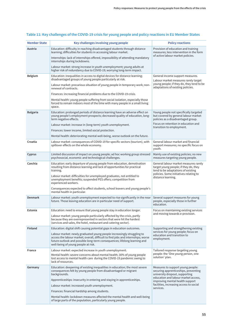| <b>Member State</b> | Key challenges involving young people                                                                                                                                                                                                                                          | <b>Policy reactions</b>                                                                                              |
|---------------------|--------------------------------------------------------------------------------------------------------------------------------------------------------------------------------------------------------------------------------------------------------------------------------|----------------------------------------------------------------------------------------------------------------------|
| Austria             | Education: difficulty in reaching disadvantaged students through distance<br>learning; difficulties for students in accessing labour market.                                                                                                                                   | Provision of education and training<br>measures; less intervention in the form                                       |
|                     | Internships: lack of internships offered, impossibility of attending mandatory<br>internships during lockdowns.                                                                                                                                                                | of active labour market policies.                                                                                    |
|                     | Labour market: strong increase in youth unemployment; young adults at<br>higher risk of redundancy due to COVID-19; worrying long-term impact.                                                                                                                                 |                                                                                                                      |
| Belgium             | Education: inequalities in access to digital devices for distance learning;<br>disadvantaged groups of young people particularly at risk.                                                                                                                                      | General income support measures.<br>Labour market measures rarely target                                             |
|                     | Labour market: precarious situation of young people in temporary work; non-<br>renewal of contracts.                                                                                                                                                                           | young people; if they do, they tend to be<br>adaptations of existing policies.                                       |
|                     | Finances: increasing financial problems due to the COVID-19 crisis.                                                                                                                                                                                                            |                                                                                                                      |
|                     | Mental health: young people suffering from social isolation, especially those<br>forced to remain indoors most of the time with many people in a small living<br>space.                                                                                                        |                                                                                                                      |
| <b>Bulgaria</b>     | Education: prolonged periods of distance learning have an adverse effect on<br>young people's employment prospects; decreased quality of education, long-<br>term negative effects.                                                                                            | Young people not specifically targeted<br>but covered by general labour market<br>policies as a disadvantaged group. |
|                     | Labour market: increase in (long-term) youth unemployment.                                                                                                                                                                                                                     | Focus on retention in education and<br>transition to employment.                                                     |
|                     | Finances: lower income, limited social protection.                                                                                                                                                                                                                             |                                                                                                                      |
| Croatia             | Mental health: deteriorating mental well-being, worse outlook on the future.                                                                                                                                                                                                   | General labour market and financial                                                                                  |
|                     | Labour market: consequences of COVID-19 for specific sectors (tourism), with<br>spillover effects on the whole economy.                                                                                                                                                        | support measures; no specific focus on<br>youth.                                                                     |
| Cyprus              | Limited discussion of impact on young people; ad hoc working group stressed<br>psychosocial, economic and technological challenges.                                                                                                                                            | Mainly use of existing policies; no new<br>measures targeting young people.                                          |
| Czechia             | Education: early departure of young people from education, demotivation<br>resulting from distance learning and lack of opportunities for practical<br>training.                                                                                                               | General labour market measures rarely<br>target young people; if they do, they<br>tend to be adaptations of existing |
|                     | Labour market: difficulties for unemployed graduates, not entitled to<br>unemployment benefits; suspended PES offers; competition from<br>experienced workers.                                                                                                                 | policies. Some initiatives relating to<br>distance learning.                                                         |
|                     | Consequences expected to affect students, school leavers and young people's<br>mental health in particular.                                                                                                                                                                    |                                                                                                                      |
| <b>Denmark</b>      | Labour market: youth unemployment expected to rise significantly in the near<br>future. Those leaving education are in particular need of support.                                                                                                                             | Several support measures for young<br>people, especially those in further<br>education.                              |
| Estonia             | Education: need to ensure that young people stay in education longer.                                                                                                                                                                                                          | Focus on maintaining existing services                                                                               |
|                     | Labour market: young people particularly affected by the crisis, partly<br>because they are overrepresented in sectors that were hit the hardest<br>(services and sales, the hotel, restaurant and catering sector).                                                           | and moving towards e-provision.                                                                                      |
| Finland             | Education: digital shift causing potential gaps in education outcomes.                                                                                                                                                                                                         | Supporting and strengthening existing                                                                                |
|                     | Labour market: newly graduated young people increasingly struggling to<br>access the labour market; overall, difficult to find jobs and internships; worse<br>future outlook and possible long-term consequences; lifelong learning and<br>well-being of young people at risk. | services for young people; focus on<br>education and transition to<br>employment.                                    |
| France              | Labour market: expected increase in youth unemployment.<br>Mental health: severe concerns about mental health; 30% of young people<br>lost access to mental health care during the COVID-19 pandemic owing to<br>lack of resources.                                            | Tailored response targeting young<br>people: the 'One young person, one<br>solution' plan.                           |
| Germany             | Education: deepening of existing inequalities in education; the most severe<br>consequences felt by young people from disadvantaged or migrant<br>backgrounds.                                                                                                                 | Measures to support young people:<br>securing apprenticeships, preventing<br>university dropout, supporting          |
|                     | Apprenticeships: insecurity in entering and staying in apprenticeships.                                                                                                                                                                                                        | education and labour market access,<br>improving mental health support                                               |
|                     | Labour market: increased youth unemployment.                                                                                                                                                                                                                                   | facilities, increasing access to social                                                                              |
|                     | Finances: financial hardship among students.                                                                                                                                                                                                                                   | services.                                                                                                            |
|                     | Mental health: lockdown measures affected the mental health and well-being<br>of large parts of the population, particularly young people.                                                                                                                                     |                                                                                                                      |

# **Table 11: Key challenges of the COVID-19 crisis for young people and policy reactions in EU Member States**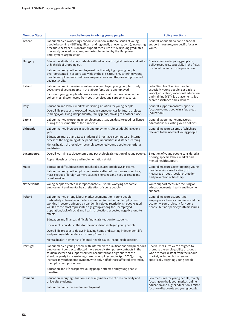| <b>Member State</b> | Key challenges involving young people                                                                                                                                                                                                                                                                                                                                                                                    | <b>Policy reactions</b>                                                                                                                                                                     |
|---------------------|--------------------------------------------------------------------------------------------------------------------------------------------------------------------------------------------------------------------------------------------------------------------------------------------------------------------------------------------------------------------------------------------------------------------------|---------------------------------------------------------------------------------------------------------------------------------------------------------------------------------------------|
| Greece              | Labour market: worsening economic situation, with thousands of young<br>people becoming NEET (significant and regionally uneven growth); increasing<br>precariousness; exclusion from support measures of 5,500 young graduates<br>previously covered by a programme implemented by the Manpower<br>Employment Organisation.                                                                                             | General labour market and financial<br>support measures; no specific focus on<br>youth.                                                                                                     |
| <b>Hungary</b>      | Education: digital divide; students without access to digital devices and skills<br>at high risk of dropping out.<br>Labour market: youth unemployment particularly high; young people<br>overrepresented in sectors badly hit by the crisis (tourism, catering); young<br>people's employment conditions are precarious and they are not protected                                                                      | Some attention to young people in<br>policy responses, especially in the fields<br>of education and income protection.                                                                      |
|                     | against layoffs.                                                                                                                                                                                                                                                                                                                                                                                                         |                                                                                                                                                                                             |
| Ireland             | Labour market: increasing numbers of unemployed young people. In July<br>2020, 45% of young people in the labour force were unemployed.                                                                                                                                                                                                                                                                                  | Jobs Stimulus ('Helping people,<br>especially young people, get back to                                                                                                                     |
|                     | Inclusion: young people who were already most at risk have become the<br>cohort most disconnected from youth services and support measures.                                                                                                                                                                                                                                                                              | work'), education, vocational education<br>and training (VET), job placements, job<br>search assistance and subsidies.                                                                      |
| Italy               | Education and labour market: worsening situation for young people.                                                                                                                                                                                                                                                                                                                                                       | General support measures; specific<br>focus on young people in a few areas                                                                                                                  |
|                     | Overall life prospects: expected negative consequences for future projects<br>(finding a job, living independently, family plans, moving to another place).                                                                                                                                                                                                                                                              | (education).                                                                                                                                                                                |
| Latvia              | Labour market: worsening unemployment situation, despite good resilience<br>during the first months of the pandemic.                                                                                                                                                                                                                                                                                                     | General labour market measures;<br>adaptations of existing youth policies.                                                                                                                  |
| Lithuania           | Labour market: increase in youth unemployment, almost doubling over a<br>year.                                                                                                                                                                                                                                                                                                                                           | General measures, some of which are<br>relevant to the needs of young people.                                                                                                               |
|                     | Education: more than 35,000 students did not have a computer or internet<br>access at the beginning of the pandemic; inequalities in distance learning.                                                                                                                                                                                                                                                                  |                                                                                                                                                                                             |
|                     | Mental health: the lockdown severely worsened young people's emotional<br>well-being.                                                                                                                                                                                                                                                                                                                                    |                                                                                                                                                                                             |
| Luxembourg          | Overall worrying socioeconomic and psychological situation of young people.                                                                                                                                                                                                                                                                                                                                              | Situation of young people considered a                                                                                                                                                      |
|                     | Apprenticeships: offers and implementation at risk.                                                                                                                                                                                                                                                                                                                                                                      | priority; specific labour market and<br>mental health support.                                                                                                                              |
| Malta               | Education: difficulties related to school closures and delays in exams.<br>Labour market: youth employment mainly affected by changes in sectors;<br>mass exodus of foreign workers causing shortages and need to retain and<br>reskill workers.                                                                                                                                                                         | General measures, few targeting young<br>people, mainly in education; no<br>measures on youth social protection<br>and prevention of hardship.                                              |
| Netherlands         | Young people affected disproportionately. Overall, worrying economic,<br>employment and mental health situation of young people.                                                                                                                                                                                                                                                                                         | Youth support measures focusing on<br>education, mental health and income<br>support.                                                                                                       |
| Poland              | Labour market: strong labour market segmentation; young people<br>particularly vulnerable in the labour market (non-standard employment,<br>working in sectors affected by pandemic-related restrictions); people aged<br>24-34 are the most represented age group among the unemployed<br>population; lack of social and health protection; expected negative long-term<br>effects.                                     | General measures supporting<br>employees, citizens, companies and the<br>economy, some relevant for young<br>people, but no specific youth measures.                                        |
|                     | Education and finances: difficult financial situation for students.                                                                                                                                                                                                                                                                                                                                                      |                                                                                                                                                                                             |
|                     | Social inclusion: difficulties for the most disadvantaged young people.                                                                                                                                                                                                                                                                                                                                                  |                                                                                                                                                                                             |
|                     | Overall life prospects: delays in leaving home and starting independent life<br>and prolonged dependence on family/parents.                                                                                                                                                                                                                                                                                              |                                                                                                                                                                                             |
|                     | Mental health: higher risk of mental health issues, including depression.                                                                                                                                                                                                                                                                                                                                                |                                                                                                                                                                                             |
| Portugal            | Labour market: young people with intermediate qualifications and precarious<br>employment contracts affected more severely (temporary contracts in the<br>tourism sector and support services accounted for a high share of the<br>absolute yearly increase in registered unemployment in April 2020); strong<br>increase in youth unemployment, with only half of those affected covered by<br>unemployment protection. | Several measures were designed to<br>promote the employability of groups<br>who are more distant from the labour<br>market, including but often not<br>specifically targeting young people. |
|                     | Education and life prospects: young people affected and young people<br>penalised.                                                                                                                                                                                                                                                                                                                                       |                                                                                                                                                                                             |
| Romania             | Education: worrying situation, especially in the case of pre-university and<br>university students.                                                                                                                                                                                                                                                                                                                      | Few measures for young people, mainly<br>focusing on the labour market, online<br>education and higher education; limited                                                                   |
|                     | Labour market: increased unemployment.                                                                                                                                                                                                                                                                                                                                                                                   | focus on disadvantaged young people.                                                                                                                                                        |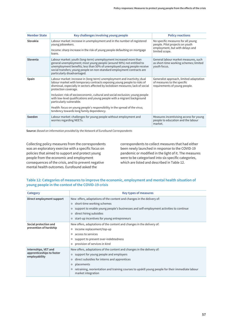| <b>Member State</b> | Key challenges involving young people                                                                                                                                                                                                                                                                                          | <b>Policy reactions</b>                                                                                  |
|---------------------|--------------------------------------------------------------------------------------------------------------------------------------------------------------------------------------------------------------------------------------------------------------------------------------------------------------------------------|----------------------------------------------------------------------------------------------------------|
| Slovakia            | Labour market: increase in unemployment and in the number of registered<br>young jobseekers.<br>Income: sharp increase in the risk of young people defaulting on mortgage                                                                                                                                                      | No specific measures for all young<br>people. Pilot projects on youth<br>employment, but with delays and |
|                     | loans.                                                                                                                                                                                                                                                                                                                         | limited scope.                                                                                           |
| Slovenia            | Labour market: youth (long-term) unemployment increased more than<br>general unemployment; most young people (around 90%) not entitled to<br>unemployment benefits; less than 50% of unemployed young people receive<br>social transfers; young people on non-standard employment contracts are<br>particularly disadvantaged. | General labour market measures, such<br>as short-time working schemes; limited<br>youth focus.           |
| Spain               | Labour market: increase in (long-term) unemployment and inactivity; dual<br>labour market with temporary contracts exposing young people to risks of<br>dismissal, especially in sectors affected by lockdown measures; lack of social<br>protection coverage.                                                                 | Generalist approach, limited adaptation<br>of measures to the specific<br>requirements of young people.  |
|                     | Inclusion: risk of socioeconomic, cultural and social exclusion; young people<br>with low-level qualifications and young people with a migrant background<br>particularly vulnerable.                                                                                                                                          |                                                                                                          |
|                     | Health: focus on young people's responsibility in the spread of the virus;<br>tendency towards long family dependency.                                                                                                                                                                                                         |                                                                                                          |
| Sweden              | Labour market: challenges for young people without employment and<br>worries regarding NEETs.                                                                                                                                                                                                                                  | Measures incentivising access for young<br>people to education and the labour<br>market.                 |

**Source:** *Based on information provided by the Network of Eurofound Correspondents*

Collecting policy measures from the correspondents was an exploratory exercise with a specific focus on policies that aimed to support and protect young people from the economic and employment consequences of the crisis, and to prevent negative mental health outcomes. Eurofound asked the

correspondents to collect measures that had either been newly launched in response to the COVID-19 pandemic or modified in the light of it. The measures were to be categorised into six specific categories, which are listed and described in Table 12.

### **Table 12: Categories of measures to improve the economic, employment and mental health situation of young people in the context of the COVID-19 crisis**

| Category                                                           | Key types of measures                                                                                                                                                                                                                                                                                                                           |  |
|--------------------------------------------------------------------|-------------------------------------------------------------------------------------------------------------------------------------------------------------------------------------------------------------------------------------------------------------------------------------------------------------------------------------------------|--|
| Direct employment support                                          | New offers, adaptations of the content and changes in the delivery of:<br>short-time working schemes<br>$\circ$                                                                                                                                                                                                                                 |  |
|                                                                    | support to enable young people's businesses and self-employment activities to continue<br>$\circ$<br>direct hiring subsidies<br>$\circ$<br>start-up incentives for young entrepreneurs<br>$\circ$                                                                                                                                               |  |
| Social protection and<br>prevention of hardship                    | New offers, adaptations of the content and changes in the delivery of:<br>income replacement/top-up<br>$\circ$<br>access to services<br>$\circ$<br>support to prevent over-indebtedness<br>$\circ$<br>provision of services in kind<br>$\circ$                                                                                                  |  |
| Internships, VET and<br>apprenticeships to foster<br>employability | New offers, adaptations of the content and changes in the delivery of:<br>support for young people and employers<br>$\circ$<br>direct subsidies for interns and apprentices<br>$\circ$<br>placements<br>$\circ$<br>retraining, reorientation and training courses to upskill young people for their immediate labour<br>o<br>market integration |  |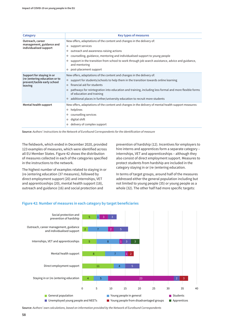| <b>Category</b>                                                                                      | <b>Key types of measures</b>                                                                                                                                                                                                                                                                                                                                                                                                                                |  |
|------------------------------------------------------------------------------------------------------|-------------------------------------------------------------------------------------------------------------------------------------------------------------------------------------------------------------------------------------------------------------------------------------------------------------------------------------------------------------------------------------------------------------------------------------------------------------|--|
| Outreach, career<br>management, guidance and<br>individualised support                               | New offers, adaptations of the content and changes in the delivery of:<br>• support services<br>outreach and awareness-raising actions<br>$\circ$<br>counselling, guidance, mentoring and individualised support to young people<br>o<br>support in the transition from school to work through job search assistance, advice and guidance,<br>o<br>and mentoring<br>post-placement support<br>$\circ$                                                       |  |
| Support for staying in or<br>(re-)entering education or to<br>prevent/tackle early school<br>leaving | New offers, adaptations of the content and changes in the delivery of:<br>support for students/schools to help them in the transition towards online learning<br>$\circ$<br>financial aid for students<br>$\circ$<br>pathways for reintegration into education and training, including less formal and more flexible forms<br>$\circ$<br>of education and training<br>additional places in further/university education to recruit more students<br>$\circ$ |  |
| Mental health support                                                                                | New offers, adaptations of the content and changes in the delivery of mental health support measures:<br>helplines<br>$\circ$<br>counselling services<br>o<br>digital shift<br>$\circ$<br>delivery of complex support                                                                                                                                                                                                                                       |  |

**Source:** *Authors' instructions to the Network of Eurofound Correspondents for the identification of measure*

The fieldwork, which ended in December 2020, provided 123 examples of measures, which were identified across all EU Member States. Figure 42 shows the distribution of measures collected in each of the categories specified in the instructions to the network.

The highest number of examples related to staying in or (re-)entering education (37 measures), followed by direct employment support (20) and internships, VET and apprenticeships (20), mental health support (18), outreach and guidance (16) and social protection and

prevention of hardship (12). Incentives for employers to hire interns and apprentices form a separate category – internships, VET and apprenticeships – although they also consist of direct employment support. Measures to protect students from hardship are included in the category staying in or (re-)entering education.

In terms of target groups, around half of the measures addressed either the general population including but not limited to young people (35) or young people as a whole (32). The other half had more specific targets:



### **Figure 42: Number of measures in each category by target beneficiaries**

**Source:** *Authors' own calculations, based on information provided by the Network of Eurofound Correspondents*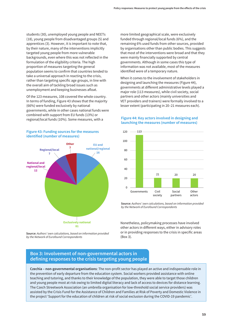students (30), unemployed young people and NEETs (18), young people from disadvantaged groups (5) and apprentices (3). However, it is important to note that, by their nature, many of the interventions implicitly targeted young people from more vulnerable backgrounds, even where this was not reflected in the formulation of the eligibility criteria. The high proportion of measures targeting the general population seems to confirm that countries tended to take a universal approach in reacting to the crisis, rather than targeting specific age groups, in line with the overall aim of tackling broad issues such as unemployment and keeping businesses afloat.

Of the 123 measures, 108 covered the whole country. In terms of funding, Figure 43 shows that the majority (66%) were funded exclusively by national governments, while in other cases national funds were combined with support from EU funds (13%) or regional/local funds (10%). Some measures, with a



**Figure 43: Funding sources for the measures identified (number of measures)**

**Source:** *Authors' own calculations, based on information provided by the Network of Eurofound Correspondents*

more limited geographical scale, were exclusively funded through regional/local funds (6%), and the remaining 6% used funds from other sources, provided by organisations other than public bodies. This suggests that most of the interventions were broad and that they were mainly financially supported by central governments. Although in some cases this type of information was not available, most of the measures identified were of a temporary nature.

When it comes to the involvement of stakeholders in designing and launching the measures (Figure 44), governments at different administrative levels played a major role (113 measures), while civil society, social partners and other actors (mainly universities and VET providers and trainers) were formally involved to a lesser extent (participating in 20–21 measures each).

### **Figure 44: Key actors involved in designing and launching the measures (number of measures)**



**Source:** *Authors' own calculations, based on information provided by the Network of Eurofound Correspondents*

Nonetheless, policymaking processes have involved other actors in different ways, either in advisory roles or in providing responses to the crisis in specific areas (Box 3).

# **Box 3: Involvement of non-governmental actors in defining responses to the crisis targeting young people**

**Czechia – non-governmental organisations**: The non-profit sector has played an active and indispensable role in the prevention of early departure from the education system. Social workers provided assistance with online teaching and tutoring, and thanks to their knowledge of the population, they were able to target those children and young people most at risk owing to limited digital literacy and lack of access to devices for distance learning. The Czech Streetwork Association (an umbrella organisation for low-threshold social service providers) was assisted by the Crisis Fund for the Assistance of Children and Families at Risk of Poverty and Domestic Violence in the project 'Support for the education of children at risk of social exclusion during the COVID-19 pandemic'.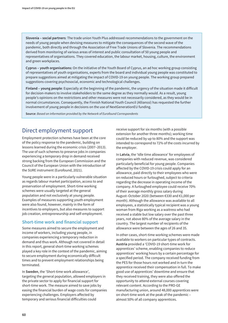**Slovenia – social partners**: The trade union Youth Plus addressed recommendations to the government on the needs of young people when devising measures to mitigate the consequences of the second wave of the pandemic, both directly and through the Association of Free Trade Unions of Slovenia. The recommendations derived from monitoring of various areas of interest and public consultation of 50 young people and representatives of organisations. They covered education, the labour market, housing, culture, the environment and green workplaces.

**Cyprus – youth organisations:** On the initiative of the Youth Board of Cyprus, an ad hoc working group consisting of representatives of youth organisations, experts from the board and individual young people was constituted to prepare suggestions aimed at mitigating the impact of COVID-19 on young people. The working group prepared suggestions covering psychosocial, economic and technological challenges.

**Finland – young people**: Especially at the beginning of the pandemic, the urgency of the situation made it difficult for decision-makers to involve stakeholders to the same degree as they normally would. As a result, young people's opinions on the restrictions and other measures were not necessarily considered, as they would be in normal circumstances. Consequently, the Finnish National Youth Council (Allianssi) has requested the further involvement of young people in decisions on the use of NextGenerationEU funding.

**Source**: *Based on information provided by the Network of Eurofound Correspondents*

# Direct employment support

Employment protection schemes have been at the core of the policy response to the pandemic, building on lessons learned during the economic crisis (2007–2013). The use of such schemes to preserve jobs in companies experiencing a temporary drop in demand received strong backing from the European Commission and the Council of the European Union with the introduction of the SURE instrument (Eurofound, 2021).

Young people were in a particularly vulnerable situation as regards labour market participation, access to and preservation of employment. Short-time working schemes were usually targeted at the general population and not exclusively at young people. Examples of measures supporting youth employment were also found, however, mainly in the form of incentives to employers, but also measures to support job creation, entrepreneurship and self-employment.

### **Short-time work and financial support**

Some measures aimed to secure the employment and income of workers, including young people, in companies experiencing a temporary reduction in demand and thus work. Although not covered in detail in this report, general short-time working schemes played a key role in the context of the pandemic, aiming to secure employment during economically difficult times and to prevent employment relationships being terminated.

In **Sweden**, the 'Short-time work allowance', targeting the general population, allowed employers in the private sector to apply for financial support for short-time work. The measure aimed to save jobs by easing the financial burden of wage costs for companies experiencing challenges. Employers affected by temporary and serious financial difficulties could

receive support for six months (with a possible extension for another three months); working time could be reduced by up to 80% and the support was intended to correspond to 72% of the costs incurred by the employer.

In Latvia, the 'Idle time allowance' for employees of companies with reduced revenue, was considered particularly beneficial for young people. Companies affected by the COVID-19 crisis could apply for an allowance, paid directly to their employees who were on reduced hours or furloughed, subject to criteria regarding the decrease in operating income of the company. A furloughed employee could receive 70% of their average monthly gross salary during August–October 2020 (between €330 and €1,000 per month). Although the allowance was available to all employees, a statistically typical recipient was a young woman from Riga working as a waitress who had received a stable but low salary over the past three years, not above 80% of the average salary in the country. The largest number of recipients of the allowance were between the ages of 26 and 35.

In other cases, short-time working schemes were made available to workers on particular types of contracts. **Austria** provided a 'COVID-19 short-time work for apprentices' scheme, enabling companies to reduce apprentices' working hours by a certain percentage for a specified period. The company received funding from the PES for those hours not worked and in turn the apprentice received their compensation in full. To make good use of apprentices' downtime and ensure that they received training, they were also offered the opportunity to attend external courses covering relevant content. According to the PRO-GE manufacturing union, around 48,000 apprentices were on short-time work at the peak of the pandemic – almost 50% of all company apprentices.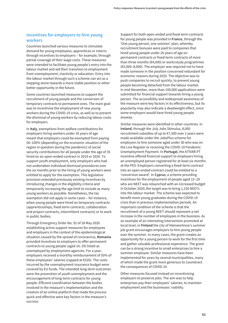### **Incentives for employers to hire young workers**

Countries launched various measures to stimulate demand for young employees, apprentices or interns through incentives to employers – for example, through partial coverage of their wage costs. These measures were intended to facilitate young people's entry into the labour market and aid their transition to employment from unemployment, inactivity or education. Entry into the labour market through such a scheme can act as a stepping stone towards a more stable position or other better opportunity in the future.

Some countries launched measures to support the recruitment of young people and the conversion of temporary contracts to permanent ones. The main goal was to incentivise the employment of new young workers during the COVID-19 crisis, as well as to prevent the dismissal of young workers by reducing labour costs for employers.

In **Italy**, exemptions from welfare contributions for employers hiring workers under 35 years of age meant that employers could be exempted from paying 50–100% (depending on the economic situation of the region in question during the pandemic) of social security contributions for all people under the age of 35 hired on an open-ended contract in 2019 or 2020. To support youth employment, only employers who had not undertaken individual dismissal procedures over the six months prior to the hiring of young workers were entitled to apply for the exemption. This legislative provision extended previously existing incentives by introducing changes in the eligibility criteria and temporarily increasing the age limit to include as many young workers as possible. Nonetheless, the tax exemption did not apply in some cases – for instance, when young people were hired on temporary contracts (apprenticeships, fixed-term contracts, collaboration and project contracts, intermittent contracts) or to work in public bodies.

Through Emergency Order No. 92 of 28 May 2020 establishing active support measures for employees and employers in the context of the epidemiological situation caused by the spread of coronavirus, **Romania** provided incentives to employers to offer permanent contracts to young people (aged 16–29) listed as unemployed by employment agencies. For a year, employers received a monthly reimbursement of 50% of these employees' salaries (capped at €520). The costs incurred by the unemployment insurance budget were covered by EU funds. The intended long-term outcomes were the prevention of youth unemployment and the encouragement of long-term contracts for young people. Efficient coordination between the bodies involved in the measure's implementation and the creation of an online platform that made the process quick and effective were key factors in the measure's success.

Support for both open-ended and fixed-term contracts for young people was provided in **France**, through the 'One young person, one solution' plan, whereby recruitment bonuses were paid to companies that hired young people under 26 years of age on permanent contracts or fixed-term contracts of more than three months (€4,000) or work/study programmes (€5,000–8,000). The employer was required not to have made someone in the position concerned redundant for economic reasons during 2020. The objective was to push companies to recruit quickly, to prevent young people becoming detached from the labour market. In mid-November, more than 100,000 applications were submitted for financial support towards hiring a young person. The accessibility and widespread awareness of the measure were key factors in its effectiveness, but its popularity may also indicate a deadweight effect, since some employers would have hired young people anyway.

Similar measures were identified in other countries. In **Ireland**, through the July Jobs Stimulus, 8,000 recruitment subsidies of up to €7,500 over 2 years were made available under the JobsPlus scheme for employers to hire someone aged under 30 who was on the Live Register or receiving the COVID-19 Pandemic Unemployment Payment. In **Portugal**, the ATIVAR.PT incentive offered financial support to employers hiring an unemployed person registered for at least six months at the PES. Employers converting a fixed-term contract into an open-ended contract could be entitled to a 'conversion award'. In **Cyprus**, a scheme providing incentives for the employment of people aged 15–29 who are NEET was relaunched with an increased budget in October 2020; the target was to bring 1,150 NEETs into the labour market. The scheme was expected to benefit more young graduates during the COVID-19 crisis than in previous implementation periods. An important condition of the scheme is that the recruitment of a young NEET should represent a net increase in the number of employees in the business. As an example of an interesting intervention promoted at local level, in **Finland** the city of Hämeenlinna's summer job grant encourages employers to hire young people over the summer. In many cases, the grant creates an opportunity for a young person to work for the first time and gather valuable professional experience. The grant can be a strong incentive to small enterprises to hire a summer employee. Similar measures have been implemented for years by several municipalities, many of which made the grant more generous to counteract the consequences of COVID-19.

Other measures focused instead on incentivising employers to preserve jobs. The aim was to help enterprises pay their employees' salaries, to maintain employment and the businesses' viability.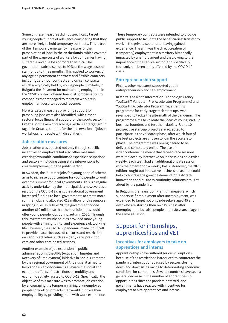Some of these measures did not specifically target young people but are of relevance considering that they are more likely to hold temporary contracts. This is true of the 'Temporary emergency measure for the preservation of jobs' in **the Netherlands**, which covered part of the wage costs of workers for companies having suffered a revenue loss of more than 20%. The government subsidised up to 90% of the wage costs of staff for up to three months. This applied to workers of any age on permanent contracts and flexible contracts, including zero-hour contracts and on call contracts, which are typically held by young people. Similarly, in **Bulgaria** the 'Payment for maintaining employment in the COVID context' offered financial compensation to companies that managed to maintain workers in employment despite reduced revenue.

More targeted measures providing support for preserving jobs were also identified, with either a sectoral focus (financial support for the sports sector in **Croatia**) or the aim of reaching a particular target group (again in **Croatia**, support for the preservation of jobs in workshops for people with disabilities).

### **Job creation measures**

Job creation was boosted not only through specific incentives to employers but also other measures creating favourable conditions for specific occupations and sectors – including using state interventions to create employment in the public sector.

In **Sweden**, the 'Summer jobs for young people' scheme aims to increase opportunities for young people to work over the summer for local governments. This is a regular activity undertaken by the municipalities; however, as a result of the COVID-19 crisis, the national government increased funding to local governments to create more summer jobs and allocated €18 million for this purpose in spring 2020. In July 2020, the government added another €10 million so that the municipalities could offer young people jobs during autumn 2020. Through this investment, municipalities provided more young people with an insight into, and experience of, working life. However, the COVID-19 pandemic made it difficult to provide places because of closures and restrictions on various activities, such as elderly care, preschool care and other care-based services.

Another example of job expansion in public administration is the AIRE (Activation, Impetus and Recovery of Employment) initiative in **Spain**. Promoted by the regional government of Andalusia, it aimed to help Andalusian city councils alleviate the social and economic effects of restrictions on mobility and economic activity related to COVID-19. Specifically, the objective of this measure was to promote job creation by encouraging the temporary hiring of unemployed people to work on projects that would improve their employability by providing them with work experience.

These temporary contracts were intended to provide public support to facilitate the beneficiaries' transfer to work in the private sector after having gained experience. The aim was the direct creation of (temporary) employment in a territory historically impacted by unemployment and that, owing to the importance of the service sector (and specifically tourism), had been badly affected by the COVID-19 crisis.

## **Entrepreneurship support**

Finally, other measures supported youth entrepreneurship and self-employment.

In **Malta**, the Malta Information Technology Agency YouStartIT Validator (Pre-Accelerator Programme) and YouStartIT Accelerator Programme, a training programme for early-stage tech start-ups, was revamped to tackle the aftermath of the pandemic. The programme aims to validate the ideas of young start-up business founders and test their viability. Up to 10 prospective start-up projects are accepted to participate in the validator phase, after which four of the best projects are chosen to join the accelerator phase. The programme was re-engineered to be delivered completely online. The use of videoconferencing meant that face-to-face sessions were replaced by interactive online sessions held twice weekly. Each team had an additional private session with their mentor on a weekly basis. Moreover, the 2020 edition sought out innovative business ideas that could help to address the growing demand for fast-track innovations and business continuity solutions brought about by the pandemic.

In **Belgium**, the Transition Premium measure, which supports self-employment after unemployment, was expanded to target not only jobseekers aged 45 and over who are starting their own business after unemployment but also people under 30 years of age in the same situation.

# Support for internships, apprenticeships and VET

# **Incentives for employers to take on apprentices and interns**

Apprenticeships have suffered serious disruptions because of the restrictions introduced to counteract the pandemic: interruptions caused by sectors closing down and downsizing owing to deteriorating economic conditions for companies. Several countries have seen a general decrease in the number of apprenticeship opportunities since the pandemic started, and governments have reacted with incentives for employers to hire apprentices and interns.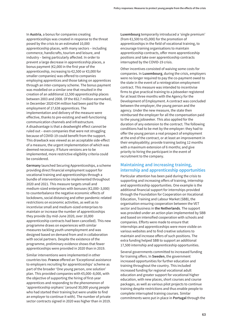In **Austria**, a bonus for companies creating apprenticeships was created in response to the threat posed by the crisis to an estimated 10,000 apprenticeship places, with many sectors – including commerce, handicrafts, tourism and leisure, and industry – being particularly affected. In order to prevent a large decrease in apprenticeship places, a bonus payment (€2,000 in the first year of the apprenticeship, increasing to €2,500 or €3,000 for smaller companies) was offered to companies employing apprentices and those taking on apprentices through an inter-company scheme. The bonus payment was modelled on a similar one that resulted in the creation of an additional 12,500 apprenticeship places between 2003 and 2008. Of the €62.7 million earmarked, in December 2020 €34 million had been paid for the employment of 17,638 apprentices. The implementation and delivery of the measure were effective, thanks to pre-existing and well-functioning communication channels and infrastructure. A disadvantage is that a deadweight effect cannot be ruled out – even companies that were not struggling because of COVID-19 could benefit from the support. This drawback was viewed as an acceptable side-effect of a measure, the urgent implementation of which was deemed necessary. If future versions are to be implemented, more restrictive eligibility criteria could be considered.

**Germany** launched Securing Apprenticeships, a scheme providing direct financial employment support for vocational training and apprenticeships through a bundle of interventions to be implemented throughout 2020 and 2021. This measure targets small and medium-sized enterprises with bonuses (€2,000–3,000) to counterbalance the negative economic effects of lockdowns, social distancing and other pandemic-related restrictions on economic activities, as well as to incentivise small and medium-sized enterprises to maintain or increase the number of apprenticeships they provide (by mid-June 2020, over 10,000 apprenticeship contracts had been cancelled). This new programme draws on experiences with similar measures tackling youth unemployment and was designed based on demand from and in collaboration with social partners. Despite the existence of the programme, preliminary evidence shows that fewer apprenticeships were provided in 2020 than in 2019.

Similar interventions were implemented in other countries too. **France** offered an 'Exceptional assistance to employers recruiting for apprenticeships' scheme as part of the broader 'One young person, one solution' plan. This provided companies with €5,000–8,000, with the objective of supporting the hiring of first-year apprentices and responding to the phenomenon of 'apprenticeship orphans' (around 30,000 young people who had started their training but were unable to find an employer to continue it with). The number of private sector contracts signed in 2020 was higher than in 2019.

**Luxembourg** temporarily introduced a 'single premium' (from €1,500 to €5,000) for the promotion of apprenticeships in the field of vocational training, to encourage training organisations to maintain apprenticeship contracts, offer more apprenticeship positions and take over apprenticeship contracts interrupted by the COVID-19 crisis.

Other incentives consisted of waiving some costs for companies. In **Luxembourg**, during the crisis, employers were no longer required to pay the co-payment owed to the state in the event of a reintegration employment contract. This measure was intended to incentivise firms to give practical training to a jobseeker registered for at least three months with the Agency for the Development of Employment. A contract was concluded between the employer, the young person and the agency. Under the new measure, the state then reimbursed the employer for all the compensation paid to the young jobseeker. This also applied for the duration of any extension to the contract. The following conditions had to be met by the employer: they had to offer the young person a real prospect of employment at the end of the contract, or at least an improvement in their employability; provide training lasting 12 months with a maximum extension of 6 months; and give priority to hiring the participant in the event of recruitment to the company.

### **Maintaining and increasing training, internship and apprenticeship opportunities**

Particular attention has been paid during the crisis to supporting and increasing offers of training, internship and apprenticeship opportunities. One example is the additional financial support for internships provided through the Foundation for Cooperation on Vocational Education, Training and Labour Market (SBB), the organisation ensuring cooperation between the VET sector and business in **the Netherlands**. The support was provided under an action plan implemented by SBB and based on intensified cooperation with schools and companies. Efforts were made to ensure that internships and apprenticeships were more visible on various websites and to find creative solutions to maintain and increase offers of such positions. The extra funding helped SBB to support an additional 17,500 internship and apprenticeship opportunities.

Several governments committed to increased funding for training offers. In **Sweden**, the government increased opportunities for further education and training throughout the country. This included increased funding for regional vocational adult education and greater support for vocational higher education, with new places, short courses and course packages, as well as various pilot projects to continue training despite restrictions and thus enable people to complete interrupted training courses. Similar commitments were put in place in **Portugal** through the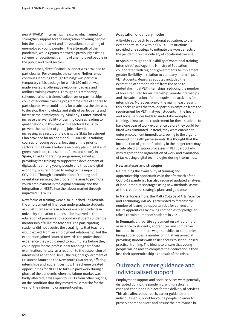new ATIVAR.PT Internships measure, which aimed to strengthen support for the integration of young people into the labour market and for vocational retraining of unemployed young people in the aftermath of the pandemic, while **Cyprus** renewed a previously existing scheme for vocational training of unemployed people in the public and third sectors.

In some cases, direct financial support was provided to participants. For example, the scheme '**Netherlands** continues learning through training' was part of a temporary crisis package for which €50 million was made available, offering development advice and (online) training courses. Through this temporary scheme, trainers, trainers' collectives or partnerships could offer online training programmes free of charge to participants, who could apply for a subsidy; the aim was to develop the knowledge and skills of participants and increase their employability. Similarly, **France** aimed to increase the availability of training courses leading to qualifications, in this case with a sectoral focus: to prevent the number of young jobseekers from increasing as a result of the crisis, the Skills Investment Plan provided for an additional 100,000 skills training courses for young people, focusing on the priority sectors in the France Relance recovery plan (digital and green transition, care sector reform, and so on). In **Spain**, an aid and training programme, aimed at providing free training to support the development of digital skills among young people and thus the digital economy, was reinforced to mitigate the impact of COVID-19. Through a combination of training and orientation services, the programme aims to promote youth employment in the digital economy and the integration of NEETs into the labour market through improved ICT skills.

New forms of training were also launched. In **Slovenia**, the employment of final-year undergraduate students as substitute teachers in schools enabled students in university education courses to be involved in the education of primary and secondary students under the mentorship of full-time teachers. The participating students did not acquire the usual rights that teachers would expect from an employment relationship, but the experience gained counted towards the professional experience they would need to accumulate before they could apply for the professional teaching certificate examination. In **Italy**, as a reaction to the suspension of internships at national level, the regional government of Le Marche launched the New Youth Guarantee, offering internships and apprenticeships. The scheme created opportunities for NEETs to take up paid work during a phase of the pandemic when the labour market was badly affected; it was open to NEETs from other regions, on the condition that they moved to Le Marche for the year of the internship or apprenticeship.

### **Adaptation of delivery modes**

A flexible approach to vocational education, to the extent permissible within COVID-19 restrictions, provided one strategy to mitigate the worst effects of the pandemic on the delivery of vocational training.

In **Spain**, through the 'Flexibility of vocational training internships' package, the Ministry of Education collaborated with regional governments to implement greater flexibility in relation to company internships for VET students. Measures adopted included the exemption of some students from the need to undertake initial VET internships, reducing the number of hours required for an internship, remote internships and the substitution of other equivalent activities for internships. Moreover, one of the main measures within this package was the total or partial exemption from the requirement for VET final-year students in the health and social services fields to undertake workplace training. Likewise, the requirement for these students to have one year of work experience before they could be hired was eliminated. Instead, they were enabled to enter employment immediately, owing to the urgent demand for health professionals. It is thought that the introduction of greater flexibility in the longer term may accelerate digitisation processes in VET, particularly with regard to the organisation of work and evaluation of tasks using digital technologies during internships.

### **New analyses and strategies**

Maintaining the availability of training and apprenticeship opportunities in the aftermath of the COVID-19 pandemic has also required updated analyses of labour market shortages using new methods, as well as the creation of strategic plans and guidance.

In **Malta**, for example, the Malta College of Arts, Science and Technology (MCAST) attempted to forecast the number of future job opportunities for current and future apprentices by asking companies to 'pledge' to take a certain number of students in 2021.

In **Denmark**, a tripartite agreement on extraordinary assistance to students, apprentices and companies included, in addition to wage subsidies to companies hiring apprentices, a number of initiatives aimed at providing students with easier access to school-based practical training. The idea is to ensure that young people will be able to complete their education if they lose their apprenticeship as a result of the crisis.

# Outreach, career guidance and individualised support

Employment support and social services were generally disrupted during the pandemic, with drastically changed conditions in place for the delivery of services. This also affected outreach, career guidance and individualised support for young people. In order to preserve some services and ensure their relevance in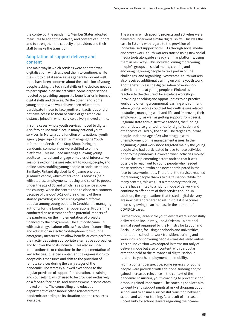the context of the pandemic, Member States adopted measures to adapt the delivery and content of support and to strengthen the capacity of providers and their staff to make the transition.

## **Adaptation of support delivery and content**

The main way in which services were adapted was digitalisation, which allowed them to continue. While the shift to digital services has generally worked well, there have been concerns about the exclusion of young people lacking the technical skills or the devices needed to participate in online activities. Some organisations reacted by providing support to beneficiaries in terms of digital skills and devices. On the other hand, some young people who would have been reluctant to participate in face-to-face youth work activities or did not have access to them because of geographical distance joined in when service delivery moved online.

In some cases, whole youth services moved to digital. A shift to online took place in many national youth services. In **Malta**, a core function of its national youth agency (Aġenzija Żgħażagħ) is managing the Youth Information Service One Stop Shop. During the pandemic, some services were shifted to online platforms. This included meetings allowing young adults to interact and engage on topics of interest; live sessions exploring issues relevant to young people; and online cafes enabling young people to socialise online. Similarly, **Finland** digitised its Ohjaamo one-stop guidance centre, which offers various services (help with studies, employment, housing and so on) to people under the age of 30 and which has a presence all over the country. When the centres had to close to customers because of the COVID-19 outbreak, many of them started providing services using digital platforms popular among young people. In **Czechia**, the managing authority for the Employment Operational Programme conducted an assessment of the potential impacts of the pandemic on the implementation of projects financed by the programme. The authority came up with a strategy, 'Labour offices: Provision of counselling and education in electronic/telephone form during emergency measures', to allow beneficiaries to perform their activities using appropriate alternative approaches and to cover the costs incurred. This also included interruptions to or reductions in the implementation of key activities. It helped implementing organisations to adopt crisis measures and shift to the provision of remote services during the early stages of the pandemic. The strategy allowed exceptions to the regular provision of support for education, retraining and counselling, which used to be provided exclusively on a face-to-face basis, and services were in some cases moved online. The counselling and education department of each labour office adapted to the pandemic according to its situation and the resources available.

The ways in which specific projects and activities were delivered underwent similar digital shifts. This was the case in **Estonia** with regard to the provision of individualised support for NEETs through social media and street work. Youth workers started using new social media tools alongside already familiar platforms, using them in new ways. This included joining more young people's groups on social media, creating and encouraging young people to take part in online challenges, and organising livestreams. Youth workers also received additional training on online youth work. Another example is the digitalisation of workshop activities aimed at young people in **Finland** as a reaction to the closure of face-to-face workshops (providing coaching and opportunities to do practical work, and offering a communal learning environment where young people could get help with issues related to studies, managing work and life, and improving their employability, as well as getting support from peers). Regional state administrative agencies, the funding authorities, also granted funds for digitalisation and other costs caused by the crisis. The target group was people under the age of 29 who struggle with unemployment or life management issues. In the beginning, digital workshops targeted mainly the young people who had participated in face-to-face activities prior to the pandemic. However, when activities moved online the implementing actors noticed that it was possible to reach out to young people who needed these services but who had never participated in the face-to-face workshops. Therefore, the services reached more young people thanks to digitalisation. While for many centres, this was just a temporary transition, others have shifted to a hybrid mode of delivery and continue to offer parts of their services online. In addition, the organisations that tested digital delivery are now better prepared to return to it if it becomes necessary owing to an increase in the number of COVID-19 cases.

Furthermore, large-scale youth events were successfully delivered online. In **Italy**, Job & Orienta – a national annual event organised by the Ministry for Labour and Social Policies, focusing on schools and universities, orientation, school-to-work transition, training and work inclusion for young people – was delivered online. This online version was adapted in terms not only of delivery mode but also of content, with particular attention paid to the relevance of digitalisation in relation to youth, employment and mobility.

From a content perspective, some services for young people were provided with additional funding and/or gained increased relevance in the context of the pandemic. In **Austria**, youth coaching to prevent school dropout gained importance. The coaching services aim to identify and support pupils at risk of dropping out of school and to ensure a successful transition between school and work or training. As a result of increased uncertainty for school leavers regarding their career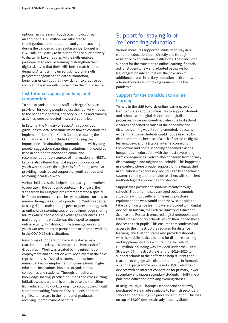options, an increase in youth coaching occurred. An additional €3.5 million was allocated to training/education preparation and youth coaching during the pandemic (the regular annual budget is €37.2 million), partly to help in shifting service delivery to digital. In **Luxembourg**, FutureSkills enables participants to receive training to strengthen their digital skills, so that their skills better match labour demand. After training (in soft skills, digital skills, project management and data automation), beneficiaries can put their new skills into practice by completing a six-month internship in the public sector.

# **Institutional capacity building and cooperation**

To help organisations and staff in charge of service provision for young people adjust their delivery modes to the pandemic context, capacity-building and training activities were conducted in several countries.

In **Estonia**, the Ministry of Social Affairs provided guidelines to local governments on how to continue the implementation of the Youth Guarantee during the COVID-19 crisis. This included emphasising the importance of maintaining communication with young people, suggestions regarding e-solutions that could be used in addition to phone and email, and recommendations on sources of information for NEETs. Estonia also offered financial support to local-level youth work services through calls for funding aimed at providing needs-based support for youth centres and restoring local-level work.

Various initiatives also helped to prepare youth workers to operate in the pandemic context. In **Hungary**, the 'Let's teach for Hungary' programme created a special leaflet for mentors and coaches with guidance on how to mentor during the COVID-19 pandemic. Mentors adapted to using digital tools through peer-to-peer learning, such as online brainstorming sessions and knowledge-sharing forums where people could exchange experiences. The main programme website was developed to support online activity. In **Estonia**, online training courses for youth workers prepared participants to adapt to working in the COVID-19 crisis situation.

New forms of cooperation were also started as a reaction to the crisis. In **Denmark**, the Partnership for Graduates in Work was created by the ministries of employment and education with key players in the field: representatives of social partners, trade unions, municipalities, unemployment insurance funds, higher education institutions, business organisations, companies and students. Through joint efforts, knowledge sharing, practical solutions and cross-cutting initiatives, the partnership aims to ease the transition from education to work, taking into account the difficult situation resulting from the COVID-19 crisis and the significant increase in the number of graduates receiving unemployment benefits.

# Support for staying in or (re-)entering education

Various measures supported students to stay in or (re-)enter education, both directly and through assistance to educational institutions. These included support for the transition to online learning, financial aid for students, new and adapted pathways for (re)integration into education, the provision of additional places in tertiary education institutions, and adapted conditions for taking exams during the pandemic.

# **Support for the transition to online learning**

To help in the shift towards online learning, several Member States adopted measures to support students and schools with digital devices and digitalisation processes. In various countries, when the first school closures happened because of the pandemic and distance learning was first implemented, it became evident that some students could not be reached by distance learning because of a lack of access to digital learning devices or a (stable) internet connection. Lockdowns and home schooling deepened existing inequalities in education, with the most severe longterm consequences likely to affect children from socially disadvantaged and migrant households. This happened in a context where broader support for the digital shift in education was necessary, including to keep technical systems running and to provide teachers with sufficient methodological approaches and devices.

Support was provided to students mainly through schools. Students in disadvantaged socioeconomic situations without sufficient means to purchase equipment and who would not otherwise be able to take part in distance learning were provided with digital devices. In **Austria**, the Federal Ministry of Education, Science and Research procured digital notebooks and tablets for secondary schools, which then loaned these devices to their pupils. This ensured that students had access to the infrastructure required for distance learning. The Austrian states also provided students with the mobile devices needed for distance learning and supplemented this with training. In **Ireland**, €10 million in funding was provided under the Digital Strategy ICT Infrastructure Grant for 2019–2020 to support schools in their efforts to help students and teachers to engage with distance learning. In **Romania**, a national programme purchased 250,000 electronic devices with an internet connection for primary, lower secondary and upper secondary students in full-time or part-time education or taking evening classes.

In **Belgium**, 15,000 laptops (secondhand and newly purchased) were made available to Flemish secondary school students living in a precarious situation. This was on top of 12,000 devices already made available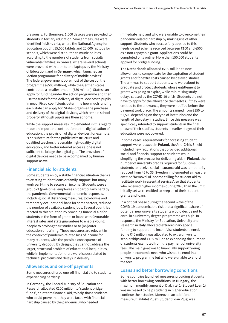previously. Furthermore, 1,000 devices were provided to students in tertiary education. Similar measures were identified in **Lithuania**, where the National Agency for Education bought 15,000 tablets and 20,000 laptops for schools, which were distributed to municipalities according to the numbers of students from socially vulnerable families; in **Greece**, where several schools were provided with tablets and laptops by the Ministry of Education; and in **Germany**, which launched an 'Action programme for delivery of mobile devices'. The federal government bore most of the cost of the programme (€500 million), while the German states contributed a smaller amount (€50 million). States can apply for funding under the action programme and then use the funds for the delivery of digital devices to pupils in need. Fixed coefficients determine how much funding each state can apply for. States organise the purchase and delivery of the digital devices, which remain school property although pupils use them at home.

While the support measures implemented in this regard made an important contribution to the digitalisation of education, the provision of digital devices, for example, is no substitute for the public infrastructure and qualified teachers that enable high-quality digital education, and better internet access alone is not sufficient to bridge the digital gap. The provision of digital devices needs to be accompanied by human support as well.

### **Financial aid for students**

Some students enjoy a stable financial situation thanks to existing student loans or family support, but many work part-time to secure an income. Students were a group of (part-time) employees hit particularly hard by the pandemic. Governmental pandemic responses, including social distancing measures, lockdowns and temporary occupational bans for some sectors, reduced the number of available student jobs. Several countries reacted to this situation by providing financial aid for students in the form of grants or loans with favourable interest rates and state guarantees to enable young people to prolong their studies or to (re-)enter education or training. These measures are relevant in the context of pandemic-related loss of income for many students, with the possible consequence of university dropout. By design, they cannot address the larger, structural problem of educational inequalities, while in implementation there were issues related to technical problems and delays in delivery.

## **Allowances and one-off payments**

Some measures offered one-off financial aid to students experiencing hardship.

In **Germany**, the Federal Ministry of Education and Research allocated €100 million to 'student bridge funds', or interim financial aid, to help those students who could prove that they were faced with financial hardship caused by the pandemic, who needed

immediate help and who were unable to overcome their pandemic-related hardship by making use of other support. Students who successfully applied to this needs-based scheme received between €100 and €500 as a non-repayable grant. Applications could be completed only online. More than 150,000 students applied for bridge funding.

**The Netherlands** allocated €200 million to new allowances to compensate for the expiration of student grants and for extra costs caused by delayed studies. The aim was to support students who were about to graduate and protect students whose entitlement to grants was going to expire, while minimising study delays caused by the COVID-19 crisis. Students did not have to apply for the allowance themselves. If they were entitled to the allowance, they were notified before the payment took place. The amounts ranged from €150 to €1,500 depending on the type of institution and the length of the delay in studies. Since this measure was specifically intended to support students in the final phase of their studies, students in earlier stages of their education were not covered.

In some cases, requirements for accessing student support were relaxed. In **Poland**, the Anti-Crisis Shield included new regulations that provided additional social and financial support to students while simplifying the process for delivering aid. In **Finland**, the number of university credits required for full-time students to receive social insurance aid was temporarily reduced from 45 to 35. **Sweden** implemented a measure entitled 'Removal of income ceiling for student aid to facilitate work in essential services', so that students who received higher incomes during 2020 than the limit initially set were entitled to keep all of their student grants and loans.

In a critical phase during the second wave of the COVID-19 pandemic, the risk that a significant share of potential new university students would decide not to enrol in a university degree programme was high. In response, the Ministry for Education, University and Research in **Italy** allocated extraordinary special funding to support and incentivise students to enrol. Some €40 million was allocated to extra university scholarships and €165 million to expanding the number of students exempted from the payment of university fees. The main goal was to financially support young people in economic need who wished to enrol in a university programme but who were unable to afford the fees.

### **Loans and better borrowing conditions**

Some countries launched measures providing students with better borrowing conditions. In **Hungary**, the maximum monthly amount of Diákhitel 1 (Student Loan 1) was increased to help students in higher education continue their studies. Moreover, an additional measure, Diákhitel Plusz (Student Loan Plus) was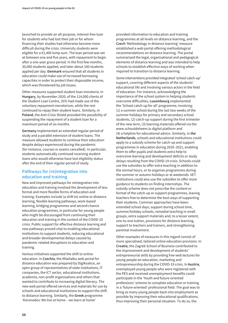launched to provide an all-purpose, interest-free loan for students who had lost their job or for whom financing their studies had otherwise become more difficult during the crisis. University students were eligible for a €1,400 lump sum. The loan period was set at between one and five years, with repayment to begin after a one-year grace period. In the first few months, 30,000 students applied, and later about 100 students applied per day. **Denmark** ensured that all students in education could make use of increased borrowing capacities in order to protect their disposable income, which was threatened by job losses.

Other measures supported student loan moratoria. In **Hungary**, by November 2020, of the 114,000 clients of the Student Loan Centre, 35% had made use of the voluntary repayment moratorium, while the rest continued to repay their student loans. Similarly, in **Poland**, the Anti-Crisis Shield provided the possibility of suspending the repayment of a student loan for a maximum period of six months.

**Germany** implemented an extended regular period of study and a parallel extension of student loans. The measure allowed students to continue their education despite delays experienced during the pandemic (for instance, courses or exams cancelled). In particular, students automatically continued receiving student loans who would otherwise have lost eligibility status after the end of their regular period of study.

## **Pathways for (re)integration into education and training**

New and improved pathways for reintegration into education and training involved the development of less formal and more flexible forms of education and training. Examples include (a shift to) online or distance learning, flexible learning pathways, work-based learning, bridging programmes and second chance education programmes, in particular for young people who might be discouraged from continuing their education and training in the context of the COVID-19 crisis. Public support for effective distance learning and new pathways proved vital to enabling educational institutions to support students, reducing educational and broader developmental delays caused by pandemic-related disruptions to education and training.

Various initiatives supported the shift to online education. In **Czechia**, the #NaDalku web portal for distance education was prepared by DigiKoalice, an open group of representatives of state institutions, IT companies, the ICT sector, educational institutions, academia, non-profit organisations and others that wanted to contribute to increasing digital literacy. The new web portal offered services and materials for use by schools and educational institutions to support the shift to distance learning. Similarly, the **Greek** programme 'Koronodos: We live at home – we learn at home'

provided information to education and training programmes at all levels on distance learning, and the **Czech** 'Methodology in distance learning' measure established a web portal offering methodological recommendations on distance learning. The portal summarised the legal, organisational and pedagogical elements of distance learning and was intended to help schools to establish effective ways of working when required to transition to distance learning.

Some interventions provided integrated 'school catch-up' support, covering different aspects of the students' educational life and involving various actors in the field of education. For instance, acknowledging the importance of the school system in helping students overcome difficulties, **Luxembourg** implemented the 'School catch-up for all' programme, involving: (1) a summer school during the last two weeks of the summer holidays for primary and secondary school students, (2) catch-up support during the first trimester of the new term, (3) learning materials offered via the [www.schouldoheem.lu dig](http://www.schouldoheem.lu)ital platform and (4) a helpline for educational advice. Similarly, in **the Netherlands**, schools and educational institutions could apply to a subsidy scheme for catch-up and support programmes in education during 2020–2021, enabling them to offer pupils and students extra help to overcome learning and development deficits or study delays resulting from the COVID-19 crisis. Schools could use the subsidies to offer extra teaching in addition to the normal hours, or to organise programmes during the summer or autumn holidays or at weekends. VET institutions could also use the subsidies to offer more guidance to students on finding internships. The subsidy scheme does not prescribe the content or format of the catch-up or support programmes, leaving teachers free to determine the best ways of supporting their students. Common approaches have been: extended school days, support during school time, summer/holiday schools, remedial teaching in small groups, extra support materials and, to a lesser extent, one-to-one tuition, provisions for distance learning, support to teachers and trainers, and strengthening parental involvement.

Other examples of measures in this regard consist of more specialised, tailored online education provision. In **Croatia**, the Zagreb School of Business contributed to the improvement and development of students' entrepreneurial skills by providing free web lectures for young people on education, marketing and entrepreneurship during the COVID-19 crisis. In **Austria**, unemployed young people who were registered with the PES and received unemployment benefits could participate in the 'Youth and future-oriented professions' scheme to complete education or training in a 'future-oriented' professional field. The goal was to bring as many young people back into employment as possible by improving their educational qualifications, thus improving their personal situation. To do so, the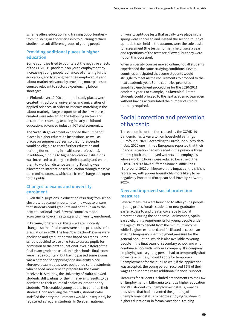scheme offers education and training opportunities – from finishing an apprenticeship to pursuing tertiary studies – to suit different groups of young people.

## **Providing additional places in higher education**

Some countries tried to counteract the negative effects of the COVID-19 pandemic on youth employment by increasing young people's chances of entering further education, and to strengthen their employability and labour market relevance by providing more places on courses relevant to sectors experiencing labour shortages.

In **Finland**, over 10,000 additional study places were created in traditional universities and universities of applied sciences. In order to improve matching in the labour market, a large proportion of the new places created were relevant to the following sectors and occupations: nursing, teaching in early childhood education, advanced industry, ICT and economics.

The **Swedish** government expanded the number of places in higher education institutions, as well as places on summer courses, so that more people would be eligible to enter further education and training (for example, in healthcare professions). In addition, funding to higher education institutions was increased to strengthen their capacity and enable them to work on distance learning. Funding was allocated to internet-based education through massive open online courses, which are free of charge and open to the public.

## **Changes to exams and university enrolment**

Given the disruptions in education resulting from school closures, it became important to find ways to ensure that students could graduate and continue on to the next educational level. Several countries made adjustments to exam settings and university enrolment.

In **Estonia**, for example, the law was temporarily changed so that final exams were not a prerequisite for graduation in 2020. The final 'basic school' exams were abolished and graduation was based on grades. Some schools decided to use an e-test to assess pupils for admission to the next educational level instead of the final exam grades as usual. In high schools, final exams were made voluntary, but having passed some exams was a criterion for applying for a university place. Moreover, exam dates were postponed so that students who needed more time to prepare for the exams received it. Similarly, the University of **Malta** allowed students still waiting for their final exams results to be admitted to their course of choice as 'probationary students'. This enabled young adults to continue their studies. Upon receiving their results, students who satisfied the entry requirements would subsequently be registered as regular students. In **Sweden**, national

university aptitude tests that usually take place in the spring were cancelled and instead the second round of aptitude tests, held in the autumn, were the sole basis for assessment (the test is normally held twice a year and repetitions of the tests are allowed, but they were not on this occasion).

When university courses moved online, not all students experienced the same studying conditions. Several countries anticipated that some students would struggle to meet all the requirements to proceed to the next academic year. Some countries promoted simplified enrolment procedures for the 2020/2021 academic year. For example, in **Slovenia** full-time students could proceed to the next academic year even without having accumulated the number of credits normally required.

## Social protection and prevention of hardship

The economic contraction caused by the COVID-19 pandemic has taken a toll on household earnings (Eurofound, 2021). According to Eurofound survey data, in July 2020 one in three Europeans reported that their financial situation had worsened in the previous three months; both unemployed workers and employees whose working hours were reduced because of the COVID-19 crisis have suffered financial difficulties (Eurofound, 2020b). Moreover, the impact of the crisis is regressive, with poorer households more likely to be negatively impacted (European Anti-Poverty Network, 2020).

## **New and improved social protection measures**

Several measures were launched to offer young people – young professionals, students or new graduates – easier access to and greater coverage by social protection during the pandemic. For instance, **Spain** eased eligibility requirements for young people under the age of 30 to benefit from the minimum income, while **Belgium** expanded and facilitated access to an existing temporary unemployment measure for the general population, which is also available to young people in the final years of secondary school and who combine school with work in a company. If a company employing such a young person had to temporarily shut down its activities, it could apply for temporary unemployment for the pupil as well; if the application was accepted, the young person received 65% of their wages and in some cases additional financial support.

Measures for students included amendments to the Law on Employment in **Lithuania** to entitle higher education and VET students to unemployment status, waiving provisions that had prevented the granting of unemployment status to people studying full-time in higher education or in formal vocational training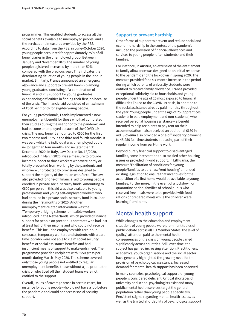programmes. This enabled students to access all the social benefits available to unemployed people, and all the services and measures provided by the PES. According to data from the PES, in June–October 2020, young people accounted for approximately 25% of all beneficiaries in the unemployed group. Between January and November 2020, the number of young people registered increased by more than 50% compared with the previous year. This indicates the deteriorating situation of young people in the labour market. Similarly, **France** announced an emergency allowance and support to prevent hardship among young graduates, consisting of a combination of financial and PES support for young graduates experiencing difficulties in finding their first job because of the crisis. The financial aid consisted of a maximum of €500 per month for eligible young people.

For young professionals, **Latvia** implemented a new unemployment benefit for those who had completed their studies during the year prior to the pandemic and had become unemployed because of the COVID-19 crisis. The new benefit amounted to €500 for the first two months and €375 in the third and fourth months. It was paid while the individual was unemployed but for no longer than four months and no later than 31 December 2020. In **Italy**, Law Decree No. 18/2020, introduced in March 2020, was a measure to provide income support to those workers who were partly or totally prevented from working by the pandemic and who were unprotected by provisions designed to support the majority of the Italian workforce. The law also provided for one-off financial aid to young people enrolled in private social security funds. Amounting to €600 per person, this aid was also available to young professionals and young self-employed workers who had enrolled in a private social security fund in 2019 or during the first months of 2020. Another unemployment-related intervention was the 'Temporary bridging scheme for flexible workers' introduced in **the Netherlands**, which provided financial support for people on precarious contracts who had lost at least half of their income and who could not receive benefits. This included employees with zero-hour contracts, temporary workers and students with a parttime job who were not able to claim social security benefits or social assistance benefits and had insufficient means of support to make ends meet. The programme provided recipients with €550 gross per month during March–May 2020. The scheme covered only those young people not entitled to regular unemployment benefits; those without a job prior to the crisis or who lived off their student loans were not entitled to the support.

Overall, issues of coverage arose in certain cases, for instance for young people who did not have a job before the pandemic and could not access social security support.

## **Support to prevent hardship**

Other forms of support to prevent and reduce social and economic hardship in the context of the pandemic included the provision of financial allowances and services to young people (often students) and their families.

For instance, in **Austria**, an extension of the entitlement to family allowance was designed as an initial response to the pandemic and the lockdown in spring 2020. The measure provided for a six-month increase in the period during which parents of university students were entitled to receive family allowance. **France** provided exceptional solidarity aid to households and young people under the age of 25 most exposed to financial difficulties linked to the COVID-19 crisis, in addition to the social assistance already paid monthly throughout the year. Young people under the age of 25 (apprentices, students in paid employment and non-students) who received personal housing assistance – a benefit intended to help recipients to pay rent on their accommodation – also received an additional €150 in aid. **Slovenia** also provided a one-off solidarity payment to 45,250 full-time students, replacing part of their regular income from part-time work.

Beyond purely financial support to disadvantaged families, some interventions also tackled other housing issues or provided in-kind support. In **Lithuania**, the measure 'Facilitation of conditions for young people/families to purchase/rent housing' amended existing legislation to ensure that incentives for the acquisition of a first home would be available to young families. Furthermore, in the event of a lockdown or quarantine period, families of school pupils who received free meals were to be provided with food rations or prepared meals while the children were learning from home.

## Mental health support

While changes to the education and employment situations of young people were prominent topics of public debate across all EU Member States, the level of (policy) attention paid to the mental health consequences of the crisis on young people varied significantly across countries. Still, over time, the subject has gained increasing attention. Practitioners, academics, youth organisations and the social sector have generally highlighted the growing need for the provision of psychological assistance. Increased demand for mental health support has been observed.

In many countries, psychological support for young people is considered deficient. Critical shortages of university and school psychologists exist and many public mental health services target the general population rather than young people specifically. Persistent stigma regarding mental health issues, as well as the limited affordability of psychological support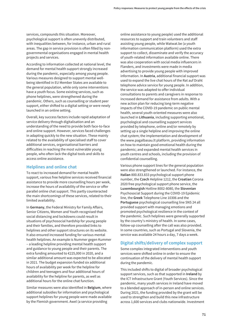services, compounds this situation. Moreover, psychological support is often unevenly distributed, with inequalities between, for instance, urban and rural areas. The gap in service provision is often filled by nongovernmental organisations engaged in mental health projects and services.

According to information collected at national level, the demand for mental health support strongly increased during the pandemic, especially among young people. Various measures designed to support mental wellbeing identified in EU Member States are available to the general population, while only some interventions have a youth focus. Some existing services, such as phone helplines, were strengthened during the pandemic. Others, such as counselling or student peer support, either shifted to a digital setting or were newly launched in an online setting.

Overall, key success factors include rapid adaptation of service delivery through digitalisation and an understanding of the need to provide both face-to-face and online support. However, services faced challenges in adapting quickly to the new situation. These mainly related to the availability of specialised staff to cover additional services, organisational barriers and difficulties in reaching the most vulnerable young people, who often lack the digital tools and skills to access online assistance.

### **Helplines and online chat**

To react to increased demand for mental health support, various free helpline services received financial assistance to provide more counselling hours per week, increase the hours of availability of the service or offer parallel online chat support. This partly counteracted the main shortcomings of these services, related to their limited availability.

In **Germany**, the Federal Ministry for Family Affairs, Senior Citizens, Women and Youth recognised that social distancing and lockdowns could result in situations of psychosocial hardship for young people and their families, and therefore provided links to helplines and other support structures on its website. It also ensured increased funding for various mental health helplines. An example is Nummer gegen Kummer – a leading helpline providing mental health support and guidance to young people and their parents. The extra funding amounted to €225,000 in 2020, and a similar additional amount was expected to be allocated in 2021. The budget expansion funded six additional hours of availability per week for the helpline for children and teenagers and four additional hours of availability for the helpline for parents, as well as additional hours for the online chat function.

Similar measures were also identified in **Belgium**, where additional subsidies for information and psychological support helplines for young people were made available by the Flemish government. Awel (a service providing

online assistance to young people) used the additional resources to support and train volunteers and staff assisting young people, while Watwat.be (a youth information communication platform) used the extra support to collect, disseminate and verify the accuracy of youth-related information available online. There was also cooperation with social media influencers in Flanders, and investments were made in media advertising to provide young people with improved information. In **Austria**, additional financial support was used to expand the live chat hours of the Rat auf Draht telephone advice service for young people. In addition, the service was adapted to offer individual consultations to parents and caregivers in response to increased demand for assistance from adults. With a new action plan for reducing long-term negative impacts of the COVID-19 pandemic on public mental health, several youth-oriented measures were also launched in **Lithuania**, including supporting emotional, psychological and counselling support services provided by telephone, online and/or remotely by setting up a single helpline and improving the online chat system; the implementation and development of the [www.pagalbasau.lt pl](http://www.pagalbasau.lt)atform, providing information on how to maintain good emotional health during the pandemic; and expanded mental health services in youth centres and schools, including the provision of confidential counselling.

Various phone support lines for the general population were also strengthened or launched. For instance, the **Italian** 800.833.833 psychological support phone number, the **Czech** Helpline 1212, the **Croatian** Corona 2020 free psychological support phone service, the **Luxembourgish** Hotline 8002-8080, the **Slovenian** Psychosocial Support during the COVID-19 Epidemic line, the **Greek** Telephone Line 10306 and the **Portuguese** psychological counselling line SNS 24 all provided support with managing emotions and promoted psychological resilience in the context of the pandemic. Such helplines were generally supported by the country's ministry of health. In some cases, follow-up counselling after the call was also provided. In some countries, such as Portugal and Slovenia, the service was available 24 hours a day, 7 days a week.

## **Digital shifts/delivery of complex support**

Some complex integrated interventions and youth services were shifted online in order to ensure the continuation of the delivery of mental health support during the pandemic.

This included shifts to digital of broader psychological support services, such as that supported in **Ireland** by the ICT Infrastructure Grant (Youth Services). Since the pandemic, many youth services in Ireland have moved to a blended approach of in-person and online services. During 2021, the funding provided by the grant will be used to strengthen and build this new infrastructure across 1,600 services and clubs nationwide. Investment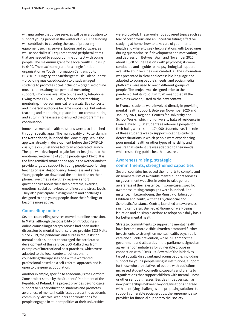will guarantee that those services will be in a position to support young people in the winter of 2021. The funding will contribute to covering the cost of procuring equipment such as servers, laptops and software, as well as specialist ICT equipment and peripheral items that are needed to support online contact with young people. The maximum grant for a local youth club is up to €400. The maximum grant for a single funded organisation or Youth Information Centre is up to €1,750. In **Hungary**, the Snétberger Music Talent Centre – providing musical education to disadvantaged students to promote social inclusion – organised online music courses alongside personal mentoring and support, which was available online and by telephone. Owing to the COVID-19 crisis, face-to-face teaching, mentoring, in-person musical rehearsals, live concerts and in-person auditions became impossible, but online teaching and mentoring replaced the on-campus spring and autumn rehearsals and ensured the programme's continuation.

Innovative mental health solutions were also launched through specific apps. The municipality of Rotterdam, in **the Netherlands**, launched the Grow It! app. While the app was already in development before the COVID-19 crisis, the circumstances led to an accelerated launch. The app was developed to gain further insights into the emotional well-being of young people aged 12–25. It is the first gamified smartphone app in the Netherlands to provide targeted support to young people experiencing feelings of fear, despondency, loneliness and stress. Young people can download the app for free on their phone. Five times a day, they receive a short questionnaire about their sleep patterns, exercise, emotions, social behaviour, loneliness and stress levels. They also participate in assignments and challenges designed to help young people share their feelings or become more active.

## **Counselling online**

Several counselling services moved to online provision. In **Malta**, although the possibility of introducing an online counselling/therapy service had been under discussion by mental health services provider SOS Malta since 2019, the pandemic and surge in requests for mental health support encouraged the accelerated development of this service. SOS Malta drew from examples of international best practices, which were adapted to the local context. It offers online counselling/therapy sessions with a warranted professional based on a self-referral approach and is open to the general population.

Another example, specific to academia, is the Comfort Zone project set up by the Students' Parliament of the Republic of **Poland**. The project provides psychological support to higher education students and promotes awareness of mental health issues across the academic community. Articles, webinars and workshops for people engaged in student politics at their universities

were provided. These workshops covered topics such as fear of coronavirus and an uncertain future; effective studying at home; how to take care of your mental health and where to seek help; relations with loved ones during quarantine; self-development and motivation; and depression. Between April and November 2020, about 1,000 online sessions with psychologists were conducted and a guide to the psychological support available at universities was created. All the information was presented in clear and accessible language and adapted to young people's needs, and social media platforms were used to reach different groups of people. The project was designed prior to the pandemic, but its rollout in 2020 meant that all the activities were adjusted to the new context.

In **France**, students were involved directly in providing mental health support. Between November 2020 and January 2021, Regional Centres for University and School Works (which run university halls of residence in France) hired 1,600 students as reference people for their halls, where some 174,000 students live. The role of these students was to support isolating students, detect situations in which people were experiencing poor mental health or other types of hardship and ensure that student life was adapted to their needs, while respecting public health measures.

## **Awareness raising, strategic commitments, strengthened capacities**

Several countries increased their efforts to compile and disseminate lists of available mental support services on government websites in order to raise general awareness of their existence. In some cases, specific awareness-raising campaigns were launched. For instance, in **Luxembourg**, the Ministry of Education, Children and Youth, with the Psychosocial and Scholastic Assistance Centre, launched an awarenessraising campaign, Bien-être@home, on well-being in isolation and on simple actions to adopt on a daily basis for better mental health.

Strategic commitments to supporting mental health have become more visible. **Sweden** promoted further investments to strengthen mental health, psychiatric care and suicide prevention, while in **Denmark** the government and all parties in the parliament signed an agreement on initiatives for vulnerable groups in connection with COVID-19. Several of the initiatives target socially disadvantaged young people, including support for young people living in institutions, support for those who are relatives of people with addictions, increased student counselling capacity and grants to organisations that support children with mental illness or other serious illnesses. Besides initiatives such as new partnerships between key organisations charged with identifying challenges and proposing solutions to support vulnerable social groups, the agreement also provides for financial support to civil society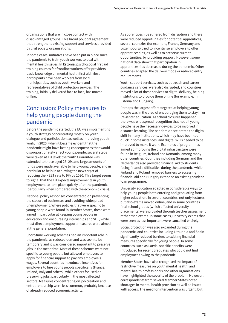organisations that are in close contact with disadvantaged groups. This broad political agreement thus strengthens existing support and services provided by civil society organisations.

In some cases, initiatives have been put in place since the pandemic to train youth workers to deal with mental health issues. In **Estonia**, psychosocial first aid training courses for frontline workers offer providers basic knowledge on mental health first aid. Most participants have been workers from local municipalities, such as youth workers and representatives of child protection services. The training, initially delivered face to face, has moved online.

## Conclusion: Policy measures to help young people during the pandemic

Before the pandemic started, the EU was implementing a youth strategy concentrating mostly on youth dialogue and participation, as well as improving youth work. In 2020, when it became evident that the pandemic might have lasting consequences that would disproportionately affect young people, several steps were taken at EU level: the Youth Guarantee was extended to those aged 25–29, and large amounts of funds were made available to help young people, and in particular to help in achieving the new target of reducing the NEET rate to 9% by 2030. This target seems to signal that the EU expects improvements in youth employment to take place quickly after the pandemic (particularly when compared with the economic crisis).

National policy responses concentrated on preventing the closure of businesses and avoiding widespread unemployment. Where policies that were specific to young people were found in Member States, these were aimed in particular at keeping young people in education and encouraging internships and VET, while most direct employment support measures were aimed at the general population.

Short-time working schemes had an important role in the pandemic, as reduced demand was seen to be temporary and it was considered important to preserve jobs in the meantime. Most of these schemes were not specific to young people but allowed employers to apply for financial support to pay any employee's wages. Several countries introduced incentives for employers to hire young people specifically (France, Ireland, Italy and others), while others focused on preserving jobs, particularly in the most affected sectors. Measures concentrating on job creation and entrepreneurship were less common, probably because of already reduced economic activity.

As apprenticeships suffered from disruption and there were reduced opportunities for potential apprentices, several countries (for example, France, Germany and Luxembourg) tried to incentivise employers to offer apprenticeships, as well as to preserve current opportunities, by providing support. However, some national data show that participation in apprenticeships decreased during the pandemic. Other countries adapted the delivery mode or reduced entry requirements.

Youth support services, such as outreach and career guidance services, were also disrupted, and countries moved a lot of these services to digital delivery, helping institutions to provide them online (for example, in Estonia and Hungary).

Perhaps the largest effort targeted at helping young people was in the area of encouraging them to stay in or (re-)enter education. As school closures happened, there was widespread recognition that not all young people have the necessary devices to be involved in distance learning. The pandemic accelerated the digital shift in many institutions, which may have been too quick in some instances, and digital skills needed to be improved to make it work. Examples of programmes aimed at improving the digital infrastructure were found in Belgium, Ireland and Romania, among many other countries. Countries including Germany and the Netherlands also provided financial aid to students facing financial difficulties during the pandemic, while Finland and Poland removed barriers to accessing financial aid and Hungary extended an existing student loan programme.

University education adapted in considerable ways to help young people both entering and graduating from higher education. In several countries, not only lectures but also exams moved online, and in some countries final school grades (which affected university placements) were provided through teacher assessment rather than exams. In some cases, university exams that were seen as less important were cancelled entirely.

Social protection was also expanded during the pandemic, and countries including Lithuania and Spain significantly reduced barriers to existing financial measures specifically for young people. In some countries, such as Latvia, specific benefits were introduced for recent graduates who could not find employment owing to the pandemic.

Member States have also recognised the impact of restrictive measures on youth mental health, and mental health professionals and other organisations have highlighted the severity of the problem. However, correspondents from several Member States noted shortages in mental health provision as well as issues with access. The need for intervention was urgent, but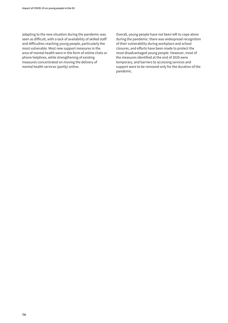adapting to the new situation during the pandemic was seen as difficult, with a lack of availability of skilled staff and difficulties reaching young people, particularly the most vulnerable. Most new support measures in the area of mental health were in the form of online chats or phone helplines, while strengthening of existing measures concentrated on moving the delivery of mental health services (partly) online.

Overall, young people have not been left to cope alone during the pandemic: there was widespread recognition of their vulnerability during workplace and school closures, and efforts have been made to protect the most disadvantaged young people. However, most of the measures identified at the end of 2020 were temporary, and barriers to accessing services and support were to be removed only for the duration of the pandemic.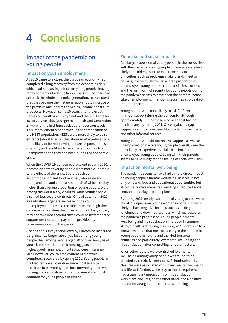# **4 Conclusions**

## Impact of the pandemic on young people

## **Impact on youth employment**

As 2019 came to a close, the European economy had completed a long recovery from the economic crisis, which had had lasting effects on young people, leaving many of them outside the labour market. The crisis had set back the whole millennial generation, to the extent that they became the first generation not to improve on the previous one in terms of wealth, income and future prospects. However, some 10 years after the Great Recession, youth unemployment and the NEET rate for 15- to 29-year-olds (younger millennials and Generation Z) were for the first time back at pre-recession levels. This improvement also showed in the composition of the NEET population; NEETs were more likely to be reentrants (about to enter the labour market/education), more likely to be NEET owing to care responsibilities or disability and less likely to be long-term or short-term unemployed than they had been during the economic crisis.

When the COVID-19 pandemic broke out in early 2020, it became clear that young people were more vulnerable to the effects of the crisis. Sectors such as accommodation and food services, wholesale and retail, and arts and entertainment, all of which employ a higher than average proportion of young people, were among the worst hit by closures, while young people also had less secure contracts. Official data from 2020 already show a general increase in the youth unemployment rate and the NEET rate, although those data may not capture the full extent of job loss, as they may not take into account those covered by temporary support measures and payments provided by governments during this period.

A series of e-surveys conducted by Eurofound measured a significantly larger rate of job loss among young people than among people aged 30 or over. Analysis of youth labour market transitions suggests that the highest youth unemployment rates were in summer 2020; however, youth employment had not yet completely recovered by spring 2021. Young people in the Mediterranean countries were most likely to transition from employment into unemployment, while moving from education to unemployment was most common for young people in Ireland.

## **Financial and social impacts**

As a large proportion of young people in the survey lived with their parents, young people on average were less likely than older groups to experience financial difficulties, such as problems making ends meet or housing insecurity. However, a large proportion of unemployed young people had financial insecurities, and the main form of security for young people during the pandemic seems to have been the parental home. Like unemployment, financial insecurities also peaked in summer 2020.

Young people were more likely to ask for formal financial support during the pandemic, although approximately 11% of those who needed it had not received any by spring 2021. Once again, the gap in support seems to have been filled by family members and other informal sources.

Young people who did not receive support, as well as unemployed or inactive young people overall, were the most likely to experience social exclusion. For unemployed young people, living with their parents seems to have mitigated the feeling of social exclusion.

## **Impact on mental well-being**

The pandemic seems to have had a more direct impact on young people's mental well-being, as a result not only of loss of jobs and educational opportunities but also of restrictive measures resulting in reduced social contact and delayed future plans.

By spring 2021, nearly two-thirds of young people were at risk of depression. Young women in particular were likely to have negative feelings such as anxiety, loneliness and downheartedness, which increased as the pandemic progressed. Young people's mental well-being and life satisfaction improved in summer 2020, but fell back during the spring 2021 lockdown to a worse level than that measured early in the pandemic. Young people in Ireland and the Mediterranean countries had particularly low mental well-being and life satisfaction after controlling for other factors.

When other factors were controlled for, mental well-being among young people was found to be affected by restrictive measures. School/university closures were associated with lower mental well-being and life satisfaction, while stay-at-home requirements had a significant impact only on life satisfaction. Workplace closures, on the other hand, had a positive impact on young people's mental well-being.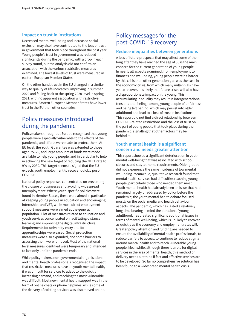## **Impact on trust in institutions**

Decreased mental well-being and increased social exclusion may also have contributed to the loss of trust in government that took place throughout the past year. Young people's trust in government was reduced significantly during the pandemic, with a drop in each survey round, but the analysis did not confirm an association with the various restrictive measures examined. The lowest levels of trust were measured in eastern European Member States.

On the other hand, trust in the EU changed in a similar way to quality of life indicators, improving in summer 2020 and falling back to the spring 2020 level in spring 2021, with no apparent association with restrictive measures. Eastern European Member States have lower trust in the EU than other countries.

## Policy measures introduced during the pandemic

Policymakers throughout Europe recognised that young people were especially vulnerable to the effects of the pandemic, and efforts were made to protect them. At EU level, the Youth Guarantee was extended to those aged 25–29, and large amounts of funds were made available to help young people, and in particular to help in achieving the new target of reducing the NEET rate to 9% by 2030. This target seems to signal that the EU expects youth employment to recover quickly post-COVID-19.

National policy responses concentrated on preventing the closure of businesses and avoiding widespread unemployment. Where youth-specific policies were found in Member States, these were aimed in particular at keeping young people in education and encouraging internships and VET, while most direct employment support measures were aimed at the general population. A lot of measures related to education and youth services concentrated on facilitating distance learning and improving the digital infrastructure. Requirements for university entry and for apprenticeships were eased. Social protection measures were also expanded, and some barriers to accessing them were removed. Most of the nationallevel measures identified were temporary and intended to last only until the pandemic ends.

While policymakers, non-governmental organisations and mental health professionals recognised the impact that restrictive measures have on youth mental health, it was difficult for services to adapt to the quickly increasing demand, and reaching the most vulnerable was difficult. Most new mental health support was in the form of online chats or phone helplines, while some of the delivery of existing services was also moved online.

## Policy messages for the post-COVID-19 recovery

## **Reduce inequalities between generations**

A loss of future prospects that may affect some of them long after they have reached the age of 30 is the main concern for the current generation of young people. In nearly all aspects examined, from employment to finances and well-being, young people were hit harder by this crisis than other generations, as was the case in the economic crisis, from which many millennials have yet to recover. It is likely that future crises will also have a disproportionate impact on the young. This accumulating inequality may result in intergenerational tensions and feelings among young people of unfairness and being left behind, which may persist into older adulthood and lead to a loss of trust in institutions. This report did not find a direct relationship between COVID-19-related restrictions and the loss of trust on the part of young people that took place during the pandemic, signalling that other factors may be behind it.

## **Youth mental health is a significant concern and needs greater attention**

This report showed a significant deterioration in youth mental well-being that was associated with school closures and stay-at-home requirements. Older groups did not experience the same incidence of low mental well-being. Meanwhile, qualitative research found that mental health services had difficulties reaching young people, particularly those who needed them most. Youth mental health had already been an issue that had remained largely unaddressed by policy before the pandemic; the youth mental health debate focused mostly on the social media and health behaviour aspects. The pandemic, which has lasted a relatively long time bearing in mind the duration of young adulthood, has created significant additional issues in terms of mental well-being, which is unlikely to recover as quickly as the economy and employment rates will. Greater policy attention and funding are needed to ensure the availability of mental health professionals, to reduce barriers to access, to continue to reduce stigma around mental health and to reach vulnerable young people. Meanwhile, although there is a role for digital services in the area of mental health, this method of delivery needs a rethink if fast and effective services are to be developed. So far no comprehensive solution has been found to a widespread mental health crisis.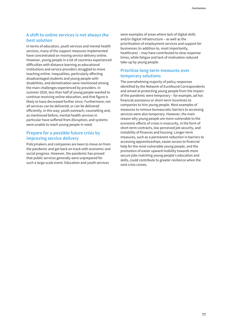## **A shift to online services is not always the best solution**

In terms of education, youth services and mental health services, many of the support measures implemented have concentrated on moving service delivery online. However, young people in a lot of countries experienced difficulties with distance learning as educational institutions and service providers struggled to move teaching online. Inequalities, particularly affecting disadvantaged students and young people with disabilities, and demotivation were mentioned among the main challenges experienced by providers. In summer 2020, less than half of young people wanted to continue receiving online education, and that figure is likely to have decreased further since. Furthermore, not all services can be delivered, or can be delivered efficiently, in this way; youth outreach, counselling and, as mentioned before, mental health services in particular have suffered from disruption, and systems were unable to reach young people in need.

## **Prepare for a possible future crisis by improving service delivery**

Policymakers and companies are keen to move on from the pandemic and get back on track with economic and social progress. However, the pandemic has proved that public services generally were unprepared for such a large-scale event. Education and youth services

were examples of areas where lack of digital skills and/or digital infrastructure – as well as the prioritisation of employment services and support for businesses (in addition to, most importantly, healthcare) – may have contributed to slow response times, while fatigue and lack of motivation reduced take-up by young people.

## **Prioritise long-term measures over temporary solutions**

The overwhelming majority of policy responses identified by the Network of Eurofound Correspondents and aimed at protecting young people from the impact of the pandemic were temporary – for example, ad hoc financial assistance or short-term incentives to companies to hire young people. Most examples of measures to remove bureaucratic barriers to accessing services were also temporary. However, the main reason why young people are more vulnerable to the economic effects of crises is insecurity, in the form of short-term contracts, low perceived job security, and instability of finances and housing. Longer-term measures, such as a permanent reduction in barriers to accessing apprenticeships, easier access to financial help for the most vulnerable young people, and the promotion of easier upward mobility towards more secure jobs matching young people's education and skills, could contribute to greater resilience when the next crisis comes.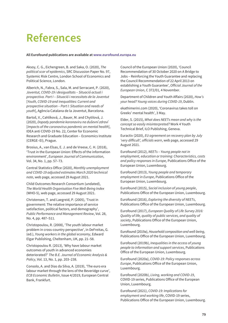## **References**

#### **All Eurofound publications are available at www.eurofound.europa.eu**

Aksoy, C. G., Eichengreen, B. and Saka, O. (2020), *The political scar of epidemics*, SRC Discussion Paper No. 97, Systemic Risk Centre, London School of Economics and Political Science, London.

Alberich, N., Fabra, S., Sala, M. and Serracant, P. (2020), *Joventut, COVID-19 i desigualtats – Situació actual i prospectiva. Part I – Situació i necessitats de la Joventut* [*Youth, COVID-19 and inequalities: Current and prospective situation – Part I: Situation and needs of youth*], Agència Catalana de la Joventut, Barcelona.

Bartoš, V., Cahlíková, J., Bauer, M. and Chytilová, J. (2020), *Dopady pandemie koronaviru na duševní zdraví* [*Impacts of the coronavirus pandemic on mental health*], IDEA anti COVID-19 No. 22, Center for Economic Research and Graduate Education – Economics Institute (CERGE–EI), Prague.

Brosius, A., van Elsas, E. J. and de Vreese, C. H. (2018), 'Trust in the European Union: Effects of the information environment', *European Journal of Communication*, Vol. 34, No. 1, pp. 57–73.

Central Statistics Office (2020), *Monthly unemployment and COVID-19 adjusted estimates March 2020 technical note*, web page, accessed 29 August 2021.

Child Outcomes Research Consortium (undated), *The World Health Organisation Five Well-Being Index* (WHO-5), web page, accessed 29 August 2021.

Christensen, T. and Laegreid, P. (2005), 'Trust in government: The relative importance of service satisfaction, political factors, and demography', *Public Performance and Management Review*, Vol. 28, No. 4, pp. 487–511.

Christopoulou, R. (2008), 'The youth labour market problem in cross-country perspective', in DeFreitas, G. (ed.), *Young workers in the global economy*, Edward Elgar Publishing, Cheltenham, UK, pp. 21–58.

Christopoulou R. (2013), 'Why have labour market outcomes of youth in advanced economies deteriorated?' *The B.E. Journal of Economic Analysis & Policy*, Vol. 13, No. 1, pp. 203–238.

Consolo, A. and Dias da Silva, A. (2019), 'The euro era labour market through the lens of the Beveridge curve', *ECB Economic Bulletin*, Issue 4/2019, European Central Bank, Frankfurt.

Council of the European Union (2020), 'Council Recommendation of 30 October 2020 on A Bridge to Jobs – Reinforcing the Youth Guarantee and replacing the Council Recommendation of 22 April 2013 on establishing a Youth Guarantee', *Official Journal of the European Union*, C 372/01, 4 November.

Department of Children and Youth Affairs (2020), *How's your head? Young voices during COVID-19*, Dublin.

ekathimerini.com (2020), 'Coronavirus takes toll on Greeks' mental health', 3 May.

Elder, S. (2015), *What does NEETs mean and why is the concept so easily misinterpreted?* Work 4 Youth Technical Brief, ILO Publishing, Geneva.

Euractiv (2020), *EU agreement on recovery plan by July 'very difficult', officials warn*, web page, accessed 29 August 2021.

Eurofound (2012), *NEETs – Young people not in employment, education or training: Characteristics, costs and policy responses in Europe,* Publications Office of the European Union, Luxembourg.

Eurofound (2013), *Young people and temporary employment in Europe*, Publications Office of the European Union, Luxembourg.

Eurofound (2015), *Social inclusion of young people*, Publications Office of the European Union, Luxembourg.

Eurofound (2016), *Exploring the diversity of NEETs*, Publications Office of the European Union, Luxembourg.

Eurofound (2017), *European Quality of Life Survey 2016: Quality of life, quality of public services, and quality of society*, Publications Office of the European Union, Luxembourg.

Eurofound (2019a), *Household composition and well-being*, Publications Office of the European Union, Luxembourg.

Eurofound (2019b), *Inequalities in the access of young people to information and support services*, Publications Office of the European Union, Luxembourg.

Eurofound (2020a), *COVID-19: Policy responses across Europe*, Publications Office of the European Union, Luxembourg.

Eurofound (2020b), *Living, working and COVID-19*, COVID-19 series, Publications Office of the European Union, Luxembourg.

Eurofound (2021), *COVID-19: Implications for employment and working life*, COVID-19 series, Publications Office of the European Union, Luxembourg.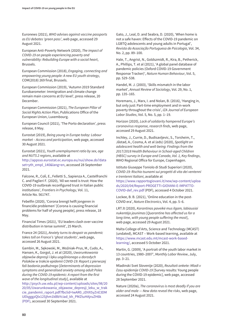Euronews (2021), *WHO advises against vaccine passports as EU debates 'green pass'*, web page, accessed 29 August 2021.

European Anti-Poverty Network (2020), *The impact of COVID-19 on people experiencing poverty and vulnerability: Rebuilding Europe with a social heart*, Brussels.

European Commission (2018), *Engaging, connecting and empowering young people: A new EU youth strategy*, COM(2018) 269 final, Brussels.

European Commission (2019), 'Autumn 2019 Standard Eurobarometer: Immigration and climate change remain main concerns at EU level', press release, 20 December.

European Commission (2021), *The European Pillar of Social Rights Action Plan*, Publications Office of the European Union, Luxembourg.

European Council (2021), 'The Porto declaration', press release, 8 May.

Eurostat (2019), *Being young in Europe today: Labour market – Access and participation*, web page, accessed 30 August 2021.

Eurostat (2021), *Youth unemployment ratio by sex, age and NUTS 2 regions*, available at

[http://appsso.eurostat.ec.europa.eu/nui/show.do?data](http://appsso.eurostat.ec.europa.eu/nui/show.do?dataset=yth_empl_140&lang=en) set=yth\_empl\_140&lang=en, accessed 28 September 2021.

Falcone, R., Colì, E., Felletti S., Sapienza A., Castelfranchi C. and Paglieri F. (2020), 'All we need is trust: How the COVID-19 outbreak reconfigured trust in Italian public institutions', *Frontiers in Psychology*, Vol. 11, Article No. 561747.

Febelfin (2020), 'Corona brengt helft jongeren in financiële problemen' [Corona is causing financial problems for half of young people], press release, 18 May.

Financial Times (2021), 'EU leaders clash over vaccine distribution in tense summit', 25 March.

France 24 (2021), *Anxiety turns to despair as pandemic takes toll on France's 'ghost students'*, web page, accessed 26 August 2021.

Gambin, M., Sękowski, M., Woźniak-Prus, M., Cudo, A., Hansen, K., Gorgol, J. et al (2020), *Uwarunkowania objawów depresji i lęku uogólnionego u dorosłych Polaków w trakcie epidemii COVID-19: Raport z pierwszej fali badania podłużnego* [*Determinants of depression symptoms and generalised anxiety among adult Poles during the COVID-19 epidemic: A report from the first wave of the longitudinal study*], available at [http://psych.uw.edu.pl/wp-content/uploads/sites/98/20](http://psych.uw.edu.pl/wp-content/uploads/sites/98/20 20/05/Uwarunkowania_objawow_depresji_leku_w_trakcie_pandemii_raport.pdf?fbclid=IwAR0_zDVX5yZnE3DMUEkgggzQlx12Sjhm1kBbYciad_kh_PMZtuHAjruZH6k (PDF)) 20/05/Uwarunkowania\_objawow\_depresji\_leku\_w\_trak cie\_pandemii\_raport.pdf?fbclid=IwAR0\_zDVX5yZnE3DM UEkgggzQlx12Sjhm1kBbYciad\_kh\_PMZtuHAjruZH6k (PDF), accessed 30 September 2021.

Gato, J., Leal, D. and Seabra, D. (2020), 'When home is not a safe haven: Effects of the COVID-19 pandemic on LGBTQ adolescents and young adults in Portugal', *Revista da Associação Portuguesa de Psicologia*, Vol. 34, No. 2, pp. 89–100.

Hale, T., Angrist, N., Goldszmidt, R., Kira, B., Petherick, A., Phillips, T. et al (2021), 'A global panel database of pandemic policies (Oxford COVID-19 Government Response Tracker)', *Nature Human Behaviour*, Vol. 5, pp. 529–538.

Handel, M. J. (2003), 'Skills mismatch in the labor market', *Annual Review of Sociology*, Vol. 29, No. 1, pp. 135–165.

Horemans, J., Marx, I. and Nolan, B. (2016), 'Hanging in, but only just: Part-time employment and in-work poverty throughout the crisis', *IZA Journal of European Labor Studies*, Vol. 5, No. 5, pp. 1–19.

Horizon (2020), *Lack of solidarity hampered Europe's coronavirus response, research finds*, web page, accessed 29 August 2021.

Inchley, J., Currie, D., Budisavljevic, S., Torsheim, T., Jåstad, A., Cosma, A. et al (eds) (2020), *Spotlight on adolescent health and well-being: Findings from the 2017/2018 Health Behaviour in School-aged Children (HBSC) survey in Europe and Canada*, *Vol. 1, Key findings*, WHO Regional Office for Europe, Copenhagen.

Istituto Giuseppe Toniolo di Studi Superiori (2020), *COVID-19: Rischio tsunami sui progetti di vita dei ventenni e trentenni Italiani*, available at [https://www.rapportogiovani.it/new/wp-content/uploa](https://www.rapportogiovani.it/new/wp-content/uploa ds/2020/04/Report-PROGETTI-GIOVANI-E-IMPATTO-COVID-def_rev.pdf) ds/2020/04/Report-PROGETTI-GIOVANI-E-IMPATTO-COVID-def\_rev.pdf (PDF), accessed 4 October 2021.

Lockee, B. B. (2021), 'Online education in the post-COVID era', *Nature Electronics*, Vol. 4, pp. 5–6.

LRT.lt (2020), *Karantinas paveikė mus ilgam, labiausiai nukentėjo jaunimas* [*Quarantine has affected us for a long time, with young people suffering the most*], web page, accessed 29 August 2021.

Malta College of Arts, Science and Technology (MCAST) (undated), MCAST – Work-based learning, available at [https://www.mcast.edu.mt/mcast-work-based](https://www.mcast.edu.mt/mcast-work-based-learning/)learning/, accessed 5 October 2021.

Martin, G. (2009), 'A portrait of the youth labor market in 13 countries, 1980–2007', *Monthly Labor Review*, July, pp. 3–21.

Mladinski Svet Slovenije (2020), *Rezultati ankete: Mladi v času epidemije COVID-19* [Survey results: Young people during the COVID-19 epidemic], web page, accessed 28 September 2021.

Nature (2020a), *The coronavirus is most deadly if you are older and male — New data reveal the risks*, web page, accessed 24 August 2021.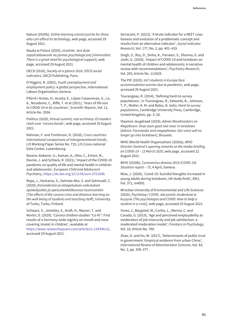Nature (2020b), *Online learning cannot just be for those who can afford its technology*, web page, accessed 29 August 2021.

Nauka w Polsce (2020), *Uczelnie: Jest duże zapotrzebowanie na pomoc psychologiczną* [*Universities: There is a great need for psychological support*], web page, accessed 29 August 2021.

OECD (2016), *Society at a glance 2016: OECD social indicators*, OECD Publishing, Paris.

O'Higgins, N. (2001), *Youth unemployment and employment policy: A global perspective*, International Labour Organization, Geneva.

Pifarré i Arolas, H., Acosta, E., López-Casasnovas, G., Lo, A., Nicodemo, C., Riffe, T. et al (2021), 'Years of life lost to COVID-19 in 81 countries', *Scientific Reports*, Vol. 11, Article No. 3504.

Politico (2020), *Virtual summit, real acrimony: EU leaders clash over 'corona bonds'*, web page, accessed 29 August 2021.

Rahman, F. and Tomlinson, D. (2018), *Cross countries: International comparisons of intergenerational trends*, LIS Working Paper Series No. 732, LIS Cross-national Data Center, Luxembourg.

Ravens-Sieberer, U., Kaman, A., Otto, C., Erhart, M., Devine, J. and Schlack, R. (2021), 'Impact of the COVID-19 pandemic on quality of life and mental health in children and adolescents', *European Child and Adolescent Psychiatry*, [https://dx.doi.org/10.2139/ssrn.3721508.](https://dx.doi.org/10.2139/ssrn.3721508)

Repo, J., Herkama, S., Salmela-Aho, S. and Salmivalli, C. (2020), *Koronakriisin ja etäopetuksen vaikutukset opiskelijoiden ja opetushenkilökunnan hyvinvointiin* [*The effects of the corona crisis and distance learning on the well-being of students and teaching staff*], University of Turku, Turku, Finland.

Schwarz, S., Jenetzky, E., Kraft, H., Maurer, T. and Martin, D. (2020), 'Corona children studies "Co-Ki": First results of a Germany-wide registry on mouth and nose covering (mask) in children', available at [https://www.researchsquare.com/article/rs-124394/v2,](https://www.researchsquare.com/article/rs-124394/v2) accessed 29 August 2021.

Serracant, P. (2013), 'A brute indicator for a NEET case: Genesis and evolution of a problematic concept and results from an alternative indicator', *Social Indicator Research*, Vol. 177, No. 2, pp. 401–419.

Singh, S., Roy, D., Sinha, K., Parveen, S., Sharma, G. and Joshi, G. (2020), 'Impact of COVID-19 and lockdown on mental health of children and adolescents: A narrative review with recommendations', *Psychiatry Research*, Vol. 293, Article No. 113429.

The PIE (2020), *Int'l students in Europe face accommodation worries due to pandemic*, web page, accessed 29 August 2021.

Tourangeau, R. (2014), 'Defining hard-to-survey populations', in Tourangeau, R., Edwards, B., Johnson, T. P., Wolter, K. M. and Bates, N. (eds), *Hard-to-survey populations*, Cambridge University Press, Cambridge, United Kingdom, pp. 3–20.

Vlaamse Jeugdraad (2020), *Advies Mondmaskers en Megafonen: Onze stem gaat niet meer in lockdown* [*Advice: Facemasks and megaphones: Our voice will no longer go into lockdown*], Brussels.

WHO (World Health Organization) (2020a), *WHO Director-General's opening remarks at the media briefing on COVID-19 – 13 March 2020*, web page, accessed 22 August 2021.

WHO (2020b), *Coronavirus disease 2019 (COVID-19): Situation report – 75*, 4 April, Geneva.

Wise, J. (2020), 'Covid-19: Suicidal thoughts increased in young adults during lockdown, UK study finds', *BMJ*, Vol. 371, m4095.

Wrocław University of Environmental and Life Sciences (2020), *Psycholog i COVID: Jak pomóc studentowi w kryzysie* [*The psychologist and COVID: How to help a student in a crisis*], web page, accessed 29 August 2021.

Yeves, J., Bargsted, M., Cortes, L., Merino, C. and Cavada, G. (2019), 'Age and perceived employability as moderators of job insecurity and job satisfaction: a moderated moderation model', *Frontiers in Psychology*, Vol. 10, Article No. 799.

Zhao, D. and Hu, W. (2017), 'Determinants of public trust in government: Empirical evidence from urban China', *International Review of Administrative Sciences*, Vol. 83, No. 2, pp. 358–377.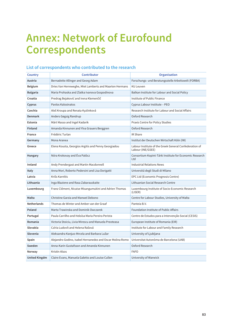## **Annex: Network of Eurofound Correspondents**

| Country              | Contributor                                               | <b>Organisation</b>                                                         |
|----------------------|-----------------------------------------------------------|-----------------------------------------------------------------------------|
| Austria              | Bernadette Allinger and Georg Adam                        | Forschungs- und Beratungsstelle Arbeitswelt (FORBA)                         |
| <b>Belgium</b>       | Dries Van Herreweghe, Miet Lamberts and Maarten Hermans   | <b>KU Leuven</b>                                                            |
| <b>Bulgaria</b>      | Maria Prohaska and Zlatka Ivanova Gospodinova             | Balkan Institute for Labour and Social Policy                               |
| Croatia              | Predrag Bejaković and Irena Klemenčič                     | Institute of Public Finance                                                 |
| Cyprus               | Pavlos Kalosinatos                                        | Cyprus Labour Institute - PEO                                               |
| Czechia              | Aleš Kroupa and Renata Kyzlinková                         | Research Institute for Labour and Social Affairs                            |
| <b>Denmark</b>       | Anders Gøgsig Randrup                                     | Oxford Research                                                             |
| Estonia              | Märt Masso and Ingel Kadarik                              | Praxis Centre for Policy Studies                                            |
| <b>Finland</b>       | Amanda Kinnunen and Ylva Grauers Berggren                 | Oxford Research                                                             |
| France               | Frédéric Turlan                                           | <b>IR Share</b>                                                             |
| Germany              | Mona Aranea                                               | Institut der Deutschen Wirtschaft Köln (IW)                                 |
| Greece               | Elena Kousta, Georgios Argitis and Penny Georgiadou       | Labour Institute of the Greek General Confederation of<br>Labour (INE/GSEE) |
| Hungary              | Nóra Krokovay and Éva Palócz                              | Consortium Kopint-Tárki Institute for Economic Research<br>Ltd              |
| Ireland              | Andy Prendergast and Martin Macdonnell                    | <b>Industrial Relations News</b>                                            |
| Italy                | Anna Mori, Roberto Pedersini and Lisa Dorigatti           | Universitá degli Studi di Milano                                            |
| Latvia               | Krišs Karnītis                                            | EPC Ltd (Economic Prognosis Centre)                                         |
| Lithuania            | Inga Blaziene and Rasa Zabarauskaite                      | Lithuanian Social Research Centre                                           |
| Luxembourg           | Franz Clément, Nicaise Misangumukini and Adrien Thomas    | Luxembourg Institute of Socio-Economic Research<br>(LISER)                  |
| Malta                | <b>Christine Garzia and Manwel Debono</b>                 | Centre for Labour Studies, University of Malta                              |
| <b>Netherlands</b>   | Thomas de Winter and Amber van der Graaf                  | Panteia B.V.                                                                |
| Poland               | Marta Trawinska and Dominik Owczarek                      | Foundation Institute of Public Affairs                                      |
| Portugal             | Paula Carrilho and Heloísa Maria Pereira Perista          | Centre de Estudos para a Intervenção Social (CESIS)                         |
| Romania              | Victoria Stoiciu, Livia Mirescu and Manuela Preoteasa     | European Institute of Romania (EIR)                                         |
| Slovakia             | Czíria Ludovít and Helena Rašová                          | Institute for Labour and Family Research                                    |
| Slovenia             | Aleksandra Kanjuo-Mrcela and Barbara Lužar                | University of Ljubljana                                                     |
| Spain                | Alejandro Godino, Isabel Hernanedez and Oscar Molina Romo | Universitat Autonòma de Barcelona (UAB)                                     |
| Sweden               | Anna-Karin Gustafsson and Amanda Kinnunen                 | Oxford Research                                                             |
| Norway               | Kristin Alsos                                             | <b>FAFO</b>                                                                 |
| <b>United Kingdm</b> | Claire Evans, Manuela Galetto and Louise Cullen           | University of Warwick                                                       |

## **List of correspondents who contributed to the research**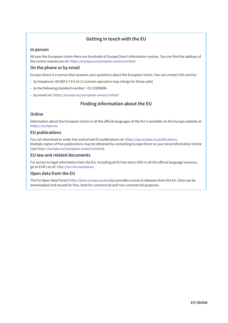## **Getting in touch with the EU**

## **In person**

All over the European Union there are hundreds of Europe Direct information centres. You can find the address of the centre nearest you at: https://europa.eu/european-union/contact

## **On the phone or by email**

Europe Direct is a service that answers your questions about the European Union. You can contact this service:

- by freephone: 00 800 6 7 8 9 10 11 (certain operators may charge for these calls)
- at the following standard number: +32 22999696
- by email via: https://europa.eu/european-union/contact

## **Finding information about the EU**

### **Online**

Information about the European Union in all the official languages of the EU is available on the Europa website at: https://europa.eu.

### **EU publications**

You can download or order free and priced EU publications at: https://op.europa.eu/publications. Multiple copies of free publications may be obtained by contacting Europe Direct or your local information centre (see https://europa.eu/european-union/contact).

### **EU law and related documents**

For access to legal information from the EU, including all EU law since 1952 in all the official language versions, go to EUR-Lex at: http://eur-lex.europa.eu

### **Open data from the EU**

The EU Open Data Portal (http://data.europa.eu/euodp) provides access to datasets from the EU. Data can be downloaded and reused for free, both for commercial and non-commercial purposes.